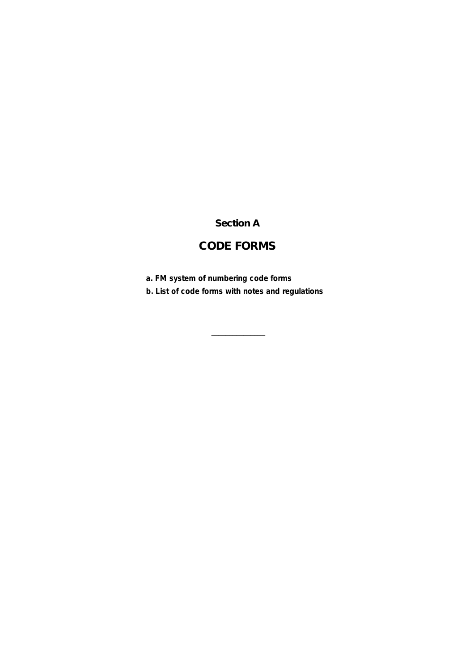## **Section A**

# **CODE FORMS**

**a. FM system of numbering code forms**

**b. List of code forms with notes and regulations**

 $\mathcal{L}_\text{max}$  and  $\mathcal{L}_\text{max}$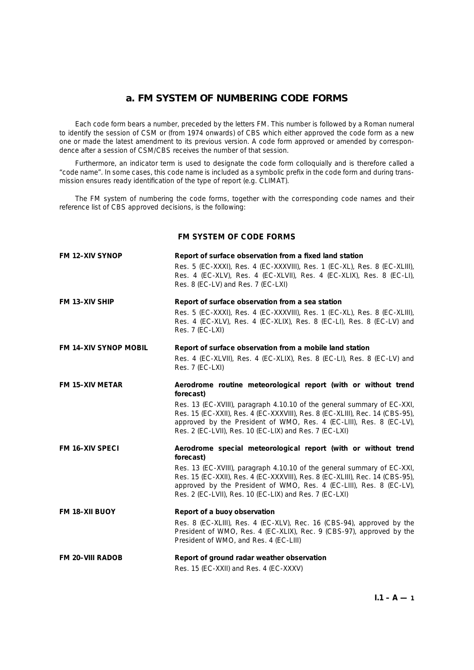Each code form bears a number, preceded by the letters FM. This number is followed by a Roman numeral to identify the session of CSM or (from 1974 onwards) of CBS which either approved the code form as a new one or made the latest amendment to its previous version. A code form approved or amended by correspondence after a session of CSM/CBS receives the number of that session.

Furthermore, an indicator term is used to designate the code form colloquially and is therefore called a "code name". In some cases, this code name is included as a symbolic prefix in the code form and during transmission ensures ready identification of the type of report (e.g. CLIMAT).

The FM system of numbering the code forms, together with the corresponding code names and their reference list of CBS approved decisions, is the following:

## **FM SYSTEM OF CODE FORMS**

| <b>FM 12-XIV SYNOP</b>       | Report of surface observation from a fixed land station                                                                                                                                                                                                                                  |  |  |
|------------------------------|------------------------------------------------------------------------------------------------------------------------------------------------------------------------------------------------------------------------------------------------------------------------------------------|--|--|
|                              | Res. 5 (EC-XXXI), Res. 4 (EC-XXXVIII), Res. 1 (EC-XL), Res. 8 (EC-XLIII),<br>Res. 4 (EC-XLV), Res. 4 (EC-XLVII), Res. 4 (EC-XLIX), Res. 8 (EC-LI),<br>Res. 8 (EC-LV) and Res. 7 (EC-LXI)                                                                                                 |  |  |
| <b>FM 13-XIV SHIP</b>        | Report of surface observation from a sea station                                                                                                                                                                                                                                         |  |  |
|                              | Res. 5 (EC-XXXI), Res. 4 (EC-XXXVIII), Res. 1 (EC-XL), Res. 8 (EC-XLIII),<br>Res. 4 (EC-XLV), Res. 4 (EC-XLIX), Res. 8 (EC-LI), Res. 8 (EC-LV) and<br>Res. 7 (EC-LXI)                                                                                                                    |  |  |
| <b>FM 14-XIV SYNOP MOBIL</b> | Report of surface observation from a mobile land station                                                                                                                                                                                                                                 |  |  |
|                              | Res. 4 (EC-XLVII), Res. 4 (EC-XLIX), Res. 8 (EC-LI), Res. 8 (EC-LV) and<br>Res. 7 (EC-LXI)                                                                                                                                                                                               |  |  |
| <b>FM 15-XIV METAR</b>       | Aerodrome routine meteorological report (with or without trend<br>forecast)                                                                                                                                                                                                              |  |  |
|                              | Res. 13 (EC-XVIII), paragraph 4.10.10 of the general summary of EC-XXI,<br>Res. 15 (EC-XXII), Res. 4 (EC-XXXVIII), Res. 8 (EC-XLIII), Rec. 14 (CBS-95),<br>approved by the President of WMO, Res. 4 (EC-LIII), Res. 8 (EC-LV),<br>Res. 2 (EC-LVII), Res. 10 (EC-LIX) and Res. 7 (EC-LXI) |  |  |
| <b>FM 16-XIV SPECI</b>       | Aerodrome special meteorological report (with or without trend<br>forecast)                                                                                                                                                                                                              |  |  |
|                              | Res. 13 (EC-XVIII), paragraph 4.10.10 of the general summary of EC-XXI,<br>Res. 15 (EC-XXII), Res. 4 (EC-XXXVIII), Res. 8 (EC-XLIII), Rec. 14 (CBS-95),<br>approved by the President of WMO, Res. 4 (EC-LIII), Res. 8 (EC-LV),<br>Res. 2 (EC-LVII), Res. 10 (EC-LIX) and Res. 7 (EC-LXI) |  |  |
| <b>FM 18-XII BUOY</b>        | Report of a buoy observation                                                                                                                                                                                                                                                             |  |  |
|                              | Res. 8 (EC-XLIII), Res. 4 (EC-XLV), Rec. 16 (CBS-94), approved by the<br>President of WMO, Res. 4 (EC-XLIX), Rec. 9 (CBS-97), approved by the<br>President of WMO, and Res. 4 (EC-LIII)                                                                                                  |  |  |
| <b>FM 20-VIII RADOB</b>      | Report of ground radar weather observation                                                                                                                                                                                                                                               |  |  |
|                              | Res. 15 (EC-XXII) and Res. 4 (EC-XXXV)                                                                                                                                                                                                                                                   |  |  |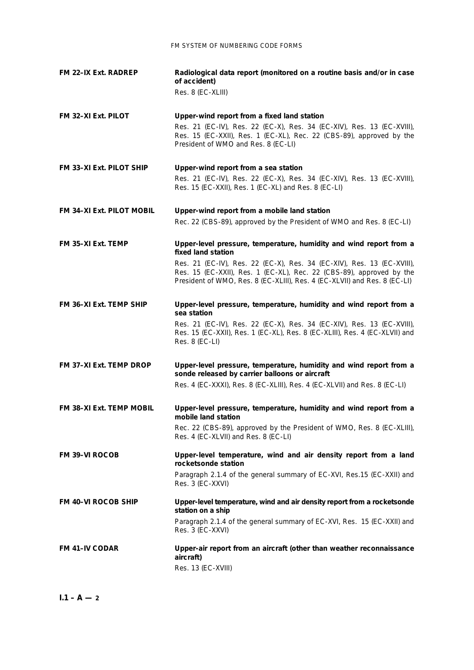| <b>FM 22-IX Ext. RADREP</b>     | Radiological data report (monitored on a routine basis and/or in case<br>of accident)<br>Res. 8 (EC-XLIII)                                                                                                                           |
|---------------------------------|--------------------------------------------------------------------------------------------------------------------------------------------------------------------------------------------------------------------------------------|
| FM 32-XI Ext. PILOT             | Upper-wind report from a fixed land station<br>Res. 21 (EC-IV), Res. 22 (EC-X), Res. 34 (EC-XIV), Res. 13 (EC-XVIII),<br>Res. 15 (EC-XXII), Res. 1 (EC-XL), Rec. 22 (CBS-89), approved by the<br>President of WMO and Res. 8 (EC-LI) |
| <b>FM 33-XI Ext. PILOT SHIP</b> | Upper-wind report from a sea station<br>Res. 21 (EC-IV), Res. 22 (EC-X), Res. 34 (EC-XIV), Res. 13 (EC-XVIII),<br>Res. 15 (EC-XXII), Res. 1 (EC-XL) and Res. 8 (EC-LI)                                                               |
| FM 34-XI Ext. PILOT MOBIL       | Upper-wind report from a mobile land station<br>Rec. 22 (CBS-89), approved by the President of WMO and Res. 8 (EC-LI)                                                                                                                |
| FM 35-XI Ext. TEMP              | Upper-level pressure, temperature, humidity and wind report from a<br>fixed land station                                                                                                                                             |
|                                 | Res. 21 (EC-IV), Res. 22 (EC-X), Res. 34 (EC-XIV), Res. 13 (EC-XVIII),<br>Res. 15 (EC-XXII), Res. 1 (EC-XL), Rec. 22 (CBS-89), approved by the<br>President of WMO, Res. 8 (EC-XLIII), Res. 4 (EC-XLVII) and Res. 8 (EC-LI)          |
| <b>FM 36-XI Ext. TEMP SHIP</b>  | Upper-level pressure, temperature, humidity and wind report from a<br>sea station                                                                                                                                                    |
|                                 | Res. 21 (EC-IV), Res. 22 (EC-X), Res. 34 (EC-XIV), Res. 13 (EC-XVIII),<br>Res. 15 (EC-XXII), Res. 1 (EC-XL), Res. 8 (EC-XLIII), Res. 4 (EC-XLVII) and<br>Res. 8 (EC-LI)                                                              |
| FM 37-XI Ext. TEMP DROP         | Upper-level pressure, temperature, humidity and wind report from a<br>sonde released by carrier balloons or aircraft                                                                                                                 |
|                                 | Res. 4 (EC-XXXI), Res. 8 (EC-XLIII), Res. 4 (EC-XLVII) and Res. 8 (EC-LI)                                                                                                                                                            |
| <b>FM 38-XI Ext. TEMP MOBIL</b> | Upper-level pressure, temperature, humidity and wind report from a<br>mobile land station                                                                                                                                            |
|                                 | Rec. 22 (CBS-89), approved by the President of WMO, Res. 8 (EC-XLIII),<br>Res. 4 (EC-XLVII) and Res. 8 (EC-LI)                                                                                                                       |
| <b>FM 39-VI ROCOB</b>           | Upper-level temperature, wind and air density report from a land<br>rocketsonde station                                                                                                                                              |
|                                 | Paragraph 2.1.4 of the general summary of EC-XVI, Res.15 (EC-XXII) and<br>Res. 3 (EC-XXVI)                                                                                                                                           |
| <b>FM 40-VI ROCOB SHIP</b>      | Upper-level temperature, wind and air density report from a rocketsonde<br>station on a ship                                                                                                                                         |
|                                 | Paragraph 2.1.4 of the general summary of EC-XVI, Res. 15 (EC-XXII) and<br>Res. 3 (EC-XXVI)                                                                                                                                          |
| <b>FM 41-IV CODAR</b>           | Upper-air report from an aircraft (other than weather reconnaissance<br>aircraft)<br>Res. 13 (EC-XVIII)                                                                                                                              |

 $I.1 - A - 2$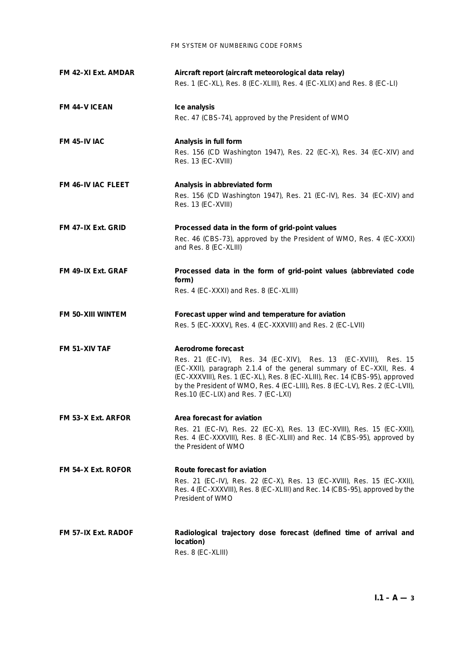| FM 42-XI Ext. AMDAR       | Aircraft report (aircraft meteorological data relay)<br>Res. 1 (EC-XL), Res. 8 (EC-XLIII), Res. 4 (EC-XLIX) and Res. 8 (EC-LI)                                                                                                                                                                                                                                        |  |
|---------------------------|-----------------------------------------------------------------------------------------------------------------------------------------------------------------------------------------------------------------------------------------------------------------------------------------------------------------------------------------------------------------------|--|
| <b>FM 44-V ICEAN</b>      | Ice analysis<br>Rec. 47 (CBS-74), approved by the President of WMO                                                                                                                                                                                                                                                                                                    |  |
| <b>FM 45-IV IAC</b>       | Analysis in full form<br>Res. 156 (CD Washington 1947), Res. 22 (EC-X), Res. 34 (EC-XIV) and<br>Res. 13 (EC-XVIII)                                                                                                                                                                                                                                                    |  |
| <b>FM 46-IV IAC FLEET</b> | Analysis in abbreviated form<br>Res. 156 (CD Washington 1947), Res. 21 (EC-IV), Res. 34 (EC-XIV) and<br>Res. 13 (EC-XVIII)                                                                                                                                                                                                                                            |  |
| FM 47-IX Ext. GRID        | Processed data in the form of grid-point values<br>Rec. 46 (CBS-73), approved by the President of WMO, Res. 4 (EC-XXXI)<br>and Res. 8 (EC-XLIII)                                                                                                                                                                                                                      |  |
| FM 49-IX Ext. GRAF        | Processed data in the form of grid-point values (abbreviated code<br>form)<br>Res. 4 (EC-XXXI) and Res. 8 (EC-XLIII)                                                                                                                                                                                                                                                  |  |
| FM 50-XIII WINTEM         | Forecast upper wind and temperature for aviation<br>Res. 5 (EC-XXXV), Res. 4 (EC-XXXVIII) and Res. 2 (EC-LVII)                                                                                                                                                                                                                                                        |  |
| FM 51-XIV TAF             | Aerodrome forecast<br>Res. 21 (EC-IV), Res. 34 (EC-XIV), Res. 13<br>(EC-XVIII), Res. 15<br>(EC-XXII), paragraph 2.1.4 of the general summary of EC-XXII, Res. 4<br>(EC-XXXVIII), Res. 1 (EC-XL), Res. 8 (EC-XLIII), Rec. 14 (CBS-95), approved<br>by the President of WMO, Res. 4 (EC-LIII), Res. 8 (EC-LV), Res. 2 (EC-LVII),<br>Res.10 (EC-LIX) and Res. 7 (EC-LXI) |  |
| FM 53-X Ext. ARFOR        | Area forecast for aviation<br>Res. 21 (EC-IV), Res. 22 (EC-X), Res. 13 (EC-XVIII), Res. 15 (EC-XXII),<br>Res. 4 (EC-XXXVIII), Res. 8 (EC-XLIII) and Rec. 14 (CBS-95), approved by<br>the President of WMO                                                                                                                                                             |  |
| FM 54-X Ext. ROFOR        | Route forecast for aviation<br>Res. 21 (EC-IV), Res. 22 (EC-X), Res. 13 (EC-XVIII), Res. 15 (EC-XXII),<br>Res. 4 (EC-XXXVIII), Res. 8 (EC-XLIII) and Rec. 14 (CBS-95), approved by the<br>President of WMO                                                                                                                                                            |  |
| FM 57-IX Ext. RADOF       | Radiological trajectory dose forecast (defined time of arrival and<br>location)<br>Res. 8 (EC-XLIII)                                                                                                                                                                                                                                                                  |  |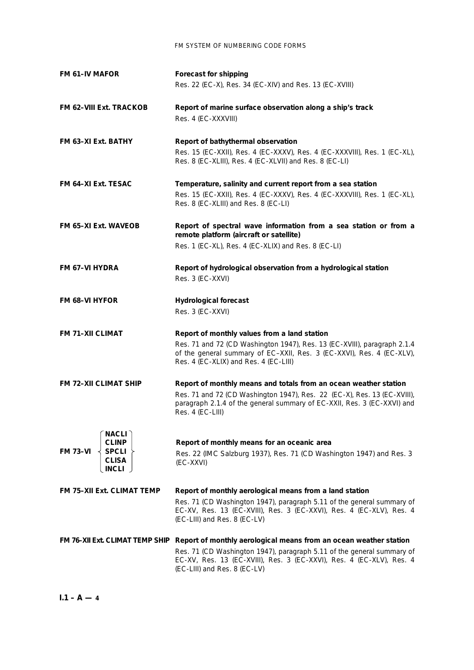| <b>FM 61–IV MAFOR</b>                                                                                 | Forecast for shipping<br>Res. 22 (EC-X), Res. 34 (EC-XIV) and Res. 13 (EC-XVIII)                                                                                                                                                            |  |
|-------------------------------------------------------------------------------------------------------|---------------------------------------------------------------------------------------------------------------------------------------------------------------------------------------------------------------------------------------------|--|
| <b>FM 62-VIII Ext. TRACKOB</b>                                                                        | Report of marine surface observation along a ship's track<br>Res. 4 (EC-XXXVIII)                                                                                                                                                            |  |
| FM 63-XI Ext. BATHY                                                                                   | Report of bathythermal observation<br>Res. 15 (EC-XXII), Res. 4 (EC-XXXV), Res. 4 (EC-XXXVIII), Res. 1 (EC-XL),<br>Res. 8 (EC-XLIII), Res. 4 (EC-XLVII) and Res. 8 (EC-LI)                                                                  |  |
| FM 64-XI Ext. TESAC                                                                                   | Temperature, salinity and current report from a sea station<br>Res. 15 (EC-XXII), Res. 4 (EC-XXXV), Res. 4 (EC-XXXVIII), Res. 1 (EC-XL),<br>Res. 8 (EC-XLIII) and Res. 8 (EC-LI)                                                            |  |
| <b>FM 65-XI Ext. WAVEOB</b>                                                                           | Report of spectral wave information from a sea station or from a<br>remote platform (aircraft or satellite)<br>Res. 1 (EC-XL), Res. 4 (EC-XLIX) and Res. 8 (EC-LI)                                                                          |  |
| <b>FM 67-VI HYDRA</b>                                                                                 | Report of hydrological observation from a hydrological station<br>Res. 3 (EC-XXVI)                                                                                                                                                          |  |
| <b>FM 68-VI HYFOR</b>                                                                                 | <b>Hydrological forecast</b><br>Res. 3 (EC-XXVI)                                                                                                                                                                                            |  |
| <b>FM 71-XII CLIMAT</b>                                                                               | Report of monthly values from a land station<br>Res. 71 and 72 (CD Washington 1947), Res. 13 (EC-XVIII), paragraph 2.1.4<br>of the general summary of EC-XXII, Res. 3 (EC-XXVI), Res. 4 (EC-XLV),<br>Res. 4 (EC-XLIX) and Res. 4 (EC-LIII)  |  |
| <b>FM 72-XII CLIMAT SHIP</b>                                                                          | Report of monthly means and totals from an ocean weather station<br>Res. 71 and 72 (CD Washington 1947), Res. 22 (EC-X), Res. 13 (EC-XVIII),<br>paragraph 2.1.4 of the general summary of EC-XXII, Res. 3 (EC-XXVI) and<br>Res. 4 (EC-LIII) |  |
| <b>NACLI</b><br><b>CLINP</b><br>SPCLI <sup>1</sup><br><b>FM 73-VI</b><br><b>CLISA</b><br><b>INCLI</b> | Report of monthly means for an oceanic area<br>Res. 22 (IMC Salzburg 1937), Res. 71 (CD Washington 1947) and Res. 3<br>(EC-XXVI)                                                                                                            |  |
| <b>FM 75-XII Ext. CLIMAT TEMP</b>                                                                     | Report of monthly aerological means from a land station                                                                                                                                                                                     |  |
|                                                                                                       | Res. 71 (CD Washington 1947), paragraph 5.11 of the general summary of<br>EC-XV, Res. 13 (EC-XVIII), Res. 3 (EC-XXVI), Res. 4 (EC-XLV), Res. 4<br>(EC-LIII) and Res. 8 (EC-LV)                                                              |  |
|                                                                                                       | FM 76-XII Ext. CLIMAT TEMP SHIP Report of monthly aerological means from an ocean weather station                                                                                                                                           |  |
|                                                                                                       | Res. 71 (CD Washington 1947), paragraph 5.11 of the general summary of<br>EC-XV, Res. 13 (EC-XVIII), Res. 3 (EC-XXVI), Res. 4 (EC-XLV), Res. 4<br>(EC-LIII) and Res. 8 (EC-LV)                                                              |  |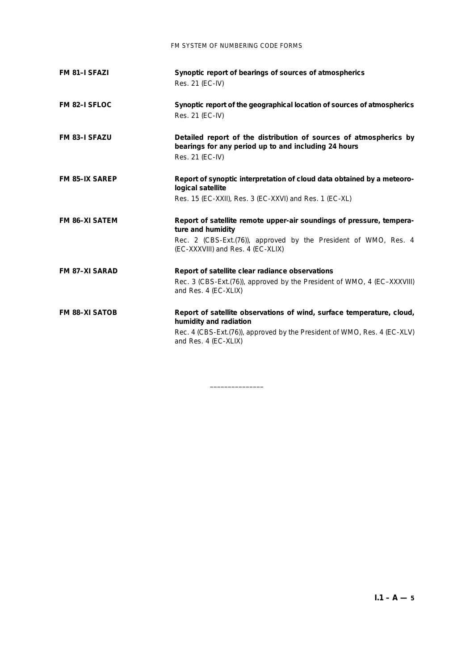| FM 81-I SFAZI         | Synoptic report of bearings of sources of atmospherics<br>Res. 21 (EC-IV)                                                                                                                           |  |
|-----------------------|-----------------------------------------------------------------------------------------------------------------------------------------------------------------------------------------------------|--|
| FM 82-I SFLOC         | Synoptic report of the geographical location of sources of atmospherics<br>Res. 21 (EC-IV)                                                                                                          |  |
| <b>FM 83-I SFAZU</b>  | Detailed report of the distribution of sources of atmospherics by<br>bearings for any period up to and including 24 hours<br>Res. 21 (EC-IV)                                                        |  |
| <b>FM 85-IX SAREP</b> | Report of synoptic interpretation of cloud data obtained by a meteoro-<br>logical satellite<br>Res. 15 (EC-XXII), Res. 3 (EC-XXVI) and Res. 1 (EC-XL)                                               |  |
| <b>FM 86-XI SATEM</b> | Report of satellite remote upper-air soundings of pressure, tempera-<br>ture and humidity<br>Rec. 2 (CBS-Ext.(76)), approved by the President of WMO, Res. 4<br>(EC-XXXVIII) and Res. 4 (EC-XLIX)   |  |
| <b>FM 87-XI SARAD</b> | Report of satellite clear radiance observations<br>Rec. 3 (CBS-Ext. (76)), approved by the President of WMO, 4 (EC-XXXVIII)<br>and Res. 4 (EC-XLIX)                                                 |  |
| <b>FM 88-XI SATOB</b> | Report of satellite observations of wind, surface temperature, cloud,<br>humidity and radiation<br>Rec. 4 (CBS-Ext.(76)), approved by the President of WMO, Res. 4 (EC-XLV)<br>and Res. 4 (EC-XLIX) |  |

–––––––––––––––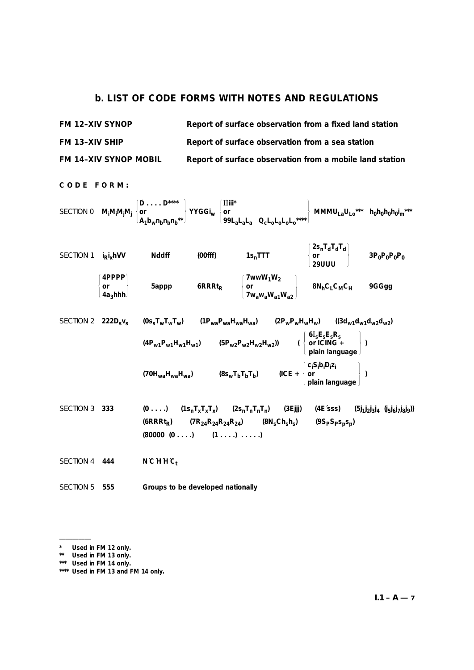## **b. LIST OF CODE FORMS WITH NOTES AND REGULATIONS**

| <b>FM 12-XIV SYNOP</b>       | Report of surface observation from a fixed land station  |
|------------------------------|----------------------------------------------------------|
| <b>FM 13-XIV SHIP</b>        | Report of surface observation from a sea station         |
| <b>FM 14-XIV SYNOP MOBIL</b> | Report of surface observation from a mobile land station |

**CODE FORM: D . . . . D\*\*\*\*** II**iii\*** SECTION 0 **Mi Mi Mj Mj or YYGGiw or MMMULaULo\*\*\* h0h0h0h0i m\*\*\* A1bwnbnbnb\*\* 99LaLaLa QcLoLoLoLo\*\*\*\* 2snTdTdTd** SECTION 1 **i Ri xhVV Nddff (00fff) 1snTTT or 3P0P0P0P0 29UUU 4PPPP 7wwW1W2 or 5appp 6RRRtR or 8NhCLCMCH 9GGgg 4a3hhh 7wawaWa1Wa2** SECTION 2 **222Dsvs (0ssTwTwTw) (1PwaPwaHwaHwa) (2PwPwHwHw) ((3dw1dw1dw2dw2) 6**I**sEsEsRs (4Pw1Pw1Hw1Hw1) (5Pw2Pw2Hw2Hw2)) ( or ICING + ) plain language ci Si bi Di zi (70HwaHwaHwa) (8swTbTbTb) (ICE + or ) plain language** SECTION 3 **333 (0 . . . .) (1snTxTxTx) (2snTnTnTn) (3Ejjj) (4E´sss) (5j1j 2j 3j <sup>4</sup> (j5j 6j 7j 8j 9)) (6RRRtR) (7R24R24R24R24) (8NsChshs) (9SPSPspsp) (80000 (0 . . . .) (1 . . . .) . . . . .)** SECTION 4 **444 N´C´H´H´Ct**

SECTION 5 **555 Groups to be developed nationally**

<sup>––––––––––</sup>

**<sup>\*</sup> Used in FM 12 only.**

**<sup>\*\*</sup> Used in FM 13 only.**

**<sup>\*\*\*</sup> Used in FM 14 only.**

**<sup>\*\*\*\*</sup> Used in FM 13 and FM 14 only.**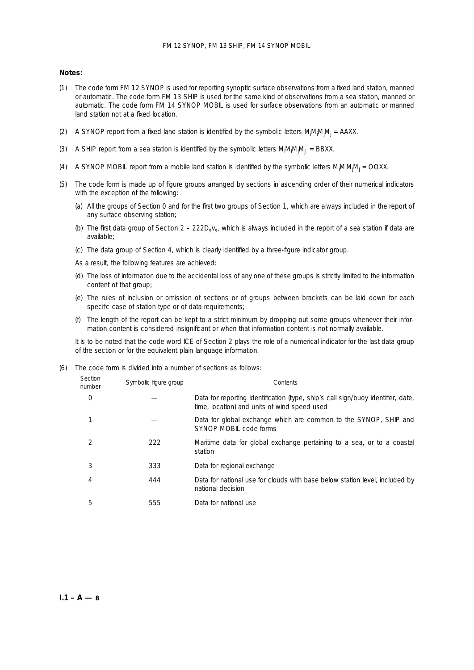## **Notes:**

- (1) The code form FM 12 SYNOP is used for reporting synoptic surface observations from a fixed land station, manned or automatic. The code form FM 13 SHIP is used for the same kind of observations from a sea station, manned or automatic. The code form FM 14 SYNOP MOBIL is used for surface observations from an automatic or manned land station not at a fixed location.
- (2) A SYNOP report from a fixed land station is identified by the symbolic letters M<sub>i</sub>M<sub>i</sub>M<sub>j</sub>M<sub>j</sub> = AAXX.
- (3) A SHIP report from a sea station is identified by the symbolic letters  $M_iM_iM_jN_i = BBXX$ .
- (4) A SYNOP MOBIL report from a mobile land station is identified by the symbolic letters  $M_jM_jM_{ij} =$  OOXX.
- (5) The code form is made up of figure groups arranged by sections in ascending order of their numerical indicators with the exception of the following:
	- (*a*) All the groups of Section 0 and for the first two groups of Section 1, which are always included in the report of any surface observing station;
	- (b) The first data group of Section  $2 222D_Sv_S$ , which is always included in the report of a sea station if data are available;
	- (*c*) The data group of Section 4, which is clearly identified by a three-figure indicator group.
	- As a result, the following features are achieved:
	- (*d*) The loss of information due to the accidental loss of any one of these groups is strictly limited to the information content of that group;
	- (*e*) The rules of inclusion or omission of sections or of groups between brackets can be laid down for each specific case of station type or of data requirements;
	- (*f*) The length of the report can be kept to a strict minimum by dropping out some groups whenever their information content is considered insignificant or when that information content is not normally available.

It is to be noted that the code word ICE of Section 2 plays the role of a numerical indicator for the last data group of the section or for the equivalent plain language information.

(6) The code form is divided into a number of sections as follows:

| Section<br>number | Symbolic figure group | Contents                                                                                                                         |
|-------------------|-----------------------|----------------------------------------------------------------------------------------------------------------------------------|
|                   |                       | Data for reporting identification (type, ship's call sign/buoy identifier, date,<br>time, location) and units of wind speed used |
|                   |                       | Data for global exchange which are common to the SYNOP, SHIP and<br>SYNOP MOBIL code forms                                       |
|                   | 222                   | Maritime data for global exchange pertaining to a sea, or to a coastal<br>station                                                |
|                   | 333                   | Data for regional exchange                                                                                                       |
|                   | 444                   | Data for national use for clouds with base below station level, included by<br>national decision                                 |
| 5                 | 555                   | Data for national use                                                                                                            |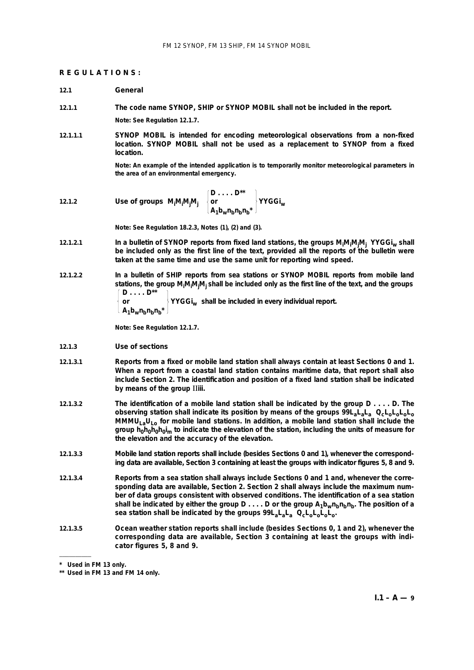#### **REGULATIONS:**

#### **12.1 General**

**12.1.1 The code name SYNOP, SHIP or SYNOP MOBIL shall not be included in the report.**

**Note: See Regulation 12.1.7.**

**12.1.1.1 SYNOP MOBIL is intended for encoding meteorological observations from a non-fixed location. SYNOP MOBIL shall not be used as a replacement to SYNOP from a fixed location.**

> **Note: An example of the intended application is to temporarily monitor meteorological parameters in the area of an environmental emergency.**

12.1.2 Use of groups 
$$
M_iM_iM_jM_j
$$
  $\begin{Bmatrix} D \dots D^{**} \\ or \\ A_1b_wn_bn_bn_b^* \end{Bmatrix}$  YYGGi<sub>w</sub>

**Note: See Regulation 18.2.3, Notes (1), (2) and (3).**

- **12.1.2.1 In a bulletin of SYNOP reports from fixed land stations, the groups Mi Mi Mj Mj YYGGiw shall be included only as the first line of the text, provided all the reports of the bulletin were taken at the same time and use the same unit for reporting wind speed.**
- **12.1.2.2 In a bulletin of SHIP reports from sea stations or SYNOP MOBIL reports from mobile land stations, the group Mi Mi Mj Mj shall be included only as the first line of the text, and the groups D . . . . D\*\* or YYGGiw shall be included in every individual report.**

```
\lfloor A_1 b_w n_b n_h n_h^* \rfloor
```
**Note: See Regulation 12.1.7.**

- **12.1.3** *Use of sections*
- **12.1.3.1 Reports from a fixed or mobile land station shall always contain at least Sections 0 and 1. When a report from a coastal land station contains maritime data, that report shall also include Section 2. The identification and position of a fixed land station shall be indicated by means of the group** II**iii.**
- **12.1.3.2 The identification of a mobile land station shall be indicated by the group D . . . . D. The observing station shall indicate its position by means of the groups 99L<sub>a</sub>L<sub>a</sub>L<sub>a</sub> Q<sub>c</sub>L<sub>o</sub>L<sub>o</sub>L<sub>o</sub>L<sub>o</sub> MMMULaULo for mobile land stations. In addition, a mobile land station shall include the** group h<sub>0</sub>h<sub>0</sub>h<sub>0</sub>h<sub>0</sub>i<sub>m</sub> to indicate the elevation of the station, including the units of measure for **the elevation and the accuracy of the elevation.**
- **12.1.3.3 Mobile land station reports shall include (besides Sections 0 and 1), whenever the corresponding data are available, Section 3 containing at least the groups with indicator figures 5, 8 and 9.**
- **12.1.3.4 Reports from a sea station shall always include Sections 0 and 1 and, whenever the corresponding data are available, Section 2. Section 2 shall always include the maximum number of data groups consistent with observed conditions. The identification of a sea station** shall be indicated by either the group  $D \ldots D$  or the group  $A_1b_wn_hn_h$ , The position of a **sea station shall be indicated by the groups 99LaLaLa QcLoLoLoLo.**
- **12.1.3.5 Ocean weather station reports shall include (besides Sections 0, 1 and 2), whenever the corresponding data are available, Section 3 containing at least the groups with indicator figures 5, 8 and 9.**

––––––––––

**<sup>\*</sup> Used in FM 13 only.**

**<sup>\*\*</sup> Used in FM 13 and FM 14 only.**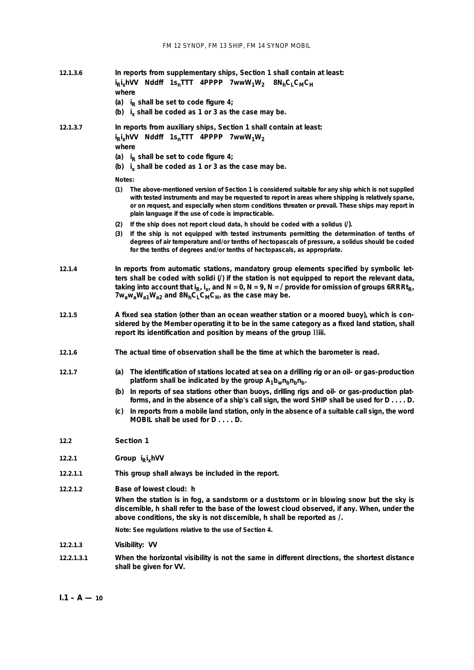| 12.1.3.6   | In reports from supplementary ships, Section 1 shall contain at least:<br>i <sub>R</sub> i <sub>x</sub> hVV Nddff 1s <sub>n</sub> TTT 4PPPP 7wwW <sub>1</sub> W <sub>2</sub> 8N <sub>h</sub> C <sub>1</sub> C <sub>M</sub> C <sub>H</sub><br>where                                                                                                                                 |  |
|------------|------------------------------------------------------------------------------------------------------------------------------------------------------------------------------------------------------------------------------------------------------------------------------------------------------------------------------------------------------------------------------------|--|
|            | (a) $i_R$ shall be set to code figure 4;<br>(b) $i_x$ shall be coded as 1 or 3 as the case may be.                                                                                                                                                                                                                                                                                 |  |
| 12.1.3.7   | In reports from auxiliary ships, Section 1 shall contain at least:<br>$i_R i_x$ hVV Nddff 1s <sub>n</sub> TTT 4PPPP 7wwW <sub>1</sub> W <sub>2</sub><br>where<br>(a) $i_R$ shall be set to code figure 4;<br>(b) $i_x$ shall be coded as 1 or 3 as the case may be.                                                                                                                |  |
|            | Notes:                                                                                                                                                                                                                                                                                                                                                                             |  |
|            | The above-mentioned version of Section 1 is considered suitable for any ship which is not supplied<br>(1)<br>with tested instruments and may be requested to report in areas where shipping is relatively sparse,<br>or on request, and especially when storm conditions threaten or prevail. These ships may report in<br>plain language if the use of code is impracticable.     |  |
|            | If the ship does not report cloud data, h should be coded with a solidus $($ ).<br>(2)                                                                                                                                                                                                                                                                                             |  |
|            | If the ship is not equipped with tested instruments permitting the determination of tenths of<br>(3)<br>degrees of air temperature and/or tenths of hectopascals of pressure, a solidus should be coded<br>for the tenths of degrees and/or tenths of hectopascals, as appropriate.                                                                                                |  |
| 12.1.4     | In reports from automatic stations, mandatory group elements specified by symbolic let-<br>ters shall be coded with solidi (/) if the station is not equipped to report the relevant data<br>taking into account that $i_R$ , $i_x$ , and N = 0, N = 9, N = / provide for omission of groups 6RRRt <sub>R</sub><br>$7w_aw_aW_{a1}W_{a2}$ and $8N_hC_LC_MC_H$ , as the case may be. |  |
| 12.1.5     | A fixed sea station (other than an ocean weather station or a moored buoy), which is con-<br>sidered by the Member operating it to be in the same category as a fixed land station, shall<br>report its identification and position by means of the group IIiii.                                                                                                                   |  |
| 12.1.6     | The actual time of observation shall be the time at which the barometer is read.                                                                                                                                                                                                                                                                                                   |  |
| 12.1.7     | The identification of stations located at sea on a drilling rig or an oil- or gas-production<br>(a)<br>platform shall be indicated by the group $A_1b_wn_bn_b$ .                                                                                                                                                                                                                   |  |
|            | (b) In reports of sea stations other than buoys, drilling rigs and oil- or gas-production plat-<br>forms, and in the absence of a ship's call sign, the word SHIP shall be used for D D.                                                                                                                                                                                           |  |
|            | In reports from a mobile land station, only in the absence of a suitable call sign, the word<br>(C)<br>MOBIL shall be used for DD.                                                                                                                                                                                                                                                 |  |
| 12.2       | Section 1                                                                                                                                                                                                                                                                                                                                                                          |  |
| 12.2.1     | Group $i_R i_x hVV$                                                                                                                                                                                                                                                                                                                                                                |  |
| 12.2.1.1   | This group shall always be included in the report.                                                                                                                                                                                                                                                                                                                                 |  |
| 12.2.1.2   | Base of lowest cloud: h                                                                                                                                                                                                                                                                                                                                                            |  |
|            | When the station is in fog, a sandstorm or a duststorm or in blowing snow but the sky is<br>discernible, h shall refer to the base of the lowest cloud observed, if any. When, under the<br>above conditions, the sky is not discernible, h shall be reported as /.                                                                                                                |  |
|            | Note: See regulations relative to the use of Section 4.                                                                                                                                                                                                                                                                                                                            |  |
| 12.2.1.3   | Visibility: VV                                                                                                                                                                                                                                                                                                                                                                     |  |
| 12.2.1.3.1 | When the horizontal visibility is not the same in different directions, the shortest distance<br>shall be given for VV.                                                                                                                                                                                                                                                            |  |

 $I.1 - A - 10$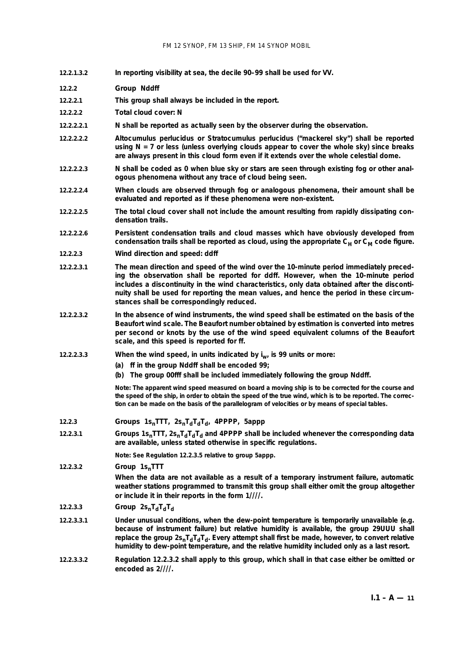- **12.2.1.3.2 In reporting visibility at sea, the decile 90–99 shall be used for VV.**
- **12.2.2** *Group* **Nddff**
- **12.2.2.1 This group shall always be included in the report.**
- **12.2.2.2** *Total cloud cover:* **N**
- **12.2.2.2.1 N shall be reported as actually seen by the observer during the observation.**
- **12.2.2.2.2 Altocumulus perlucidus or Stratocumulus perlucidus ("mackerel sky") shall be reported using N = 7 or less (unless overlying clouds appear to cover the whole sky) since breaks are always present in this cloud form even if it extends over the whole celestial dome.**
- **12.2.2.2.3 N shall be coded as 0 when blue sky or stars are seen through existing fog or other analogous phenomena without any trace of cloud being seen.**
- **12.2.2.2.4 When clouds are observed through fog or analogous phenomena, their amount shall be evaluated and reported as if these phenomena were non-existent.**
- **12.2.2.2.5 The total cloud cover shall not include the amount resulting from rapidly dissipating condensation trails.**
- **12.2.2.2.6 Persistent condensation trails and cloud masses which have obviously developed from** condensation trails shall be reported as cloud, using the appropriate C<sub>H</sub> or C<sub>M</sub> code figure.
- **12.2.2.3** *Wind direction and speed:* **ddff**
- **12.2.2.3.1 The mean direction and speed of the wind over the 10-minute period immediately preceding the observation shall be reported for ddff. However, when the 10-minute period includes a discontinuity in the wind characteristics, only data obtained after the discontinuity shall be used for reporting the mean values, and hence the period in these circumstances shall be correspondingly reduced.**
- **12.2.2.3.2 In the absence of wind instruments, the wind speed shall be estimated on the basis of the Beaufort wind scale. The Beaufort number obtained by estimation is converted into metres per second or knots by the use of the wind speed equivalent columns of the Beaufort scale, and this speed is reported for ff.**
- 12.2.2.3.3 When the wind speed, in units indicated by i<sub>w</sub> is 99 units or more:
	- **(***a***) ff in the group Nddff shall be encoded 99;**
	- **(***b***) The group 00fff shall be included immediately following the group Nddff.**

**Note: The apparent wind speed measured on board a moving ship is to be corrected for the course and the speed of the ship, in order to obtain the speed of the true wind, which is to be reported. The correction can be made on the basis of the parallelogram of velocities or by means of special tables.**

- **12.2.3 Groups**  $1s_n$ **TTT,**  $2s_nT_dT_dT_d$ **, 4PPPP, 5appp**
- 12.2.3.1 **Groups 1s<sub>n</sub>TTT, 2s<sub>n</sub>T<sub>d</sub>T<sub>d</sub>T<sub>d</sub>T<sub>d</sub> and 4PPPP shall be included whenever the corresponding data are available, unless stated otherwise in specific regulations.**

**Note: See Regulation 12.2.3.5 relative to group 5appp.**

**12.2.3.2** *Group* **1snTTT**

**When the data are not available as a result of a temporary instrument failure, automatic weather stations programmed to transmit this group shall either omit the group altogether or include it in their reports in the form 1////.**

- 12.2.3.3 *Group*  $2s_nT_dT_dT_d$
- **12.2.3.3.1 Under unusual conditions, when the dew-point temperature is temporarily unavailable (e.g. because of instrument failure) but relative humidity is available, the group 29UUU shall** replace the group  $2s_nTdT_dT_d$ . Every attempt shall first be made, however, to convert relative **humidity to dew-point temperature, and the relative humidity included only as a last resort.**
- **12.2.3.3.2 Regulation 12.2.3.2 shall apply to this group, which shall in that case either be omitted or encoded as 2////.**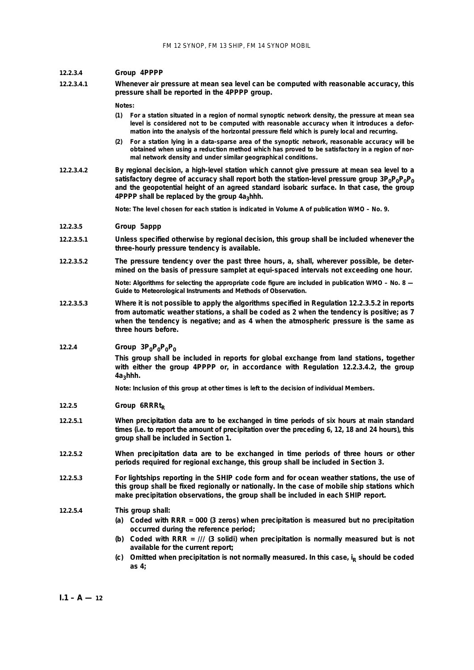#### **12.2.3.4** *Group* **4PPPP**

**12.2.3.4.1 Whenever air pressure at mean sea level can be computed with reasonable accuracy, this pressure shall be reported in the 4PPPP group.**

**Notes:**

- **(1) For a station situated in a region of normal synoptic network density, the pressure at mean sea level is considered not to be computed with reasonable accuracy when it introduces a deformation into the analysis of the horizontal pressure field which is purely local and recurring.**
- **(2) For a station lying in a data-sparse area of the synoptic network, reasonable accuracy will be obtained when using a reduction method which has proved to be satisfactory in a region of normal network density and under similar geographical conditions.**
- **12.2.3.4.2 By regional decision, a high-level station which cannot give pressure at mean sea level to a**  satisfactory degree of accuracy shall report both the station-level pressure group  $3P_0P_0P_0P_0$ **and the geopotential height of an agreed standard isobaric surface. In that case, the group** 4PPPP shall be replaced by the group 4a<sub>3</sub>hhh.

**Note: The level chosen for each station is indicated in Volume A of publication WMO – No. 9.**

#### **12.2.3.5** *Group* **5appp**

- **12.2.3.5.1 Unless specified otherwise by regional decision, this group shall be included whenever the three-hourly pressure tendency is available.**
- **12.2.3.5.2 The pressure tendency over the past three hours, a, shall, wherever possible, be determined on the basis of pressure samplet at equi-spaced intervals not exceeding one hour.**

**Note: Algorithms for selecting the appropriate code figure are included in publication WMO – No. 8 —** *Guide to Meteorological Instruments and Methods of Observation***.**

**12.2.3.5.3 Where it is not possible to apply the algorithms specified in Regulation 12.2.3.5.2 in reports from automatic weather stations, a shall be coded as 2 when the tendency is positive; as 7 when the tendency is negative; and as 4 when the atmospheric pressure is the same as three hours before.**

## 12.2.4 *Group*  $3P_0P_0P_0P_0$

**This group shall be included in reports for global exchange from land stations, together with either the group 4PPPP or, in accordance with Regulation 12.2.3.4.2, the group 4a3hhh.**

**Note: Inclusion of this group at other times is left to the decision of individual Members.**

- 12.2.5 **Group 6RRRt**<sub>D</sub>
- **12.2.5.1 When precipitation data are to be exchanged in time periods of six hours at main standard times (i.e. to report the amount of precipitation over the preceding 6, 12, 18 and 24 hours), this group shall be included in Section 1.**
- **12.2.5.2 When precipitation data are to be exchanged in time periods of three hours or other periods required for regional exchange, this group shall be included in Section 3.**
- **12.2.5.3 For lightships reporting in the SHIP code form and for ocean weather stations, the use of this group shall be fixed regionally or nationally. In the case of mobile ship stations which make precipitation observations, the group shall be included in each SHIP report.**

#### **12.2.5.4 This group shall:**

- **(***a***) Coded with RRR = 000 (3 zeros) when precipitation is measured but no precipitation occurred during the reference period;**
- **(***b***) Coded with RRR = /// (3 solidi) when precipitation is normally measured but is not available for the current report;**
- (*c*) Omitted when precipitation is not normally measured. In this case, i<sub>R</sub> should be coded **as 4;**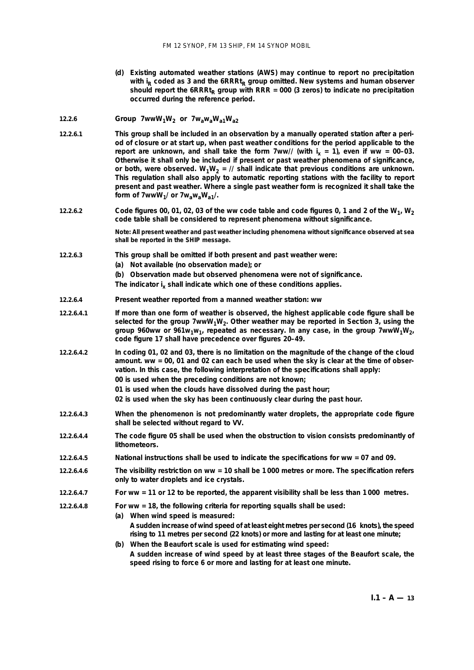**(***d***) Existing automated weather stations (AWS) may continue to report no precipitation** with i<sub>R</sub> coded as 3 and the 6RRRt<sub>R</sub> group omitted. New systems and human observer should report the  $6RRRt_R$  group with  $RRR = 000$  (3 zeros) to indicate no precipitation **occurred during the reference period.**

## **12.2.6** *Group*  $7wwW_1W_2$  *or*  $7w_3w_3W_{a1}W_{a2}$

- **12.2.6.1 This group shall be included in an observation by a manually operated station after a period of closure or at start up, when past weather conditions for the period applicable to the** report are unknown, and shall take the form 7ww// (with  $i_x = 1$ ), even if ww = 00-03. **Otherwise it shall only be included if present or past weather phenomena of significance,** or both, were observed.  $W_1W_2 =$  // shall indicate that previous conditions are unknown. **This regulation shall also apply to automatic reporting stations with the facility to report present and past weather. Where a single past weather form is recognized it shall take the** form of 7wwW<sub>1</sub>/ or 7w<sub>a</sub>w<sub>a</sub>W<sub>a1</sub>/.
- **12.2.6.2 Code figures 00, 01, 02, 03 of the ww code table and code figures 0, 1 and 2 of the**  $W_1$ **,**  $W_2$ **code table shall be considered to represent phenomena without significance.**

**Note: All present weather and past weather including phenomena without significance observed at sea shall be reported in the SHIP message.**

- **12.2.6.3 This group shall be omitted if both present and past weather were:**
	- **(***a***) Not available (no observation made); or**
	- **(***b***) Observation made but observed phenomena were not of significance.**

The indicator i<sub>x</sub> shall indicate which one of these conditions applies.

- **12.2.6.4** *Present weather reported from a manned weather station:* **ww**
- **12.2.6.4.1 If more than one form of weather is observed, the highest applicable code figure shall be** selected for the group  $7wwW_1W_2$ . Other weather may be reported in Section 3, using the group 960ww or 961w<sub>1</sub>w<sub>1</sub>, repeated as necessary. In any case, in the group 7wwW<sub>1</sub>W<sub>2</sub>, **code figure 17 shall have precedence over figures 20–49.**
- **12.2.6.4.2 In coding 01, 02 and 03, there is no limitation on the magnitude of the change of the cloud amount. ww = 00, 01 and 02 can each be used when the sky is clear at the time of observation. In this case, the following interpretation of the specifications shall apply: 00 is used when the preceding conditions are not known; 01 is used when the clouds have dissolved during the past hour;**
	- **02 is used when the sky has been continuously clear during the past hour.**
- **12.2.6.4.3 When the phenomenon is not predominantly water droplets, the appropriate code figure shall be selected without regard to VV.**
- **12.2.6.4.4 The code figure 05 shall be used when the obstruction to vision consists predominantly of lithometeors.**
- **12.2.6.4.5 National instructions shall be used to indicate the specifications for ww = 07 and 09.**
- **12.2.6.4.6 The visibility restriction on ww = 10 shall be 1 000 metres or more. The specification refers only to water droplets and ice crystals.**
- **12.2.6.4.7 For ww = 11 or 12 to be reported, the apparent visibility shall be less than 1 000 metres.**
- **12.2.6.4.8 For ww = 18, the following criteria for reporting squalls shall be used:**
	- **(***a***) When wind speed is measured: A sudden increase of wind speed of at least eight metres per second (16 knots), the speed rising to 11 metres per second (22 knots) or more and lasting for at least one minute;**
	- **(***b***) When the Beaufort scale is used for estimating wind speed: A sudden increase of wind speed by at least three stages of the Beaufort scale, the speed rising to force 6 or more and lasting for at least one minute.**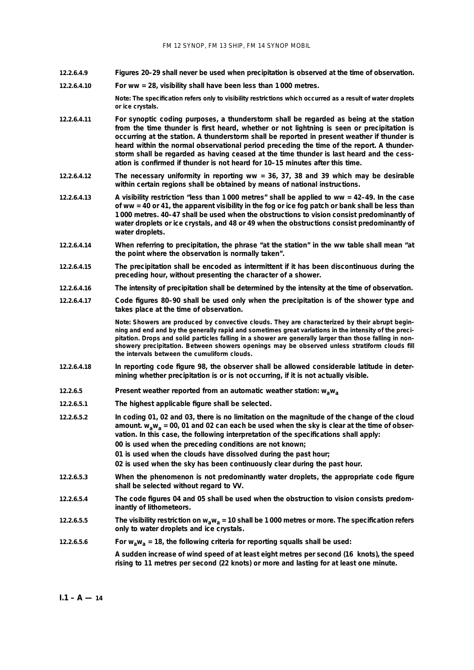- **12.2.6.4.9 Figures 20–29 shall never be used when precipitation is observed at the time of observation.**
- **12.2.6.4.10 For ww = 28, visibility shall have been less than 1 000 metres.**

**Note: The specification refers only to visibility restrictions which occurred as a result of water droplets or ice crystals.**

- **12.2.6.4.11 For synoptic coding purposes, a thunderstorm shall be regarded as being at the station from the time thunder is first heard, whether or not lightning is seen or precipitation is occurring at the station. A thunderstorm shall be reported in present weather if thunder is heard within the normal observational period preceding the time of the report. A thunderstorm shall be regarded as having ceased at the time thunder is last heard and the cessation is confirmed if thunder is not heard for 10–15 minutes after this time.**
- **12.2.6.4.12 The necessary uniformity in reporting ww = 36, 37, 38 and 39 which may be desirable within certain regions shall be obtained by means of national instructions.**
- **12.2.6.4.13 A visibility restriction "less than 1 000 metres" shall be applied to ww = 42–49. In the case of ww = 40 or 41, the apparent visibility in the fog or ice fog patch or bank shall be less than 1 000 metres. 40–47 shall be used when the obstructions to vision consist predominantly of water droplets or ice crystals, and 48 or 49 when the obstructions consist predominantly of water droplets.**
- **12.2.6.4.14 When referring to precipitation, the phrase "at the station" in the ww table shall mean "at the point where the observation is normally taken".**
- **12.2.6.4.15 The precipitation shall be encoded as intermittent if it has been discontinuous during the preceding hour, without presenting the character of a shower.**
- **12.2.6.4.16 The intensity of precipitation shall be determined by the intensity at the time of observation.**
- **12.2.6.4.17 Code figures 80–90 shall be used only when the precipitation is of the shower type and takes place at the time of observation.**

**Note: Showers are produced by convective clouds. They are characterized by their abrupt beginning and end and by the generally rapid and sometimes great variations in the intensity of the precipitation. Drops and solid particles falling in a shower are generally larger than those falling in nonshowery precipitation. Between showers openings may be observed unless stratiform clouds fill the intervals between the cumuliform clouds.**

- **12.2.6.4.18 In reporting code figure 98, the observer shall be allowed considerable latitude in determining whether precipitation is or is not occurring, if it is not actually visible.**
- **12.2.6.5** *Present weather reported from an automatic weather station:* **wawa**
- **12.2.6.5.1 The highest applicable figure shall be selected.**
- **12.2.6.5.2 In coding 01, 02 and 03, there is no limitation on the magnitude of the change of the cloud amount. wawa = 00, 01 and 02 can each be used when the sky is clear at the time of observation. In this case, the following interpretation of the specifications shall apply: 00 is used when the preceding conditions are not known; 01 is used when the clouds have dissolved during the past hour;**
	-
	- **02 is used when the sky has been continuously clear during the past hour.**
- **12.2.6.5.3 When the phenomenon is not predominantly water droplets, the appropriate code figure shall be selected without regard to VV.**
- **12.2.6.5.4 The code figures 04 and 05 shall be used when the obstruction to vision consists predominantly of lithometeors.**
- **12.2.6.5.5 The visibility restriction on wawa = 10 shall be 1 000 metres or more. The specification refers only to water droplets and ice crystals.**
- **12.2.6.5.6 For**  $w_a w_a = 18$ **, the following criteria for reporting squalls shall be used: A sudden increase of wind speed of at least eight metres per second (16 knots), the speed rising to 11 metres per second (22 knots) or more and lasting for at least one minute.**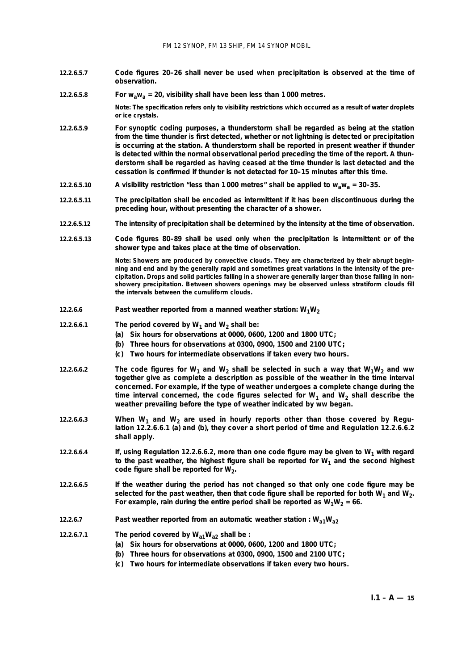- **12.2.6.5.7 Code figures 20–26 shall never be used when precipitation is observed at the time of observation.**
- **12.2.6.5.8 For**  $w_a w_a = 20$ **, visibility shall have been less than 1000 metres.**

**Note: The specification refers only to visibility restrictions which occurred as a result of water droplets or ice crystals.**

- **12.2.6.5.9 For synoptic coding purposes, a thunderstorm shall be regarded as being at the station from the time thunder is first detected, whether or not lightning is detected or precipitation is occurring at the station. A thunderstorm shall be reported in present weather if thunder is detected within the normal observational period preceding the time of the report. A thunderstorm shall be regarded as having ceased at the time thunder is last detected and the cessation is confirmed if thunder is not detected for 10–15 minutes after this time.**
- **12.2.6.5.10 A visibility restriction "less than 1 000 metres" shall be applied to wawa = 30–35.**
- **12.2.6.5.11 The precipitation shall be encoded as intermittent if it has been discontinuous during the preceding hour, without presenting the character of a shower.**
- **12.2.6.5.12 The intensity of precipitation shall be determined by the intensity at the time of observation.**

**12.2.6.5.13 Code figures 80–89 shall be used only when the precipitation is intermittent or of the shower type and takes place at the time of observation.**

> **Note: Showers are produced by convective clouds. They are characterized by their abrupt beginning and end and by the generally rapid and sometimes great variations in the intensity of the precipitation. Drops and solid particles falling in a shower are generally larger than those falling in nonshowery precipitation. Between showers openings may be observed unless stratiform clouds fill the intervals between the cumuliform clouds.**

- **12.2.6.6** *Past weather reported from a manned weather station:*  $W_1W_2$
- **12.2.6.6.1** The period covered by  $W_1$  and  $W_2$  shall be:
	- **(***a***) Six hours for observations at 0000, 0600, 1200 and 1800 UTC;**
	- **(***b***) Three hours for observations at 0300, 0900, 1500 and 2100 UTC;**
	- **(***c***) Two hours for intermediate observations if taken every two hours.**
- **12.2.6.6.2 The code figures for W<sub>1</sub> and W<sub>2</sub> shall be selected in such a way that W<sub>1</sub>W<sub>2</sub> and ww together give as complete a description as possible of the weather in the time interval concerned. For example, if the type of weather undergoes a complete change during the** time interval concerned, the code figures selected for  $W_1$  and  $W_2$  shall describe the **weather prevailing before the type of weather indicated by ww began.**
- 12.2.6.6.3 When W<sub>1</sub> and W<sub>2</sub> are used in hourly reports other than those covered by Regu**lation 12.2.6.6.1 (***a***) and (***b***), they cover a short period of time and Regulation 12.2.6.6.2 shall apply.**
- **12.2.6.6.4 If, using Regulation 12.2.6.6.2, more than one code figure may be given to W<sub>1</sub> with regard** to the past weather, the highest figure shall be reported for  $W_1$  and the second highest code figure shall be reported for W<sub>2</sub>.
- **12.2.6.6.5 If the weather during the period has not changed so that only one code figure may be** selected for the past weather, then that code figure shall be reported for both  $W_1$  and  $W_2$ . For example, rain during the entire period shall be reported as  $W_1W_2 = 66$ .
- **12.2.6.7** *Past weather reported from an automatic weather station :*  $W_{a1}W_{a2}$
- **12.2.6.7.1 The period covered by Wa1Wa2 shall be :**
	- **(***a***) Six hours for observations at 0000, 0600, 1200 and 1800 UTC;**
	- **(***b***) Three hours for observations at 0300, 0900, 1500 and 2100 UTC;**
	- **(***c***) Two hours for intermediate observations if taken every two hours.**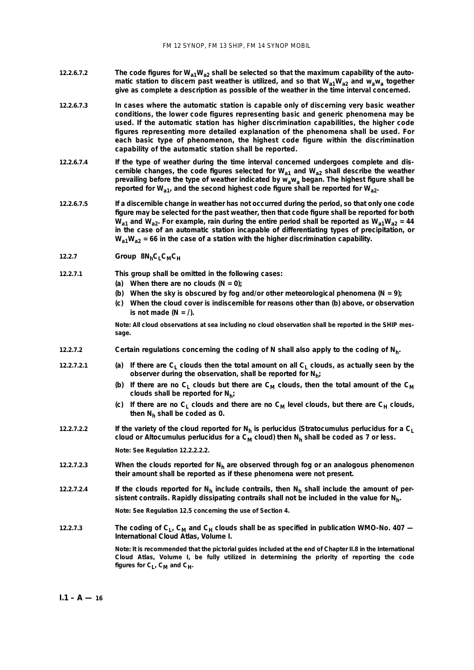- 12.2.6.7.2 **The code figures for W<sub>a1</sub>W<sub>a2</sub> shall be selected so that the maximum capability of the automatic station to discern past weather is utilized, and so that**  $W_{a1}W_{a2}$  **and**  $W_{a}w_{a}$  **together give as complete a description as possible of the weather in the time interval concerned.**
- **12.2.6.7.3 In cases where the automatic station is capable only of discerning very basic weather conditions, the lower code figures representing basic and generic phenomena may be used. If the automatic station has higher discrimination capabilities, the higher code figures representing more detailed explanation of the phenomena shall be used. For each basic type of phenomenon, the highest code figure within the discrimination capability of the automatic station shall be reported.**
- **12.2.6.7.4 If the type of weather during the time interval concerned undergoes complete and dis**cernible changes, the code figures selected for  $W_{a1}$  and  $W_{a2}$  shall describe the weather prevailing before the type of weather indicated by  $\overline{w}_a w_a$  began. The highest figure shall be reported for W<sub>a1</sub>, and the second highest code figure shall be reported for W<sub>a2</sub>.
- **12.2.6.7.5 If a discernible change in weather has not occurred during the period, so that only one code figure may be selected for the past weather, then that code figure shall be reported for both**  $W_{a1}$  and  $W_{a2}$ . For example, rain during the entire period shall be reported as  $W_{a1}W_{a2}$  = 44 **in the case of an automatic station incapable of differentiating types of precipitation, or Wa1Wa2 = 66 in the case of a station with the higher discrimination capability.**
- 12.2.7 *Group*  $8N_hC_LC_MC_H$
- **12.2.7.1 This group shall be omitted in the following cases:**
	- **(***a***) When there are no clouds (N = 0);**
	- **(***b***) When the sky is obscured by fog and/or other meteorological phenomena (N = 9);**
	- **(***c***) When the cloud cover is indiscernible for reasons other than (***b***) above, or observation** is not made  $(N = \Lambda)$ .

**Note: All cloud observations at sea including no cloud observation shall be reported in the SHIP message.**

- **12.2.7.2 Certain regulations concerning the coding of N shall also apply to the coding of Nh.**
- **12.2.7.2.1** (*a*) If there are C<sub>L</sub> clouds then the total amount on all C<sub>L</sub> clouds, as actually seen by the **observer during the observation, shall be reported for Nh;** 
	- (b) If there are no C<sub>L</sub> clouds but there are C<sub>M</sub> clouds, then the total amount of the C<sub>M</sub> **clouds shall be reported for Nh;**
	- (*c*) If there are no C<sub>1</sub> clouds and there are no C<sub>M</sub> level clouds, but there are C<sub>H</sub> clouds, **then Nh shall be coded as 0.**
- **12.2.7.2.2** If the variety of the cloud reported for N<sub>h</sub> is perlucidus (Stratocumulus perlucidus for a C<sub>L</sub> cloud or Altocumulus perlucidus for a  $C_M$  cloud) then  $N_h$  shall be coded as 7 or less.

**Note: See Regulation 12.2.2.2.2.**

- **12.2.7.2.3** When the clouds reported for N<sub>h</sub> are observed through fog or an analogous phenomenon **their amount shall be reported as if these phenomena were not present.**
- **12.2.7.2.4 If the clouds reported for Nh include contrails, then Nh shall include the amount of persistent contrails. Rapidly dissipating contrails shall not be included in the value for Nh.**

**Note: See Regulation 12.5 concerning the use of Section 4.**

**12.2.7.3 The coding of C<sub>L</sub>, C<sub>M</sub> and C<sub>H</sub> clouds shall be as specified in publication WMO-No. 407 —** *International Cloud Atlas,* **Volume I.**

> Note: It is recommended that the pictorial guides included at the end of Chapter II.8 in the *International Cloud Atlas,* **Volume I, be fully utilized in determining the priority of reporting the code** figures for  $C_L$ ,  $C_M$  and  $C_H$ .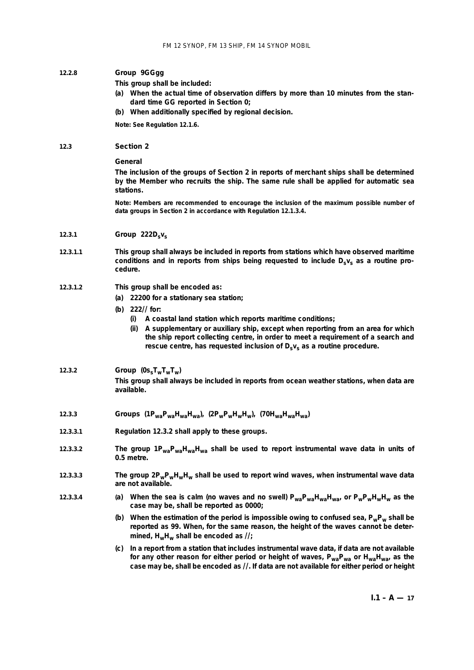#### **12.2.8** *Group* **9GGgg**

- **This group shall be included:**
- **(***a***) When the actual time of observation differs by more than 10 minutes from the standard time GG reported in Section 0;**
- **(***b***) When additionally specified by regional decision.**

**Note: See Regulation 12.1.6.**

## **12.3 Section 2**

## *General*

**The inclusion of the groups of Section 2 in reports of merchant ships shall be determined by the Member who recruits the ship. The same rule shall be applied for automatic sea stations.**

**Note: Members are recommended to encourage the inclusion of the maximum possible number of data groups in Section 2 in accordance with Regulation 12.1.3.4.**

- **12.3.1** *Group* **222Dsvs**
- **12.3.1.1 This group shall always be included in reports from stations which have observed maritime** conditions and in reports from ships being requested to include D<sub>sVs</sub> as a routine pro**cedure.**

## **12.3.1.2 This group shall be encoded as:**

- **(***a***) 22200 for a stationary sea station;**
- **(***b***) 222// for:**
	- **(i) A coastal land station which reports maritime conditions;**
	- **(ii) A supplementary or auxiliary ship, except when reporting from an area for which the ship report collecting centre, in order to meet a requirement of a search and** rescue centre, has requested inclusion of D<sub>s</sub>v<sub>s</sub> as a routine procedure.

## **12.3.2** *Group*  $(0s_{s}T_{w}T_{w}T_{w})$

**This group shall always be included in reports from ocean weather stations, when data are available.**

- **12.3.3** *Groups* **(1PwaPwaHwaHwa), (2PwPwHwHw), (70HwaHwaHwa)**
- **12.3.3.1 Regulation 12.3.2 shall apply to these groups.**
- **12.3.3.2 The group 1PwaPwaHwaHwa shall be used to report instrumental wave data in units of 0.5 metre.**
- **12.3.3.3 The group 2PwPwHwHw shall be used to report wind waves, when instrumental wave data are not available.**
- **12.3.3.4** (*a*) When the sea is calm (no waves and no swell)  $P_{wa}P_{wa}H_{wa}H_{wa}$  or  $P_wP_wH_wH_w$  as the **case may be, shall be reported as 0000;**
	- **(***b***) When the estimation of the period is impossible owing to confused sea, PwPw shall be reported as 99. When, for the same reason, the height of the waves cannot be deter**mined, H<sub>w</sub>H<sub>w</sub> shall be encoded as  $\frac{1}{2}$ ;
	- **(***c***) In a report from a station that includes instrumental wave data, if data are not available** for any other reason for either period or height of waves,  $P_{wa}P_{wa}$  or  $H_{wa}H_{wa}$ , as the **case may be, shall be encoded as //. If data are not available for either period or height**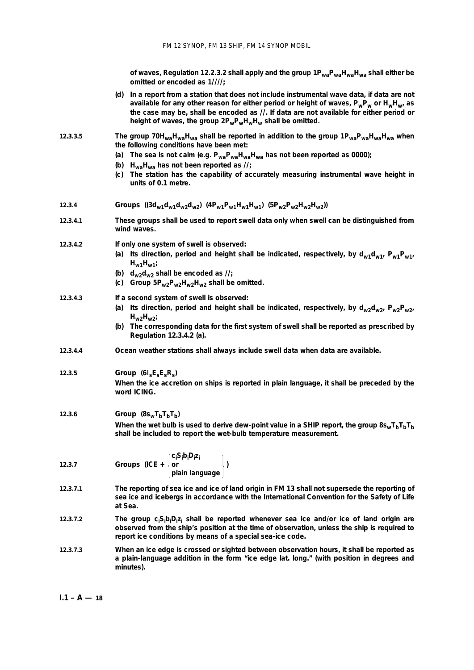**of waves, Regulation 12.2.3.2 shall apply and the group 1PwaPwaHwaHwa shall either be omitted or encoded as 1////;**

- **(***d***) In a report from a station that does not include instrumental wave data, if data are not available for any other reason for either period or height of waves, PwPw or HwHw, as the case may be, shall be encoded as //. If data are not available for either period or** height of waves, the group  $2P_wP_wH_wH_w$  shall be omitted.
- **12.3.3.5 The group 70HwaHwaHwa shall be reported in addition to the group 1PwaPwaHwaHwa when the following conditions have been met:**
	- **(***a***) The sea is not calm (e.g. PwaPwaHwaHwa has not been reported as 0000);**
	- **(***b***) HwaHwa has not been reported as //;**
	- **(***c***) The station has the capability of accurately measuring instrumental wave height in units of 0.1 metre.**
- **12.3.4** *Groups*  $((3d_{w1}d_{w2}d_{w2}d_{w3})$   $(4P_{w1}P_{w1}H_{w1}H_{w1})$   $(5P_{w2}P_{w2}H_{w2}H_{w2}))$
- **12.3.4.1 These groups shall be used to report swell data only when swell can be distinguished from wind waves.**

**12.3.4.2 If only one system of swell is observed:**

- (*a*) Its direction, period and height shall be indicated, respectively, by  $d_{w1}d_{w1}$ ,  $P_{w1}P_{w1}$ ,  $H<sub>w1</sub>$ <sub>W1</sub>;
- (b)  $d_{w2}d_{w2}$  shall be encoded as  $\frac{1}{2}$ ;
- **(***c***) Group 5Pw2Pw2Hw2Hw2 shall be omitted.**

#### **12.3.4.3 If a second system of swell is observed:**

- (*a*) Its direction, period and height shall be indicated, respectively, by  $d_{w2}d_{w2}$ ,  $P_{w2}P_{w2}$ **Hw2Hw2;**
- **(***b***) The corresponding data for the first system of swell shall be reported as prescribed by Regulation 12.3.4.2 (***a***).**
- **12.3.4.4 Ocean weather stations shall always include swell data when data are available.**

## **12.3.5** *Group* **(6**I**sEsEsRs)**

**When the ice accretion on ships is reported in plain language, it shall be preceded by the word ICING.**

**12.3.6** *Group*  $(8s_wT_bT_bT_b)$ 

When the wet bulb is used to derive dew-point value in a SHIP report, the group  $8s_wT_bT_bT_bT_b$ **shall be included to report the wet-bulb temperature measurement.**

|        |                      | $\int_{i} C_{i} S_{i} b_{i} D_{i} Z_{i}$ |  |
|--------|----------------------|------------------------------------------|--|
| 12.3.7 | Groups (ICE + $ $ or |                                          |  |
|        |                      | plain language                           |  |

- **12.3.7.1 The reporting of sea ice and ice of land origin in FM 13 shall not supersede the reporting of sea ice and icebergs in accordance with the International Convention for the Safety of Life at Sea.**
- 12.3.7.2 **The group c<sub>i</sub>S<sub>i</sub>b<sub>i</sub>D<sub>i</sub>z<sub>i</sub> shall be reported whenever sea ice and/or ice of land origin are observed from the ship's position at the time of observation, unless the ship is required to report ice conditions by means of a special sea-ice code.**
- **12.3.7.3 When an ice edge is crossed or sighted between observation hours, it shall be reported as a plain-language addition in the form "ice edge lat. long." (with position in degrees and minutes).**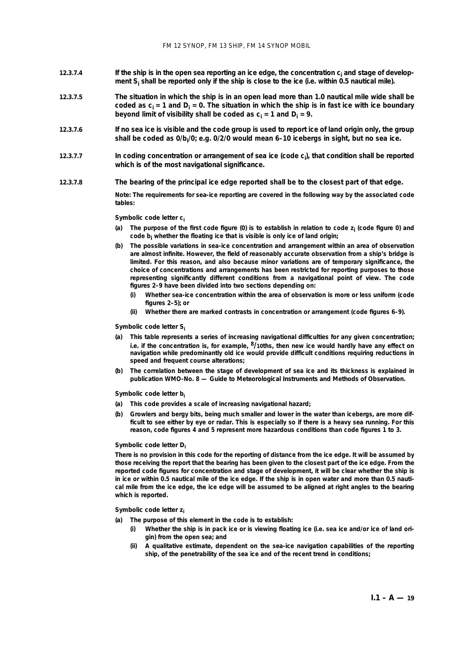- **12.3.7.4 If the ship is in the open sea reporting an ice edge, the concentration ci and stage of development Si shall be reported only if the ship is close to the ice (i.e. within 0.5 nautical mile).**
- **12.3.7.5 The situation in which the ship is in an open lead more than 1.0 nautical mile wide shall be** coded as  $c_i = 1$  and  $D_i = 0$ . The situation in which the ship is in fast ice with ice boundary **beyond limit of visibility shall be coded as**  $c_i = 1$  **and**  $D_i = 9$ **.**
- **12.3.7.6 If no sea ice is visible and the code group is used to report ice of land origin only, the group shall be coded as 0/bi /0; e.g. 0/2/0 would mean 6–10 icebergs in sight, but no sea ice.**
- 12.3.7.7 **In coding concentration or arrangement of sea ice (code c<sub>i</sub>), that condition shall be reported which is of the most navigational significance.**
- **12.3.7.8 The bearing of the principal ice edge reported shall be to the closest part of that edge.**

**Note: The requirements for sea-ice reporting are covered in the following way by the associated code tables:**

#### **Symbolic code letter ci**

- **(***a***) The purpose of the first code figure (0) is to establish in relation to code zi (code figure 0) and code bi whether the floating ice that is visible is only ice of land origin;**
- **(***b***) The possible variations in sea-ice concentration and arrangement within an area of observation are almost infinite. However, the field of reasonably accurate observation from a ship's bridge is limited. For this reason, and also because minor variations are of temporary significance, the choice of concentrations and arrangements has been restricted for reporting purposes to those representing significantly different conditions from a navigational point of view. The code figures 2–9 have been divided into two sections depending on:**
	- **(i) Whether sea-ice concentration within the area of observation is more or less uniform (code figures 2–5); or**
	- **(ii) Whether there are marked contrasts in concentration or arrangement (code figures 6–9).**

#### **Symbolic code letter Si**

- **(***a***) This table represents a series of increasing navigational difficulties for any given concentration; i.e. if the concentration is, for example, 8/10ths, then new ice would hardly have any effect on navigation while predominantly old ice would provide difficult conditions requiring reductions in speed and frequent course alterations;**
- **(***b***) The correlation between the stage of development of sea ice and its thickness is explained in publication WMO-No. 8 —** *Guide to Meteorological Instruments and Methods of Observation***.**

#### **Symbolic code letter bi**

- **(***a***) This code provides a scale of increasing navigational hazard;**
- **(***b***) Growlers and bergy bits, being much smaller and lower in the water than icebergs, are more difficult to see either by eye or radar. This is especially so if there is a heavy sea running. For this reason, code figures 4 and 5 represent more hazardous conditions than code figures 1 to 3.**

#### **Symbolic code letter Di**

**There is no provision in this code for the reporting of distance from the ice edge. It will be assumed by those receiving the report that the bearing has been given to the closest part of the ice edge. From the reported code figures for concentration and stage of development, it will be clear whether the ship is in ice or within 0.5 nautical mile of the ice edge. If the ship is in open water and more than 0.5 nautical mile from the ice edge, the ice edge will be assumed to be aligned at right angles to the bearing which is reported.**

#### **Symbolic code letter zi**

- **(***a***) The purpose of this element in the code is to establish:**
	- **(i) Whether the ship is in pack ice or is viewing floating ice (i.e. sea ice and/or ice of land origin) from the open sea; and**
	- **(ii) A qualitative estimate, dependent on the sea-ice navigation capabilities of the reporting ship, of the penetrability of the sea ice and of the recent trend in conditions;**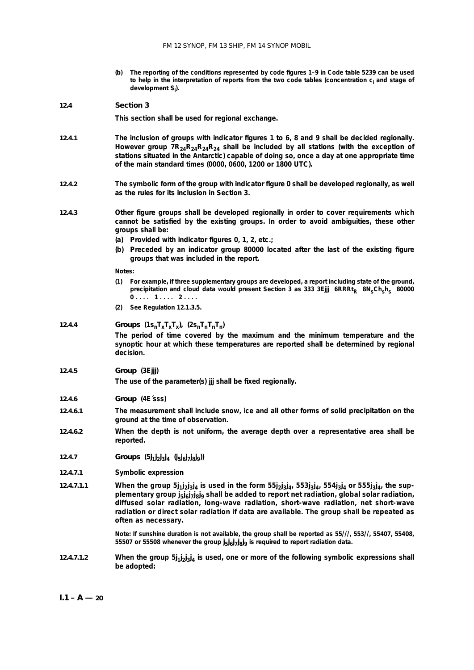**(***b***) The reporting of the conditions represented by code figures 1–9 in Code table 5239 can be used** to help in the interpretation of reports from the two code tables (concentration c<sub>i</sub> and stage of **development Si ).**

#### **12.4 Section 3**

**This section shall be used for regional exchange.**

- **12.4.1 The inclusion of groups with indicator figures 1 to 6, 8 and 9 shall be decided regionally.** However group  $7R_{24}R_{24}R_{24}R_{24}$  shall be included by all stations (with the exception of **stations situated in the Antarctic) capable of doing so, once a day at one appropriate time of the main standard times (0000, 0600, 1200 or 1800 UTC).**
- **12.4.2 The symbolic form of the group with indicator figure 0 shall be developed regionally, as well as the rules for its inclusion in Section 3.**
- **12.4.3 Other figure groups shall be developed regionally in order to cover requirements which cannot be satisfied by the existing groups. In order to avoid ambiguities, these other groups shall be:**
	- **(***a***) Provided with indicator figures 0, 1, 2, etc.;**
	- **(***b***) Preceded by an indicator group 80000 located after the last of the existing figure groups that was included in the report.**

#### **Notes:**

- **(1) For example, if three supplementary groups are developed, a report including state of the ground, precipitation and cloud data would present Section 3 as 333 3Ejjj 6RRRt<sub>R</sub> 8N<sub>s</sub>Ch<sub>s</sub>h<sub>s</sub> 80000 0 . . . . 1 . . . . 2 . . . .**
- **(2) See Regulation 12.1.3.5.**

## **12.4.4** *Groups*  $(1s_nT_xT_xT_x)$ ,  $(2s_nT_nT_nT_n)$

**The period of time covered by the maximum and the minimum temperature and the synoptic hour at which these temperatures are reported shall be determined by regional decision.**

#### **12.4.5** *Group* **(3Ejjj)**

**The use of the parameter(s) jjj shall be fixed regionally.**

- **12.4.6** *Group* **(4E´sss)**
- **12.4.6.1 The measurement shall include snow, ice and all other forms of solid precipitation on the ground at the time of observation.**
- **12.4.6.2 When the depth is not uniform, the average depth over a representative area shall be reported.**
- **12.4.7** *Groups* **(5j1j 2j 3j <sup>4</sup> (j5j 6j 7j 8j 9))**
- **12.4.7.1** *Symbolic expression*
- **12.4.7.1.1** When the group  $5j_1j_2j_3j_4$  is used in the form  $55j_2j_3j_4$ ,  $553j_3j_4$ ,  $554j_3j_4$  or  $555j_3j_4$ , the sup**plementary group j5j6j7j8j9 shall be added to report net radiation, global solar radiation, diffused solar radiation, long-wave radiation, short-wave radiation, net short-wave radiation or direct solar radiation if data are available. The group shall be repeated as often as necessary.**

**Note: If sunshine duration is not available, the group shall be reported as 55///, 553//, 55407, 55408, 55507 or 55508 whenever the group j 5j 6j 7j 8j <sup>9</sup> is required to report radiation data.**

**12.4.7.1.2** When the group  $5j_1j_2j_3j_4$  is used, one or more of the following symbolic expressions shall **be adopted:**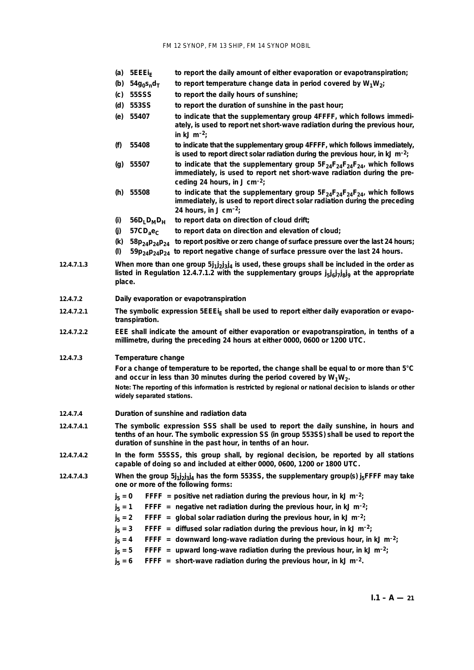- **(***a***) 5EEEiE to report the daily amount of either evaporation or evapotranspiration;**
- (b)  $54q_0s_p d_\text{T}$  to report temperature change data in period covered by  $W_1W_2$ ;
- **(***c***) 55SSS to report the daily hours of sunshine;**
- **(***d***) 553SS to report the duration of sunshine in the past hour;**
- **(***e***) 55407 to indicate that the supplementary group 4FFFF, which follows immediately, is used to report net short-wave radiation during the previous hour, in kJ m–2;**
- **(***f***) 55408 to indicate that the supplementary group 4FFFF, which follows immediately, is used to report direct solar radiation during the previous hour, in kJ m–2;**
- (*g*) 55507 to indicate that the supplementary group  $5F_{24}F_{24}F_{24}F_{24}$ , which follows **immediately, is used to report net short-wave radiation during the preceding 24 hours, in J cm–2;**
- (*h*) 55508 to indicate that the supplementary group  $5F_{24}F_{24}F_{24}F_{24}$ , which follows **immediately, is used to report direct solar radiation during the preceding 24 hours, in J cm–2;**
- $(i)$  56D<sub>L</sub>D<sub>M</sub>D<sub>H</sub> to report data on direction of cloud drift;
- **(***j***) 57CDae<sup>C</sup> to report data on direction and elevation of cloud;**
- **(***k***) 58p24p24p24 to report positive or zero change of surface pressure over the last 24 hours;**
- $59p_{24}p_{24}p_{24}$  to report negative change of surface pressure over the last 24 hours.
- **12.4.7.1.3** When more than one group  $5j_1j_2j_3j_4$  is used, these groups shall be included in the order as listed in Regulation 12.4.7.1.2 with the supplementary groups j<sub>5</sub>j<sub>6</sub>j<sub>7</sub>j<sub>8</sub>j<sub>9</sub> at the appropriate **place.**
- **12.4.7.2** *Daily evaporation or evapotranspiration*
- 12.4.7.2.1 The symbolic expression 5EEE<sub>IF</sub> shall be used to report either daily evaporation or evapo**transpiration.**
- **12.4.7.2.2 EEE shall indicate the amount of either evaporation or evapotranspiration, in tenths of a millimetre, during the preceding 24 hours at either 0000, 0600 or 1200 UTC.**

#### **12.4.7.3** *Temperature change*

**For a change of temperature to be reported, the change shall be equal to or more than 5°C** and occur in less than 30 minutes during the period covered by  $W_1W_2$ . **Note: The reporting of this information is restricted by regional or national decision to islands or other widely separated stations.**

- **12.4.7.4** *Duration of sunshine and radiation data*
- **12.4.7.4.1 The symbolic expression SSS shall be used to report the daily sunshine, in hours and tenths of an hour. The symbolic expression SS (in group 553SS) shall be used to report the duration of sunshine in the past hour, in tenths of an hour.**
- **12.4.7.4.2 In the form 55SSS, this group shall, by regional decision, be reported by all stations capable of doing so and included at either 0000, 0600, 1200 or 1800 UTC.**
- 12.4.7.4.3 **When the group 5** $j_1 j_2 j_3 j_4$  has the form 553SS, the supplementary group(s)  $j_5$ FFFF may take **one or more of the following forms:**
	- $j_{F} = 0$ **FFFF** = positive net radiation during the previous hour, in kJ m<sup>-2</sup>;
	- $j_{5} = 1$ **FFFF** = negative net radiation during the previous hour, in kJ m<sup>-2</sup>;
	- $j_{5} = 2$ **FFFF** = global solar radiation during the previous hour, in kJ m<sup>-2</sup>;
	- $j_{F} = 3$ **FFFF** = diffused solar radiation during the previous hour, in kJ m<sup>-2</sup>;
	- $j_{5} = 4$ **FFFF** = downward long-wave radiation during the previous hour, in kJ m<sup>-2</sup>;
	- $j_5 = 5$ **FFFF** = upward long-wave radiation during the previous hour, in kJ m<sup>-2</sup>;
	- $j_5 = 6$ **FFFF** = short-wave radiation during the previous hour, in kJ m<sup>-2</sup>.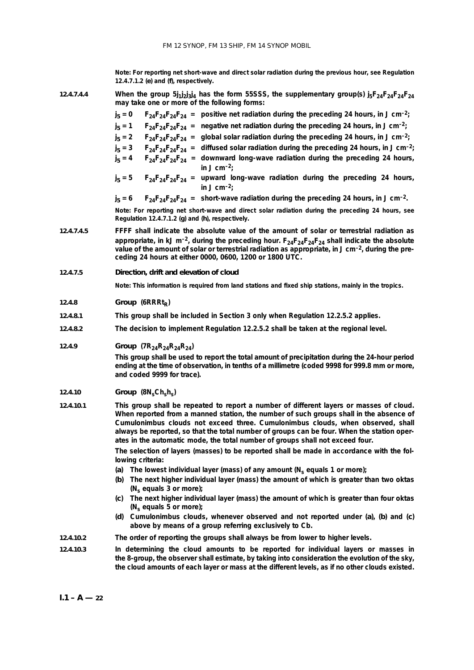**Note: For reporting net short-wave and direct solar radiation during the previous hour, see Regulation 12.4.7.1.2 (***e***) and (***f***), respectively.**

**12.4.7.4.4** When the group  $5j_1j_2j_3j_4$  has the form 55SSS, the supplementary group(s)  $j_5F_{24}F_{24}F_{24}F_{24}$ **may take one or more of the following forms:**

|            | may take one or more or the following forms:                                                                                                                                                                                                                                                                                                                                                                                                        |  |  |
|------------|-----------------------------------------------------------------------------------------------------------------------------------------------------------------------------------------------------------------------------------------------------------------------------------------------------------------------------------------------------------------------------------------------------------------------------------------------------|--|--|
|            | $j_5 = 0$ $F_{24}F_{24}F_{24} =$ positive net radiation during the preceding 24 hours, in J cm <sup>-2</sup> ;                                                                                                                                                                                                                                                                                                                                      |  |  |
|            | $j_5 = 1$ $F_{24}F_{24}F_{24}F_{24} =$ negative net radiation during the preceding 24 hours, in J cm <sup>-2</sup> ;                                                                                                                                                                                                                                                                                                                                |  |  |
|            | $j_5 = 2$ $F_{24}F_{24}F_{24} =$ global solar radiation during the preceding 24 hours, in J cm-2;                                                                                                                                                                                                                                                                                                                                                   |  |  |
|            | $j_5 = 3$ $F_{24}F_{24}F_{24} =$ diffused solar radiation during the preceding 24 hours, in J cm <sup>-2</sup> ;                                                                                                                                                                                                                                                                                                                                    |  |  |
|            | $j_5 = 4$ $F_{24}F_{24}F_{24} =$ downward long-wave radiation during the preceding 24 hours,<br>in $J \, \text{cm}^{-2}$ ;                                                                                                                                                                                                                                                                                                                          |  |  |
|            | $j_5 = 5$ $F_{24}F_{24}F_{24} =$ upward long-wave radiation during the preceding 24 hours,<br>in J cm <sup>-2</sup> :                                                                                                                                                                                                                                                                                                                               |  |  |
|            | $j_5 = 6$ $F_{24}F_{24}F_{24} =$ short-wave radiation during the preceding 24 hours, in J cm <sup>-2</sup> .                                                                                                                                                                                                                                                                                                                                        |  |  |
|            | Note: For reporting net short-wave and direct solar radiation during the preceding 24 hours, see<br>Regulation 12.4.7.1.2 $(g)$ and $(h)$ , respectively.                                                                                                                                                                                                                                                                                           |  |  |
| 12.4.7.4.5 | FFFF shall indicate the absolute value of the amount of solar or terrestrial radiation as<br>appropriate, in kJ m <sup>-2</sup> , during the preceding hour. $F_{24}F_{24}F_{24}F_{24}$ shall indicate the absolute<br>value of the amount of solar or terrestrial radiation as appropriate, in J cm-2, during the pre-<br>ceding 24 hours at either 0000, 0600, 1200 or 1800 UTC.                                                                  |  |  |
| 12.4.7.5   | Direction, drift and elevation of cloud                                                                                                                                                                                                                                                                                                                                                                                                             |  |  |
|            | Note: This information is required from land stations and fixed ship stations, mainly in the tropics.                                                                                                                                                                                                                                                                                                                                               |  |  |
| 12.4.8     | Group ( $6RRRt_R$ )                                                                                                                                                                                                                                                                                                                                                                                                                                 |  |  |
| 12.4.8.1   | This group shall be included in Section 3 only when Regulation 12.2.5.2 applies.                                                                                                                                                                                                                                                                                                                                                                    |  |  |
| 12.4.8.2   | The decision to implement Regulation 12.2.5.2 shall be taken at the regional level.                                                                                                                                                                                                                                                                                                                                                                 |  |  |
| 12.4.9     | Group $(7R_{24}R_{24}R_{24}R_{24})$                                                                                                                                                                                                                                                                                                                                                                                                                 |  |  |
|            | This group shall be used to report the total amount of precipitation during the 24-hour period<br>ending at the time of observation, in tenths of a millimetre (coded 9998 for 999.8 mm or more,<br>and coded 9999 for trace).                                                                                                                                                                                                                      |  |  |
| 12.4.10    | $Group (8N_{S}Ch_{S}h_{S})$                                                                                                                                                                                                                                                                                                                                                                                                                         |  |  |
| 12.4.10.1  | This group shall be repeated to report a number of different layers or masses of cloud.<br>When reported from a manned station, the number of such groups shall in the absence of<br>Cumulonimbus clouds not exceed three. Cumulonimbus clouds, when observed, shall<br>always be reported, so that the total number of groups can be four. When the station oper-<br>ates in the automatic mode, the total number of groups shall not exceed four. |  |  |
|            | The selection of layers (masses) to be reported shall be made in accordance with the fol-<br>lowing criteria:                                                                                                                                                                                                                                                                                                                                       |  |  |
|            | The lowest individual layer (mass) of any amount ( $N_s$ equals 1 or more);<br>(a)                                                                                                                                                                                                                                                                                                                                                                  |  |  |
|            | The next higher individual layer (mass) the amount of which is greater than two oktas<br>(b)<br>$(N_s$ equals 3 or more);                                                                                                                                                                                                                                                                                                                           |  |  |
|            | The next higher individual layer (mass) the amount of which is greater than four oktas<br>(c)<br>( $N_s$ equals 5 or more);                                                                                                                                                                                                                                                                                                                         |  |  |
|            | (d) Cumulonimbus clouds, whenever observed and not reported under (a), (b) and (c)<br>above by means of a group referring exclusively to Cb.                                                                                                                                                                                                                                                                                                        |  |  |

- **12.4.10.2 The order of reporting the groups shall always be from lower to higher levels.**
- **12.4.10.3 In determining the cloud amounts to be reported for individual layers or masses in the 8-group, the observer shall estimate, by taking into consideration the evolution of the sky, the cloud amounts of each layer or mass at the different levels, as if no other clouds existed.**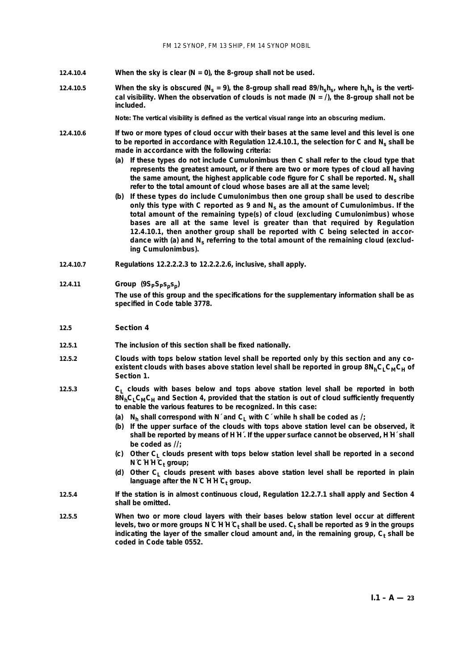- **12.4.10.4 When the sky is clear (N = 0), the 8-group shall not be used.**
- 12.4.10.5 When the sky is obscured ( $N_s = 9$ ), the 8-group shall read 89/h<sub>s</sub>h<sub>s</sub>, where h<sub>s</sub>h<sub>s</sub> is the vertical visibility. When the observation of clouds is not made  $(N = \Lambda)$ , the 8-group shall not be **included.**

**Note: The vertical visibility is defined as the vertical visual range into an obscuring medium.**

- **12.4.10.6 If two or more types of cloud occur with their bases at the same level and this level is one** to be reported in accordance with Regulation 12.4.10.1, the selection for C and N<sub>s</sub> shall be **made in accordance with the following criteria:**
	- **(***a***) If these types do not include Cumulonimbus then C shall refer to the cloud type that represents the greatest amount, or if there are two or more types of cloud all having** the same amount, the highest applicable code figure for C shall be reported. N<sub>s</sub> shall **refer to the total amount of cloud whose bases are all at the same level;**
	- **(***b***) If these types do include Cumulonimbus then one group shall be used to describe only this type with C reported as 9 and Ns as the amount of Cumulonimbus. If the total amount of the remaining type(s) of cloud (excluding Cumulonimbus) whose bases are all at the same level is greater than that required by Regulation 12.4.10.1, then another group shall be reported with C being selected in accor**dance with  $(a)$  and  $N_s$  referring to the total amount of the remaining cloud (exclud**ing Cumulonimbus).**
- **12.4.10.7 Regulations 12.2.2.2.3 to 12.2.2.2.6, inclusive, shall apply.**
- **12.4.11** *Group*  $(9S_pS_ps_ps_p)$ **The use of this group and the specifications for the supplementary information shall be as specified in Code table 3778.**

#### **12.5 Section 4**

- **12.5.1 The inclusion of this section shall be fixed nationally.**
- **12.5.2 Clouds with tops below station level shall be reported only by this section and any coexistent clouds with bases above station level shall be reported in group 8N<sub>h</sub>C<sub>I</sub> C<sub>M</sub>C<sub>H</sub> of Section 1.**
- **12.5.3 C<sub>L</sub> clouds** with bases below and tops above station level shall be reported in both **8NhCLCMCH and Section 4, provided that the station is out of cloud sufficiently frequently to enable the various features to be recognized. In this case:**
	- (*a*)  $N_h$  shall correspond with N´ and C<sub>L</sub> with C´ while h shall be coded as  $I_i$
	- **(***b***) If the upper surface of the clouds with tops above station level can be observed, it shall be reported by means of H´H´. If the upper surface cannot be observed, H´H´ shall be coded as //;**
	- (*c*) Other C<sub>1</sub> clouds present with tops below station level shall be reported in a second **N**<sup>C</sup>H<sup> $C$ </sup><sub>t</sub> group;
	- **(***d***) Other CL clouds present with bases above station level shall be reported in plain** language after the N $C$ <sup>H</sup> $C_t$  group.
- **12.5.4 If the station is in almost continuous cloud, Regulation 12.2.7.1 shall apply and Section 4 shall be omitted.**
- **12.5.5 When two or more cloud layers with their bases below station level occur at different** levels, two or more groups N'C'H'H'C<sub>t</sub> shall be used. C<sub>t</sub> shall be reported as 9 in the groups indicating the layer of the smaller cloud amount and, in the remaining group, C<sub>t</sub> shall be **coded in Code table 0552.**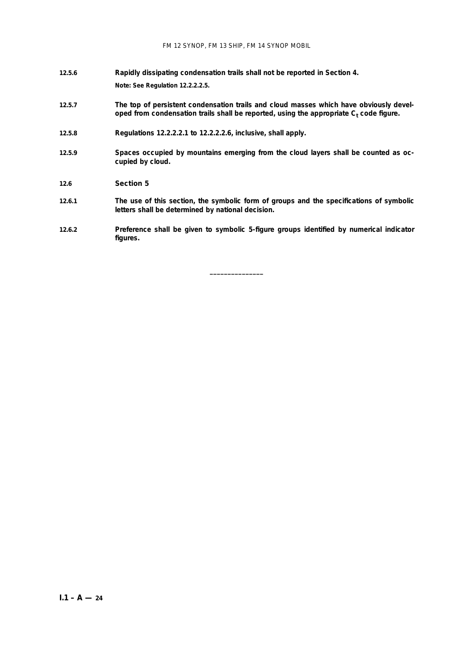- **12.5.6 Rapidly dissipating condensation trails shall not be reported in Section 4. Note: See Regulation 12.2.2.2.5.**
- **12.5.7 The top of persistent condensation trails and cloud masses which have obviously devel**oped from condensation trails shall be reported, using the appropriate C<sub>t</sub> code figure.
- **12.5.8 Regulations 12.2.2.2.1 to 12.2.2.2.6, inclusive, shall apply.**
- **12.5.9 Spaces occupied by mountains emerging from the cloud layers shall be counted as occupied by cloud.**
- **12.6 Section 5**
- **12.6.1 The use of this section, the symbolic form of groups and the specifications of symbolic letters shall be determined by national decision.**
- **12.6.2 Preference shall be given to symbolic 5-figure groups identified by numerical indicator figures.**

**\_\_\_\_\_\_\_\_\_\_\_\_\_\_\_**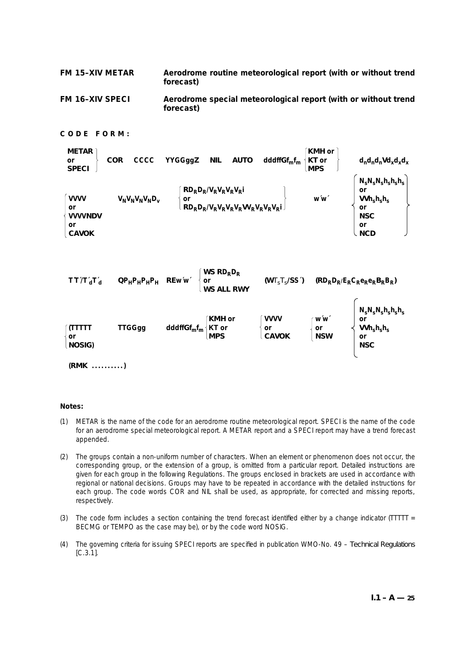**FM 15–XIV METAR Aerodrome routine meteorological report (with or without trend forecast)**

**FM 16–XIV SPECI Aerodrome special meteorological report (with or without trend forecast)**

## **CODE FORM:**



## **Notes:**

- (1) METAR is the name of the code for an aerodrome routine meteorological report. SPECI is the name of the code for an aerodrome special meteorological report. A METAR report and a SPECI report may have a trend forecast appended.
- (2) The groups contain a non-uniform number of characters. When an element or phenomenon does not occur, the corresponding group, or the extension of a group, is omitted from a particular report. Detailed instructions are given for each group in the following Regulations. The groups enclosed in brackets are used in accordance with regional or national decisions. Groups may have to be repeated in accordance with the detailed instructions for each group. The code words COR and NIL shall be used, as appropriate, for corrected and missing reports, respectively.
- (3) The code form includes a section containing the trend forecast identified either by a change indicator (TTTTT  $=$ BECMG or TEMPO as the case may be), or by the code word NOSIG.
- (4) The governing criteria for issuing SPECI reports are specified in publication WMO-No. 49 *Technical Regulations* [C.3.1].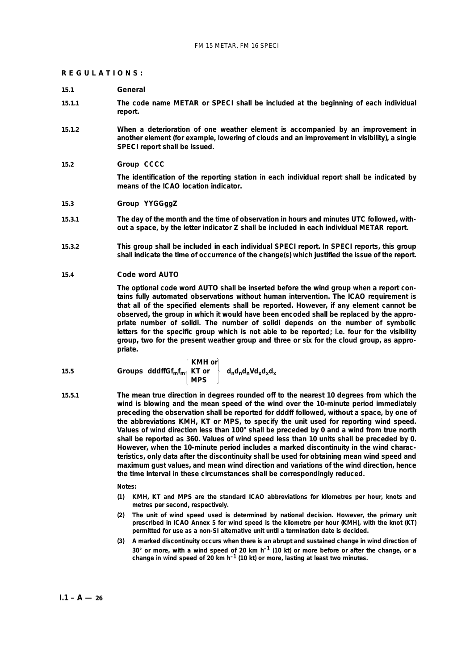#### **REGULATIONS:**

#### **15.1 General**

- **15.1.1 The code name METAR or SPECI shall be included at the beginning of each individual report.**
- **15.1.2 When a deterioration of one weather element is accompanied by an improvement in another element (for example, lowering of clouds and an improvement in visibility), a single SPECI report shall be issued.**
- **15.2 Group CCCC**

**The identification of the reporting station in each individual report shall be indicated by means of the ICAO location indicator.**

## **15.3 Group YYGGggZ**

- **15.3.1 The day of the month and the time of observation in hours and minutes UTC followed, without a space, by the letter indicator Z shall be included in each individual METAR report.**
- **15.3.2 This group shall be included in each individual SPECI report. In SPECI reports, this group shall indicate the time of occurrence of the change(s) which justified the issue of the report.**

#### **15.4 Code word AUTO**

**The optional code word AUTO shall be inserted before the wind group when a report contains fully automated observations without human intervention. The ICAO requirement is that all of the specified elements shall be reported. However, if any element cannot be observed, the group in which it would have been encoded shall be replaced by the appropriate number of solidi. The number of solidi depends on the number of symbolic letters for the specific group which is not able to be reported; i.e. four for the visibility group, two for the present weather group and three or six for the cloud group, as appropriate.**

15.5 **Groups** dddffGf<sub>m</sub>f<sub>m</sub> 
$$
\begin{cases} KMH \text{ or} \\ KT \text{ or} \\ MPS \end{cases} d_n d_n d_n V d_x d_x d_x
$$

**15.5.1 The mean true direction in degrees rounded off to the nearest 10 degrees from which the wind is blowing and the mean speed of the wind over the 10-minute period immediately preceding the observation shall be reported for dddff followed, without a space, by one of the abbreviations KMH, KT or MPS, to specify the unit used for reporting wind speed. Values of wind direction less than 100° shall be preceded by 0 and a wind from true north shall be reported as 360. Values of wind speed less than 10 units shall be preceded by 0. However, when the 10-minute period includes a marked discontinuity in the wind characteristics, only data after the discontinuity shall be used for obtaining mean wind speed and maximum gust values, and mean wind direction and variations of the wind direction, hence the time interval in these circumstances shall be correspondingly reduced.**

**Notes:**

- **(1) KMH, KT and MPS are the standard ICAO abbreviations for kilometres per hour, knots and metres per second, respectively.**
- **(2) The unit of wind speed used is determined by national decision. However, the primary unit prescribed in ICAO Annex 5 for wind speed is the kilometre per hour (KMH), with the knot (KT) permitted for use as a non-SI alternative unit until a termination date is decided.**
- **(3) A marked discontinuity occurs when there is an abrupt and sustained change in wind direction of 30° or more, with a wind speed of 20 km h–1 (10 kt) or more before or after the change, or a change in wind speed of 20 km h–1 (10 kt) or more, lasting at least two minutes.**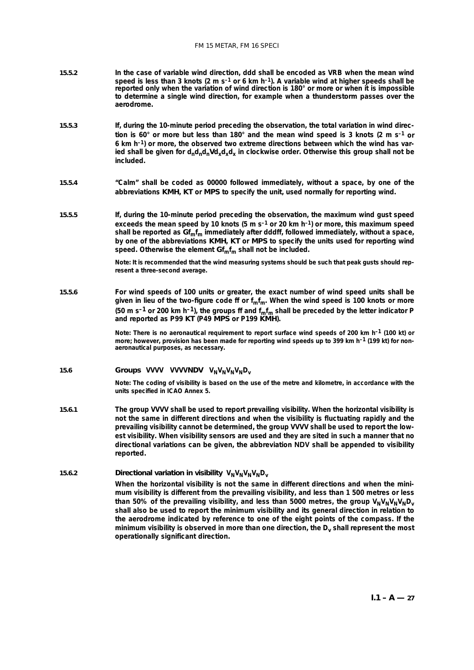- **15.5.2 In the case of variable wind direction, ddd shall be encoded as VRB when the mean wind speed is less than 3 knots (2 m s–1 or 6 km h–1). A variable wind at higher speeds shall be reported only when the variation of wind direction is 180° or more or when it is impossible to determine a single wind direction, for example when a thunderstorm passes over the aerodrome.**
- **15.5.3 If, during the 10-minute period preceding the observation, the total variation in wind direction is 60° or more but less than 180° and the mean wind speed is 3 knots (2 m s–1 or 6 km h–1) or more, the observed two extreme directions between which the wind has var**ied shall be given for  $d_n d_n d_n V d_x d_x d_x$  in clockwise order. Otherwise this group shall not be **included.**
- **15.5.4 "Calm" shall be coded as 00000 followed immediately, without a space, by one of the abbreviations KMH, KT or MPS to specify the unit, used normally for reporting wind.**
- **15.5.5 If, during the 10-minute period preceding the observation, the maximum wind gust speed exceeds the mean speed by 10 knots (5 m s–1 or 20 km h–1) or more, this maximum speed shall be reported as Gfmfm immediately after dddff, followed immediately, without a space, by one of the abbreviations KMH, KT or MPS to specify the units used for reporting wind** speed. Otherwise the element  $\mathbf{Gf}_{\mathbf{m}}\mathbf{f}_{\mathbf{m}}$  shall not be included.

**Note: It is recommended that the wind measuring systems should be such that peak gusts should represent a three-second average.**

**15.5.6 For wind speeds of 100 units or greater, the exact number of wind speed units shall be given in lieu of the two-figure code ff or fmfm. When the wind speed is 100 knots or more**  $(50 \text{ m s}^{-1})$  or 200 km h<sup>-1</sup>), the groups ff and  $f_m f_m$  shall be preceded by the letter indicator P **and reported as P99 KT (P49 MPS or P199 KMH).**

> **Note: There is no aeronautical requirement to report surface wind speeds of 200 km h–1 (100 kt) or more; however, provision has been made for reporting wind speeds up to 399 km h–1 (199 kt) for nonaeronautical purposes, as necessary.**

## 15.6 **Groups** VVVV VVVVNDV  $V_N V_N V_N V_N D_V$

**Note: The coding of visibility is based on the use of the metre and kilometre, in accordance with the units specified in ICAO Annex 5.** 

**15.6.1 The group VVVV shall be used to report prevailing visibility. When the horizontal visibility is not the same in different directions and when the visibility is fluctuating rapidly and the prevailing visibility cannot be determined, the group VVVV shall be used to report the lowest visibility. When visibility sensors are used and they are sited in such a manner that no directional variations can be given, the abbreviation NDV shall be appended to visibility reported.**

## 15.6.2 *Directional variation in visibility*  $V_N V_N V_N V_N D_V$ **When the horizontal visibility is not the same in different directions and when the minimum visibility is different from the prevailing visibility, and less than 1 500 metres or less** than 50% of the prevailing visibility, and less than 5000 metres, the group  $V_NV_NV_NV_ND_V$ **shall also be used to report the minimum visibility and its general direction in relation to the aerodrome indicated by reference to one of the eight points of the compass. If the** minimum visibility is observed in more than one direction, the D<sub>v</sub> shall represent the most **operationally significant direction.**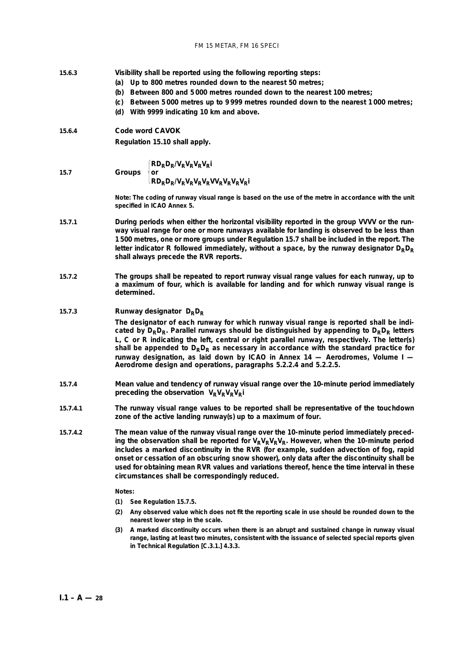- **15.6.3 Visibility shall be reported using the following reporting steps:**
	- **(***a***) Up to 800 metres rounded down to the nearest 50 metres;**
	- **(***b***) Between 800 and 5 000 metres rounded down to the nearest 100 metres;**
	- **(***c***) Between 5 000 metres up to 9 999 metres rounded down to the nearest 1 000 metres;**
	- **(***d***) With 9999 indicating 10 km and above.**
- **15.6.4** *Code word* **CAVOK**

**Regulation 15.10 shall apply.**

 $\begin{cases} \mathbf{R} \mathbf{D}_{R} \mathbf{D}_{R} / V_{R} V_{R} V_{R} V_{R} \end{cases}$ **15.7 Groups or**

## $R_{\rm RD}$ D<sub>R</sub>/V<sub>R</sub>V<sub>R</sub>V<sub>R</sub>V<sub>R</sub>V<sub>R</sub>V<sub>R</sub>V<sub>R</sub>V<sub>R</sub>

**Note: The coding of runway visual range is based on the use of the metre in accordance with the unit specified in ICAO Annex 5.** 

- **15.7.1 During periods when either the horizontal visibility reported in the group VVVV or the runway visual range for one or more runways available for landing is observed to be less than 1 500 metres, one or more groups under Regulation 15.7 shall be included in the report. The** letter indicator **R** followed immediately, without a space, by the runway designator  $D_R D_R$ **shall always precede the RVR reports.**
- **15.7.2 The groups shall be repeated to report runway visual range values for each runway, up to a maximum of four, which is available for landing and for which runway visual range is determined.**

## 15.7.3 *Runway designator*  $D_R D_R$

**The designator of each runway for which runway visual range is reported shall be indi**cated by  $D_R D_R$ . Parallel runways should be distinguished by appending to  $D_R D_R$  letters **L, C or R indicating the left, central or right parallel runway, respectively. The letter(s)** shall be appended to  $D_R D_R$  as necessary in accordance with the standard practice for **runway designation, as laid down by ICAO in Annex 14 — Aerodromes, Volume I — Aerodrome design and operations, paragraphs 5.2.2.4 and 5.2.2.5.**

- **15.7.4** *Mean value and tendency of runway visual range over the 10-minute period immediately preceding the observation*  $V_R V_R V_R V_R$
- **15.7.4.1 The runway visual range values to be reported shall be representative of the touchdown zone of the active landing runway(s) up to a maximum of four.**
- **15.7.4.2 The mean value of the runway visual range over the 10-minute period immediately preced**ing the observation shall be reported for  $V_R V_R V_R V_R$ . However, when the 10-minute period **includes a marked discontinuity in the RVR (for example, sudden advection of fog, rapid onset or cessation of an obscuring snow shower), only data after the discontinuity shall be used for obtaining mean RVR values and variations thereof, hence the time interval in these circumstances shall be correspondingly reduced.**

#### **Notes:**

- **(1) See Regulation 15.7.5.**
- **(2) Any observed value which does not fit the reporting scale in use should be rounded down to the nearest lower step in the scale.**
- **(3) A marked discontinuity occurs when there is an abrupt and sustained change in runway visual range, lasting at least two minutes, consistent with the issuance of selected special reports given in** *Technical Regulation* **[C.3.1.] 4.3.3.**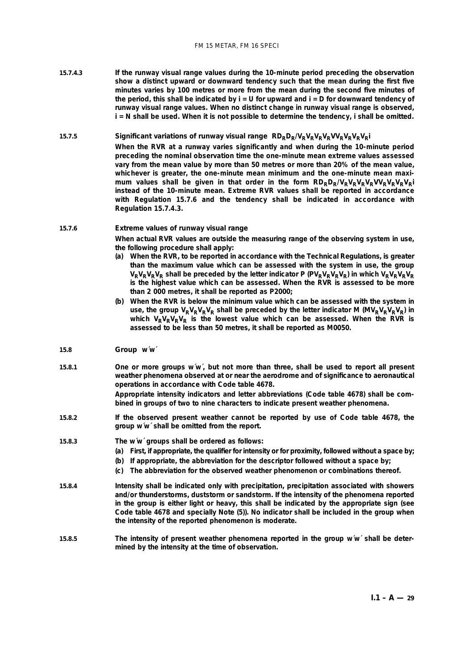**15.7.4.3 If the runway visual range values during the 10-minute period preceding the observation show a distinct upward or downward tendency such that the mean during the first five minutes varies by 100 metres or more from the mean during the second five minutes of the period, this shall be indicated by i = U for upward and i = D for downward tendency of runway visual range values. When no distinct change in runway visual range is observed, i = N shall be used. When it is not possible to determine the tendency, i shall be omitted.**

## **15.7.5** *Significant variations of runway visual range* **RDRDR/VRVRVRVRVVRVRVRVRi**

**When the RVR at a runway varies significantly and when during the 10-minute period preceding the nominal observation time the one-minute mean extreme values assessed vary from the mean value by more than 50 metres or more than 20% of the mean value, whichever is greater, the one-minute mean minimum and the one-minute mean maxi**mum values shall be given in that order in the form  $R D_R D_R/V_R V_R V_R V_R V_R V_R V_R V_R$ **instead of the 10-minute mean. Extreme RVR values shall be reported in accordance with Regulation 15.7.6 and the tendency shall be indicated in accordance with Regulation 15.7.4.3.**

#### **15.7.6** *Extreme values of runway visual range*

**When actual RVR values are outside the measuring range of the observing system in use, the following procedure shall apply:**

- **(***a***) When the RVR, to be reported in accordance with the** *Technical Regulations***, is greater than the maximum value which can be assessed with the system in use, the group**  $V_R V_R V_R V_R$  shall be preceded by the letter indicator P ( $PV_R V_R V_R V_R$ ) in which  $V_R V_R V_R V_R$ **is the highest value which can be assessed. When the RVR is assessed to be more than 2 000 metres, it shall be reported as P2000;**
- **(***b***) When the RVR is below the minimum value which can be assessed with the system in** use, the group  $V_R V_R V_R V_R$  shall be preceded by the letter indicator M ( $MV_R V_R V_R V_R$ ) in which V<sub>R</sub>V<sub>R</sub>V<sub>R</sub>V<sub>R</sub> is the lowest value which can be assessed. When the RVR is **assessed to be less than 50 metres, it shall be reported as M0050.**

#### **15.8 Group w´w´**

**15.8.1 One or more groups w´w´, but not more than three, shall be used to report all present weather phenomena observed at or near the aerodrome and of significance to aeronautical operations in accordance with Code table 4678.**

> **Appropriate intensity indicators and letter abbreviations (Code table 4678) shall be combined in groups of two to nine characters to indicate present weather phenomena.**

**15.8.2 If the observed present weather cannot be reported by use of Code table 4678, the group w´w´ shall be omitted from the report.**

#### **15.8.3 The w´w´ groups shall be ordered as follows:**

- **(***a***) First, if appropriate, the qualifier for intensity** *or* **for proximity, followed without a space by;**
- **(***b***) If appropriate, the abbreviation for the descriptor followed without a space by;**
- **(***c***) The abbreviation for the observed weather phenomenon or combinations thereof.**
- **15.8.4 Intensity shall be indicated only with precipitation, precipitation associated with showers and/or thunderstorms, duststorm or sandstorm. If the intensity of the phenomena reported in the group is either light or heavy, this shall be indicated by the appropriate sign (see Code table 4678 and specially Note (5)). No indicator shall be included in the group when the intensity of the reported phenomenon is moderate.**
- **15.8.5 The intensity of present weather phenomena reported in the group w´w´ shall be determined by the intensity at the time of observation.**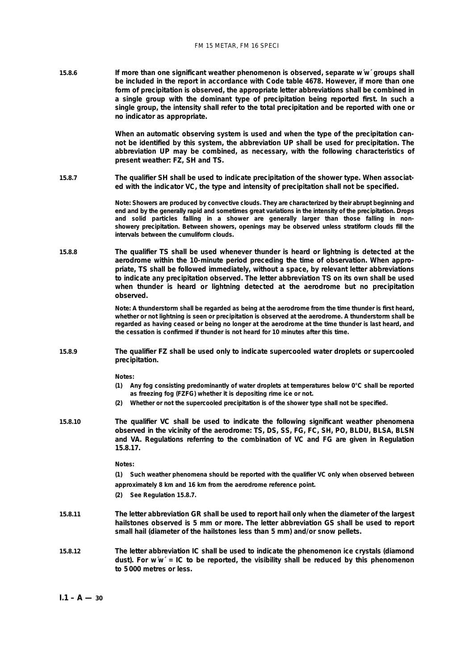**15.8.6 If more than one significant weather phenomenon is observed, separate w´w´ groups shall be included in the report in accordance with Code table 4678. However, if more than one form of precipitation is observed, the appropriate letter abbreviations shall be combined in a single group with the dominant type of precipitation being reported first. In such a single group, the intensity shall refer to the total precipitation and be reported with one or no indicator as appropriate.**

> **When an automatic observing system is used and when the type of the precipitation cannot be identified by this system, the abbreviation UP shall be used for precipitation. The abbreviation UP may be combined, as necessary, with the following characteristics of present weather: FZ, SH and TS.**

**15.8.7 The qualifier SH shall be used to indicate precipitation of the shower type. When associated with the indicator VC, the type and intensity of precipitation shall not be specified.**

> **Note: Showers are produced by convective clouds. They are characterized by their abrupt beginning and end and by the generally rapid and sometimes great variations in the intensity of the precipitation. Drops and solid particles falling in a shower are generally larger than those falling in nonshowery precipitation. Between showers, openings may be observed unless stratiform clouds fill the intervals between the cumuliform clouds.**

**15.8.8 The qualifier TS shall be used whenever thunder is heard or lightning is detected at the aerodrome within the 10-minute period preceding the time of observation. When appropriate, TS shall be followed immediately, without a space, by relevant letter abbreviations to indicate any precipitation observed. The letter abbreviation TS on its own shall be used when thunder is heard or lightning detected at the aerodrome but no precipitation observed.**

> **Note: A thunderstorm shall be regarded as being at the aerodrome from the time thunder is first heard, whether or not lightning is seen or precipitation is observed at the aerodrome. A thunderstorm shall be regarded as having ceased or being no longer at the aerodrome at the time thunder is last heard, and the cessation is confirmed if thunder is not heard for 10 minutes after this time.**

**15.8.9 The qualifier FZ shall be used only to indicate supercooled water droplets or supercooled precipitation.**

**Notes:**

- **(1) Any fog consisting predominantly of water droplets at temperatures below 0°C shall be reported as freezing fog (FZFG) whether it is depositing rime ice or not.**
- **(2) Whether or not the supercooled precipitation is of the shower type shall not be specified.**
- **15.8.10 The qualifier VC shall be used to indicate the following significant weather phenomena observed in the vicinity of the aerodrome: TS, DS, SS, FG, FC, SH, PO, BLDU, BLSA, BLSN and VA. Regulations referring to the combination of VC and FG are given in Regulation 15.8.17.**

**Notes:**

**(1) Such weather phenomena should be reported with the qualifier VC only when observed between approximately 8 km and 16 km from the aerodrome reference point.**

- **(2) See Regulation 15.8.7.**
- **15.8.11 The letter abbreviation GR shall be used to report hail only when the diameter of the largest hailstones observed is 5 mm or more. The letter abbreviation GS shall be used to report small hail (diameter of the hailstones less than 5 mm) and/or snow pellets.**
- **15.8.12 The letter abbreviation IC shall be used to indicate the phenomenon ice crystals (diamond dust). For w´w´ = IC to be reported, the visibility shall be reduced by this phenomenon to 5 000 metres or less.**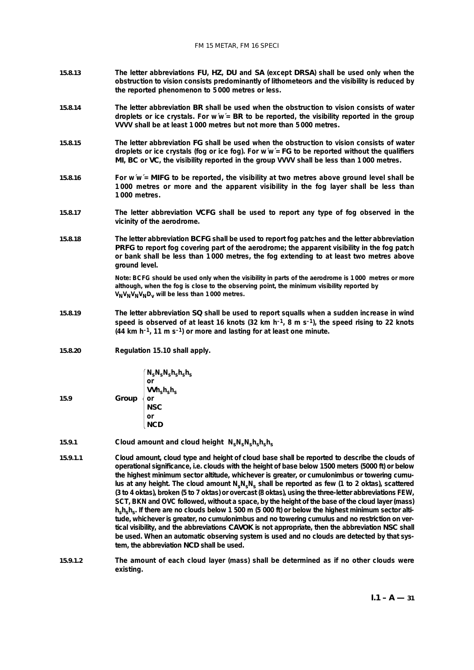- **15.8.13 The letter abbreviations FU, HZ, DU and SA (except DRSA) shall be used only when the obstruction to vision consists predominantly of lithometeors and the visibility is reduced by the reported phenomenon to 5 000 metres or less.**
- **15.8.14 The letter abbreviation BR shall be used when the obstruction to vision consists of water droplets or ice crystals. For w´w´= BR to be reported, the visibility reported in the group VVVV shall be at least 1 000 metres but not more than 5 000 metres.**
- **15.8.15 The letter abbreviation FG shall be used when the obstruction to vision consists of water droplets or ice crystals (fog or ice fog). For w´w´= FG to be reported without the qualifiers MI, BC or VC, the visibility reported in the group VVVV shall be less than 1 000 metres.**
- **15.8.16 For w´w´= MIFG to be reported, the visibility at two metres above ground level shall be 1 000 metres or more and the apparent visibility in the fog layer shall be less than 1 000 metres.**
- **15.8.17 The letter abbreviation VCFG shall be used to report any type of fog observed in the vicinity of the aerodrome.**
- **15.8.18 The letter abbreviation BCFG shall be used to report fog patches and the letter abbreviation PRFG to report fog covering part of the aerodrome; the apparent visibility in the fog patch or bank shall be less than 1 000 metres, the fog extending to at least two metres above ground level.**

**Note: BCFG should be used only when the visibility in parts of the aerodrome is 1 000 metres or more although, when the fog is close to the observing point, the minimum visibility reported by VNVNVNVNDv will be less than 1 000 metres.**

- **15.8.19 The letter abbreviation SQ shall be used to report squalls when a sudden increase in wind speed is observed of at least 16 knots (32 km h–1, 8 m s–1), the speed rising to 22 knots (44 km h–1, 11 m s–1) or more and lasting for at least one minute.**
- **15.8.20 Regulation 15.10 shall apply.**

| Group<br>15.9 | $N_{\rm s}N_{\rm s}N_{\rm s}h_{\rm s}h_{\rm s}h_{\rm s}$<br>or<br>$\text{VVh}_{\text{s}}\text{h}_{\text{s}}\text{h}_{\text{s}}$<br>or<br>NSC<br>or<br><b>NCD</b> |
|---------------|------------------------------------------------------------------------------------------------------------------------------------------------------------------|
|---------------|------------------------------------------------------------------------------------------------------------------------------------------------------------------|

- 15.9.1 *Cloud amount and cloud height*  $N_sN_sN_sN_sh_sh_s$
- **15.9.1.1 Cloud amount, cloud type and height of cloud base shall be reported to describe the clouds of operational significance, i.e. clouds with the height of base below 1500 meters (5000 ft) or below the highest minimum sector altitude, whichever is greater, or cumulonimbus or towering cumu**lus at any height. The cloud amount N<sub>s</sub>N<sub>s</sub> shall be reported as few (1 to 2 oktas), scattered **(3 to 4 oktas), broken (5 to 7 oktas) or overcast (8 oktas), using the three-letter abbreviations FEW, SCT, BKN and OVC followed, without a space, by the height of the base of the cloud layer (mass)** h<sub>s</sub>h<sub>s</sub>. If there are no clouds below 1 500 m (5 000 ft) or below the highest minimum sector alti**tude, whichever is greater, no cumulonimbus and no towering cumulus and no restriction on vertical visibility, and the abbreviations CAVOK is not appropriate, then the abbreviation NSC shall be used. When an automatic observing system is used and no clouds are detected by that system, the abbreviation NCD shall be used.**
- **15.9.1.2 The amount of each cloud layer (mass) shall be determined as if no other clouds were existing.**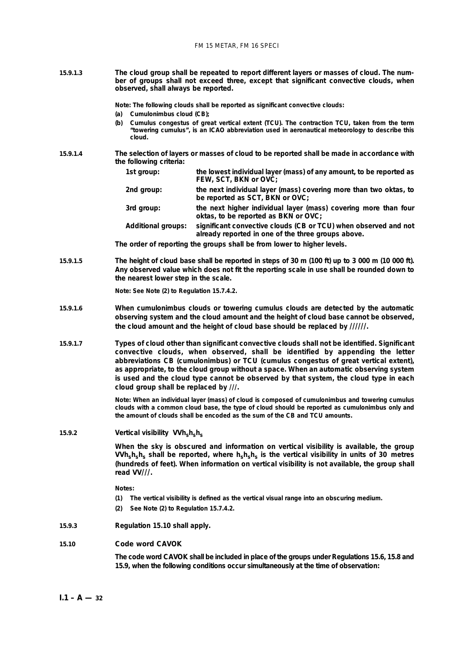**15.9.1.3 The cloud group shall be repeated to report different layers or masses of cloud. The number of groups shall not exceed three, except that significant convective clouds, when observed, shall always be reported.**

**Note: The following clouds shall be reported as significant convective clouds:**

- **(***a***) Cumulonimbus cloud (CB);**
- **(***b***) Cumulus congestus of great vertical extent (TCU). The contraction TCU, taken from the term "towering cumulus", is an ICAO abbreviation used in aeronautical meteorology to describe this cloud.**
- **15.9.1.4 The selection of layers or masses of cloud to be reported shall be made in accordance with the following criteria:**
	- **1st group: the lowest individual layer (mass) of any amount, to be reported as FEW, SCT, BKN or OVC: 2nd group: the next individual layer (mass) covering more than two oktas, to be reported as SCT, BKN or OVC; 3rd group: the next higher individual layer (mass) covering more than four oktas, to be reported as BKN or OVC; Additional groups: significant convective clouds (CB or TCU) when observed and not already reported in one of the three groups above.**

**The order of reporting the groups shall be from lower to higher levels.**

**15.9.1.5 The height of cloud base shall be reported in steps of 30 m (100 ft) up to 3 000 m (10 000 ft). Any observed value which does not fit the reporting scale in use shall be rounded down to the nearest lower step in the scale.**

**Note: See Note (2) to Regulation 15.7.4.2.**

- **15.9.1.6 When cumulonimbus clouds or towering cumulus clouds are detected by the automatic observing system and the cloud amount and the height of cloud base cannot be observed, the cloud amount and the height of cloud base should be replaced by //////.**
- **15.9.1.7 Types of cloud other than significant convective clouds shall not be identified. Significant convective clouds, when observed, shall be identified by appending the letter abbreviations CB (cumulonimbus) or TCU (cumulus congestus of great vertical extent), as appropriate, to the cloud group without a space. When an automatic observing system is used and the cloud type cannot be observed by that system, the cloud type in each cloud group shall be replaced by ///.**

**Note: When an individual layer (mass) of cloud is composed of cumulonimbus and towering cumulus clouds with a common cloud base, the type of cloud should be reported as cumulonimbus only and the amount of clouds shall be encoded as the sum of the CB and TCU amounts.**

**15.9.2 Vertical visibility VVh**<sub>s</sub>h<sub>s</sub>h<sub>s</sub>

**When the sky is obscured and information on vertical visibility is available, the group VVhshshs shall be reported, where hshshs is the vertical visibility in units of 30 metres (hundreds of feet). When information on vertical visibility is not available, the group shall read VV///.**

**Notes:**

- **(1) The vertical visibility is defined as the vertical visual range into an obscuring medium.**
- **(2) See Note (2) to Regulation 15.7.4.2.**
- **15.9.3 Regulation 15.10 shall apply.**

## **15.10 Code word CAVOK**

**The code word CAVOK shall be included in place of the groups under Regulations 15.6, 15.8 and 15.9, when the following conditions occur simultaneously at the time of observation:**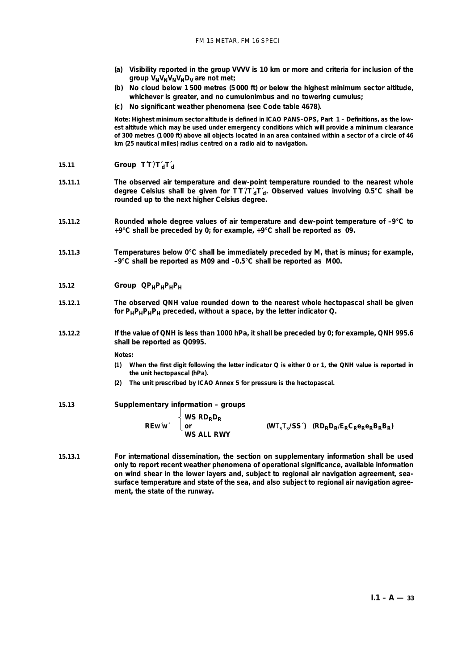- **(***a***) Visibility reported in the group VVVV is 10 km or more and criteria for inclusion of the** group  $V_N V_N V_N V_N D_V$  are not met;
- **(***b***) No cloud below 1 500 metres (5 000 ft) or below the highest minimum sector altitude, whichever is greater, and no cumulonimbus and no towering cumulus;**
- **(***c***) No significant weather phenomena (see Code table 4678).**

Note: Highest minimum sector altitude is defined in ICAO PANS-OPS, Part 1 - Definitions, as the low**est altitude which may be used under emergency conditions which will provide a minimum clearance of 300 metres (1 000 ft) above all objects located in an area contained within a sector of a circle of 46 km (25 nautical miles) radius centred on a radio aid to navigation.**

- **15.11 Group T´T´/T´dT´d**
- **15.11.1 The observed air temperature and dew-point temperature rounded to the nearest whole** degree Celsius shall be given for TT/T'<sub>d</sub>T'<sub>d</sub>. Observed values involving 0.5°C shall be **rounded up to the next higher Celsius degree.**
- **15.11.2 Rounded whole degree values of air temperature and dew-point temperature of –9°C to +9°C shall be preceded by 0; for example, +9°C shall be reported as 09.**
- **15.11.3 Temperatures below 0°C shall be immediately preceded by M, that is minus; for example, –9°C shall be reported as M09 and –0.5°C shall be reported as M00.**
- 15.12 **Group**  $\text{QP}_H\text{P}_H\text{P}_H$
- **15.12.1 The observed QNH value rounded down to the nearest whole hectopascal shall be given for PHPHPHPH preceded, without a space, by the letter indicator Q.**
- **15.12.2 If the value of QNH is less than 1000 hPa, it shall be preceded by 0; for example, QNH 995.6 shall be reported as Q0995.**

**Notes:**

- **(1) When the first digit following the letter indicator Q is either 0 or 1, the QNH value is reported in the unit hectopascal (hPa).**
- **(2) The unit prescribed by ICAO Annex 5 for pressure is the hectopascal.**

## **15.13 Supplementary information – groups**

|             | $\langle$ WS RD <sub>R</sub> D <sub>R</sub> |                                                |
|-------------|---------------------------------------------|------------------------------------------------|
| $REw'w'$ or |                                             | $(WT_sT_s/SS')$ $(RD_RD_R/E_RC_Re_Re_RB_RB_R)$ |
|             | WS ALL RWY                                  |                                                |

**15.13.1 For international dissemination, the section on supplementary information shall be used only to report recent weather phenomena of operational significance, available information on wind shear in the lower layers and, subject to regional air navigation agreement, seasurface temperature and state of the sea, and also subject to regional air navigation agreement, the state of the runway.**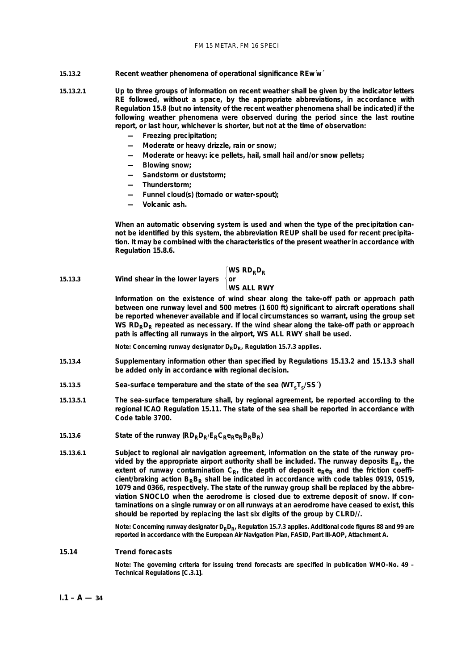#### **15.13.2** *Recent weather phenomena of operational significance* **REw´w´**

- **15.13.2.1 Up to three groups of information on recent weather shall be given by the indicator letters RE followed, without a space, by the appropriate abbreviations, in accordance with Regulation 15.8 (but no intensity of the recent weather phenomena shall be indicated) if the following weather phenomena were observed during the period since the last routine report, or last hour, whichever is shorter, but not at the time of observation:**
	- **Freezing precipitation;**
	- **Moderate or heavy drizzle, rain or snow;**
	- **Moderate or heavy: ice pellets, hail, small hail and/or snow pellets;**
	- **Blowing snow;**
	- **Sandstorm or duststorm;**
	- **Thunderstorm;**
	- **Funnel cloud(s) (tornado or water-spout);**
	- **Volcanic ash.**

**When an automatic observing system is used and when the type of the precipitation cannot be identified by this system, the abbreviation REUP shall be used for recent precipitation. It may be combined with the characteristics of the present weather in accordance with Regulation 15.8.6.**

# $\begin{cases}$ **WS RD**<sub>R</sub>**D**<sub>R</sub>

## **15.13.3** *Wind shear in the lower layers* **or**

## **WS ALL RWY**

**Information on the existence of wind shear along the take-off path or approach path between one runway level and 500 metres (1 600 ft) significant to aircraft operations shall be reported whenever available and if local circumstances so warrant, using the group set** WS RD<sub>R</sub>D<sub>R</sub> repeated as necessary. If the wind shear along the take-off path or approach **path is affecting all runways in the airport, WS ALL RWY shall be used.**

Note: Concerning runway designator D<sub>R</sub>D<sub>R</sub>, Regulation 15.7.3 applies.

- **15.13.4 Supplementary information other than specified by Regulations 15.13.2 and 15.13.3 shall be added only in accordance with regional decision.**
- **15.13.5** Sea-surface temperature and the state of the sea ( $W$ **T**<sub>s</sub>**T**<sub>s</sub> $/$ SS<sup>'</sup>)
- **15.13.5.1 The sea-surface temperature shall, by regional agreement, be reported according to the regional ICAO Regulation 15.11. The state of the sea shall be reported in accordance with Code table 3700.**
- 15.13.6 **State of the runway**  $(RD_RD_R/E_RC_Re_RB_RB_R)$
- **15.13.6.1 Subject to regional air navigation agreement, information on the state of the runway pro**vided by the appropriate airport authority shall be included. The runway deposits  $E_R$ , the extent of runway contamination  $C_{R}$ , the depth of deposit  $e_{R}e_{R}$  and the friction coefficient/braking action B<sub>R</sub>B<sub>R</sub> shall be indicated in accordance with code tables 0919, 0519, **1079 and 0366, respectively. The state of the runway group shall be replaced by the abbreviation SNOCLO when the aerodrome is closed due to extreme deposit of snow. If contaminations on a single runway or on all runways at an aerodrome have ceased to exist, this should be reported by replacing the last six digits of the group by CLRD//.**

Note: Concerning runway designator D<sub>R</sub>D<sub>R</sub>, Regulation 15.7.3 applies. Additional code figures 88 and 99 are **reported in accordance with the European Air Navigation Plan, FASID, Part III-AOP, Attachment A.**

## **15.14 Trend forecasts**

**Note: The governing criteria for issuing trend forecasts are specified in publication WMO-No. 49 –** *Technical Regulations* **[C.3.1].**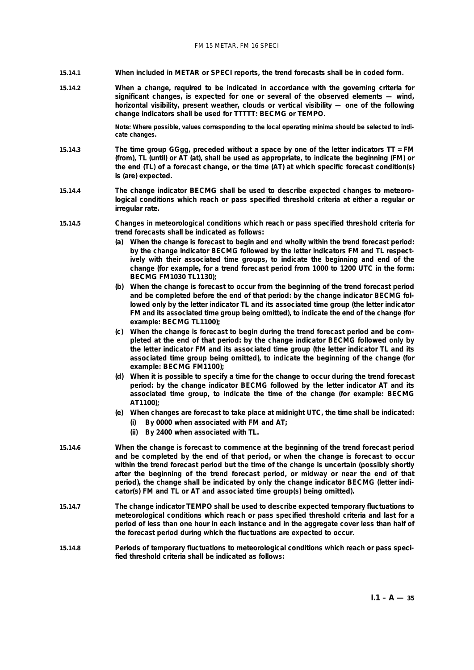#### FM 15 METAR, FM 16 SPECI

- **15.14.1 When included in METAR or SPECI reports, the trend forecasts shall be in coded form.**
- **15.14.2 When a change, required to be indicated in accordance with the governing criteria for significant changes, is expected for one or several of the observed elements — wind, horizontal visibility, present weather, clouds or vertical visibility — one of the following change indicators shall be used for TTTTT: BECMG or TEMPO.**

**Note: Where possible, values corresponding to the local operating minima should be selected to indicate changes.**

- **15.14.3 The time group GGgg, preceded without a space by one of the letter indicators TT = FM (from), TL (until) or AT (at), shall be used as appropriate, to indicate the beginning (FM) or the end (TL) of a forecast change, or the time (AT) at which specific forecast condition(s) is (are) expected.**
- **15.14.4 The change indicator BECMG shall be used to describe expected changes to meteorological conditions which reach or pass specified threshold criteria at either a regular or irregular rate.**
- **15.14.5 Changes in meteorological conditions which reach or pass specified threshold criteria for trend forecasts shall be indicated as follows:**
	- **(***a***) When the change is forecast to begin and end wholly within the trend forecast period: by the change indicator BECMG followed by the letter indicators FM and TL respectively with their associated time groups, to indicate the beginning and end of the change (for example, for a trend forecast period from 1000 to 1200 UTC in the form: BECMG FM1030 TL1130);**
	- **(***b***) When the change is forecast to occur from the beginning of the trend forecast period and be completed before the end of that period: by the change indicator BECMG followed only by the letter indicator TL and its associated time group (the letter indicator FM and its associated time group being omitted), to indicate the end of the change (for example: BECMG TL1100);**
	- **(***c***) When the change is forecast to begin during the trend forecast period and be completed at the end of that period: by the change indicator BECMG followed only by the letter indicator FM and its associated time group (the letter indicator TL and its associated time group being omitted), to indicate the beginning of the change (for example: BECMG FM1100);**
	- **(***d***) When it is possible to specify a time for the change to occur during the trend forecast period: by the change indicator BECMG followed by the letter indicator AT and its associated time group, to indicate the time of the change (for example: BECMG AT1100);**
	- **(***e***) When changes are forecast to take place at midnight UTC, the time shall be indicated:**
		- **(i) By 0000 when associated with FM and AT;**
		- **(ii) By 2400 when associated with TL.**
- **15.14.6 When the change is forecast to commence at the beginning of the trend forecast period and be completed by the end of that period, or when the change is forecast to occur within the trend forecast period but the time of the change is uncertain (possibly shortly after the beginning of the trend forecast period, or midway or near the end of that period), the change shall be indicated by only the change indicator BECMG (letter indicator(s) FM and TL or AT and associated time group(s) being omitted).**
- **15.14.7 The change indicator TEMPO shall be used to describe expected temporary fluctuations to meteorological conditions which reach or pass specified threshold criteria and last for a period of less than one hour in each instance and in the aggregate cover less than half of the forecast period during which the fluctuations are expected to occur.**
- **15.14.8 Periods of temporary fluctuations to meteorological conditions which reach or pass specified threshold criteria shall be indicated as follows:**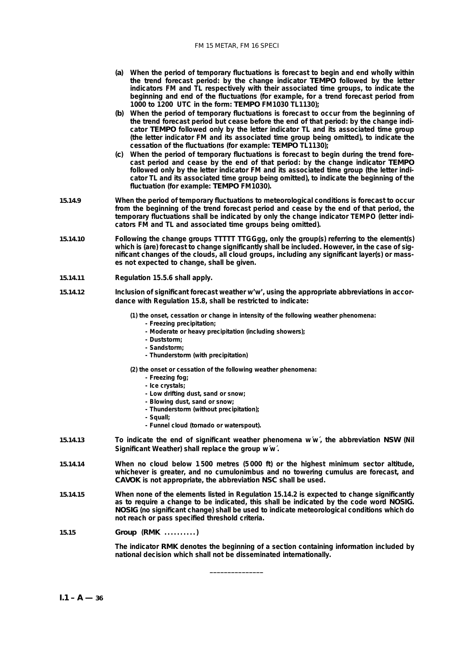#### FM 15 METAR, FM 16 SPECI

- **(***a***) When the period of temporary fluctuations is forecast to begin and end wholly within the trend forecast period: by the change indicator TEMPO followed by the letter indicators FM and TL respectively with their associated time groups, to indicate the beginning and end of the fluctuations (for example, for a trend forecast period from 1000 to 1200 UTC in the form: TEMPO FM1030 TL1130);**
- **(***b***) When the period of temporary fluctuations is forecast to occur from the beginning of the trend forecast period but cease before the end of that period: by the change indicator TEMPO followed only by the letter indicator TL and its associated time group (the letter indicator FM and its associated time group being omitted), to indicate the cessation of the fluctuations (for example: TEMPO TL1130);**
- **(***c***) When the period of temporary fluctuations is forecast to begin during the trend forecast period and cease by the end of that period: by the change indicator TEMPO followed only by the letter indicator FM and its associated time group (the letter indicator TL and its associated time group being omitted), to indicate the beginning of the fluctuation (for example: TEMPO FM1030).**
- **15.14.9 When the period of temporary fluctuations to meteorological conditions is forecast to occur from the beginning of the trend forecast period and cease by the end of that period, the temporary fluctuations shall be indicated by only the change indicator TEMPO (letter indicators FM and TL and associated time groups being omitted).**
- **15.14.10 Following the change groups TTTTT TTGGgg, only the group(s) referring to the element(s)** which is (are) forecast to change significantly shall be included. However, in the case of sig**nificant changes of the clouds, all cloud groups, including any significant layer(s) or masses not expected to change, shall be given.**
- **15.14.11 Regulation 15.5.6 shall apply.**
- **15.14.12 Inclusion of significant forecast weather w'w', using the appropriate abbreviations in accordance with Regulation 15.8, shall be restricted to indicate:**

**(1) the onset, cessation or change in intensity of the following weather phenomena:**

- **Freezing precipitation;**
- **Moderate or heavy precipitation (including showers);**
- **Duststorm;**
- **Sandstorm;**
- **Thunderstorm (with precipitation)**
- **(2) the onset or cessation of the following weather phenomena:**
	- **Freezing fog;**
	- **Ice crystals;**
	- **Low drifting dust, sand or snow;**
	- **Blowing dust, sand or snow;**
	- **Thunderstorm (without precipitation);**
	- **Squall;**
	- **Funnel cloud (tornado or waterspout).**
- **15.14.13 To indicate the end of significant weather phenomena w´w´, the abbreviation NSW (Nil Significant Weather) shall replace the group w´w´.**
- **15.14.14 When no cloud below 1 500 metres (5 000 ft) or the highest minimum sector altitude, whichever is greater, and no cumulonimbus and no towering cumulus are forecast, and CAVOK is not appropriate, the abbreviation NSC shall be used.**
- **15.14.15 When none of the elements listed in Regulation 15.14.2 is expected to change significantly as to require a change to be indicated, this shall be indicated by the code word NOSIG. NOSIG (no significant change) shall be used to indicate meteorological conditions which do not reach or pass specified threshold criteria.**

**\_\_\_\_\_\_\_\_\_\_\_\_\_\_\_**

**15.15 Group (RMK ..........)**

**The indicator RMK denotes the beginning of a section containing information included by national decision which shall not be disseminated internationally.**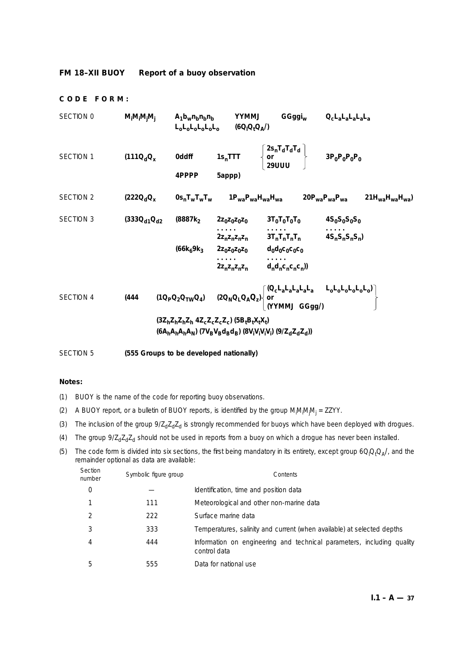# **FM 18–XII BUOY Report of a buoy observation**

## **CODE FORM:**

| SECTION 0        | $M_iM_iM_jM_i$      | A <sub>1</sub> b <sub>w</sub> n <sub>b</sub> n <sub>b</sub> n <sub>b</sub><br>$L_0L_0L_0L_0L_0$ (6Q <sub>I</sub> Q <sub>t</sub> Q <sub>A</sub> /) | <b>UMMYY</b>                                                                                                                          | GGggi <sub>w</sub>                                                                                                                                                              | $Q_{\rm c}$ L $_{\rm a}$ L $_{\rm a}$ L $_{\rm a}$ L $_{\rm a}$ |                        |
|------------------|---------------------|---------------------------------------------------------------------------------------------------------------------------------------------------|---------------------------------------------------------------------------------------------------------------------------------------|---------------------------------------------------------------------------------------------------------------------------------------------------------------------------------|-----------------------------------------------------------------|------------------------|
| SECTION 1        | $(111Q_dQ_x)$       | 0ddff<br>4PPPP                                                                                                                                    | $1s_n$ TTT<br>5appp)                                                                                                                  | $\begin{Bmatrix} 2s_nT_dT_dT_d \ or \ 29UUU \end{Bmatrix}$ $3P_0P_0P_0P_0$                                                                                                      |                                                                 |                        |
| <b>SECTION 2</b> | $(222Q_dQ_x)$       |                                                                                                                                                   |                                                                                                                                       | 0s <sub>n</sub> T <sub>w</sub> T <sub>w</sub> T <sub>w</sub> 1P <sub>wa</sub> P <sub>wa</sub> H <sub>wa</sub> H <sub>wa</sub> 20P <sub>wa</sub> P <sub>wa</sub> P <sub>wa</sub> |                                                                 | $21H_{wa}H_{wa}H_{wa}$ |
| <b>SECTION 3</b> | $(333Q_{d1}Q_{d2})$ | (8887k <sub>2</sub>                                                                                                                               | $2z_0z_0z_0z_0$                                                                                                                       | $3T_0T_0T_0T_0$                                                                                                                                                                 | $4S_0S_0S_0S_0$                                                 |                        |
|                  |                     | $(66k_69k_3$                                                                                                                                      | 2z <sub>n</sub> z <sub>n</sub> z <sub>n</sub> z <sub>n</sub><br>$2z_0z_0z_0z_0$ $d_0d_0c_0c_0c_0$<br>$2z_nz_nz_n$ $d_n d_nc_nc_nc_n)$ | $3T_nT_nT_nT_n$                                                                                                                                                                 | $4S_nS_nS_nS_n$                                                 |                        |
| <b>SECTION 4</b> | (444)               |                                                                                                                                                   |                                                                                                                                       | $(10_{P}Q_{2}Q_{TW}Q_{4})$ $(20_{N}Q_{L}Q_{A}Q_{2})\begin{cases} (Q_{c}L_{a}L_{a}L_{a}L_{a} & L_{o}L_{o}L_{o}L_{o}L_{o}L_{o}Q_{0}) \\ or \\ (YYMMJ~ GGgg/) \end{cases}$         |                                                                 |                        |
|                  |                     | $(3Z_hZ_hZ_hZ_h4Z_cZ_cZ_cZ_c)$ $(5B_tB_tX_tX_t)$<br>$(6A_hA_hA_hA_N)$ (7 $V_BV_Bd_Bd_B$ ) (8 $V_iV_iV_iV_j$ ) (9/ $Z_dZ_dZ_d$ ))                  |                                                                                                                                       |                                                                                                                                                                                 |                                                                 |                        |

SECTION 5 **(555 Groups to be developed nationally)**

# **Notes:**

(1) BUOY is the name of the code for reporting buoy observations.

- (2) A BUOY report, or a bulletin of BUOY reports, is identified by the group M<sub>i</sub>M<sub>i</sub>M<sub>i</sub>M<sub>i</sub> = ZZYY.
- (3) The inclusion of the group  $9/Z_dZ_dZ_d$  is strongly recommended for buoys which have been deployed with drogues.
- (4) The group  $9/Z_dZ_dZ_d$  should not be used in reports from a buoy on which a drogue has never been installed.
- (5) The code form is divided into six sections, the first being mandatory in its entirety, except group  $6Q_1Q_4Q_A/$ , and the remainder optional as data are available:

| Section<br>number | Symbolic figure group | Contents                                                                               |
|-------------------|-----------------------|----------------------------------------------------------------------------------------|
| 0                 |                       | Identification, time and position data                                                 |
|                   | 111                   | Meteorological and other non-marine data                                               |
| 2                 | 222                   | Surface marine data                                                                    |
| 3                 | 333                   | Temperatures, salinity and current (when available) at selected depths                 |
| 4                 | 444                   | Information on engineering and technical parameters, including quality<br>control data |
| 5                 | 555                   | Data for national use                                                                  |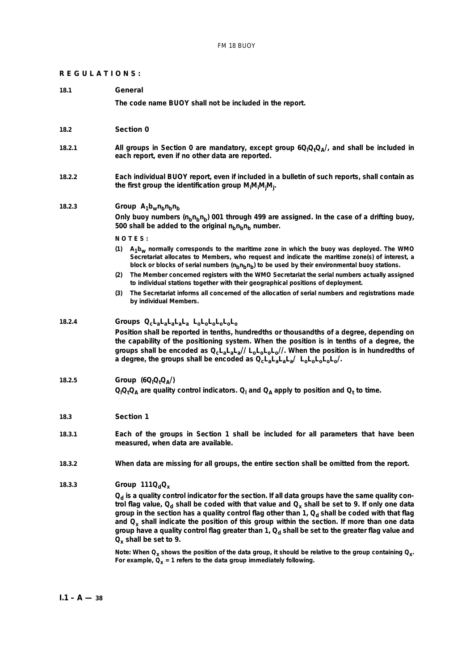## **REGULATIONS:**

#### **18.1 General**

**The code name BUOY shall not be included in the report.**

#### **18.2 Section 0**

- 18.2.1 **All groups in Section 0 are mandatory**, except group  $6Q_1Q_4Q_A/$ , and shall be included in **each report, even if no other data are reported.**
- **18.2.2 Each individual BUOY report, even if included in a bulletin of such reports, shall contain as the first group the identification group Mi Mi Mj Mj .**

## 18.2.3 *Group*  $A_1b_w n_b n_b n_b$

Only buoy numbers (n<sub>b</sub>n<sub>b</sub>n<sub>b</sub>) 001 through 499 are assigned. In the case of a drifting buoy, 500 shall be added to the original  $n_b n_b n_b$  number.

- **N O T E S :**
- **(1) A1bw normally corresponds to the maritime zone in which the buoy was deployed. The WMO Secretariat allocates to Members, who request and indicate the maritime zone(s) of interest, a** block or blocks of serial numbers (n<sub>b</sub>n<sub>b</sub>) to be used by their environmental buoy stations.
- **(2) The Member concerned registers with the WMO Secretariat the serial numbers actually assigned to individual stations together with their geographical positions of deployment.**
- **(3) The Secretariat informs all concerned of the allocation of serial numbers and registrations made by individual Members.**

**18.2.4** *Groups* **QcLaLaLaLaLa LoLoLoLoLoLo**

**Position shall be reported in tenths, hundredths or thousandths of a degree, depending on the capability of the positioning system. When the position is in tenths of a degree, the groups shall be encoded as QcLaLaLa// LoLoLoLo//. When the position is in hundredths of a degree, the groups shall be encoded as QcLaLaLaLa/ LoLoLoLoLo/.**

# **18.2.5** *Group* (6Q<sub>l</sub>Q<sub>t</sub>Q<sub>A</sub>/)

 $\mathsf{Q}_\mathsf{I}\mathsf{Q}_\mathsf{I}\mathsf{Q}_\mathsf{A}$  are quality control indicators.  $\mathsf{Q}_\mathsf{I}$  and  $\mathsf{Q}_\mathsf{A}$  apply to position and  $\mathsf{Q}_\mathsf{t}$  to time.

#### **18.3 Section 1**

- **18.3.1 Each of the groups in Section 1 shall be included for all parameters that have been measured, when data are available.**
- **18.3.2 When data are missing for all groups, the entire section shall be omitted from the report.**
- **18.3.3** *Group* **111** $Q_dQ_x$

 $Q_d$  is a quality control indicator for the section. If all data groups have the same quality control flag value, Q<sub>d</sub> shall be coded with that value and Q<sub>x</sub> shall be set to 9. If only one data group in the section has a quality control flag other than 1, Q<sub>d</sub> shall be coded with that flag **and Qx shall indicate the position of this group within the section. If more than one data** group have a quality control flag greater than 1, Q<sub>d</sub> shall be set to the greater flag value and **Qx shall be set to 9.**

**Note: When Qx shows the position of the data group, it should be relative to the group containing Qx.** For example,  $\hat{Q}_x$  = 1 refers to the data group immediately following.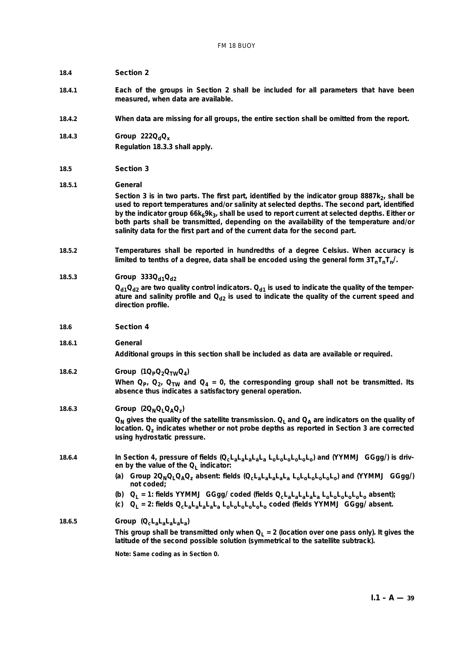## **18.4 Section 2**

- **18.4.1 Each of the groups in Section 2 shall be included for all parameters that have been measured, when data are available.**
- **18.4.2 When data are missing for all groups, the entire section shall be omitted from the report.**
- **18.4.3** *Group* 222Q<sub>d</sub>Q<sub>x</sub> **Regulation 18.3.3 shall apply.**

#### **18.5 Section 3**

**18.5.1** *General*

Section 3 is in two parts. The first part, identified by the indicator group 8887k<sub>2</sub>, shall be **used to report temperatures and/or salinity at selected depths. The second part, identified** by the indicator group 66k<sub>6</sub>9k<sub>3</sub>, shall be used to report current at selected depths. Either or **both parts shall be transmitted, depending on the availability of the temperature and/or salinity data for the first part and of the current data for the second part.**

**18.5.2 Temperatures shall be reported in hundredths of a degree Celsius. When accuracy is** limited to tenths of a degree, data shall be encoded using the general form  $3T_nT_nT_n$ .

**18.5.3** *Group* 333Q<sub>d1</sub>Q<sub>d2</sub>  $Q_{d1}Q_{d2}$  are two quality control indicators.  $Q_{d1}$  is used to indicate the quality of the temperature and salinity profile and  $Q_{d2}$  is used to indicate the quality of the current speed and **direction profile.**

- **18.6 Section 4**
- **18.6.1** *General*

**Additional groups in this section shall be included as data are available or required.**

**18.6.2** *Group* (1Q<sub>P</sub>Q<sub>2</sub>Q<sub>TW</sub>Q<sub>4</sub>)

When  $Q_{p}$ ,  $Q_{2}$ ,  $Q_{TW}$  and  $Q_{4} = 0$ , the corresponding group shall not be transmitted. Its **absence thus indicates a satisfactory general operation.**

**18.6.3** *Group*  $(2Q_{N}Q_{L}Q_{A}Q_{Z})$ 

 $Q_N$  gives the quality of the satellite transmission.  $Q_L$  and  $Q_A$  are indicators on the quality of **location. Qz indicates whether or not probe depths as reported in Section 3 are corrected using hydrostatic pressure.**

**18.6.4 In Section 4, pressure of fields (QcLaLaLaLaLa LoLoLoLoLoLo) and (YYMMJ GGgg/) is driv**en by the value of the Q<sub>1</sub> indicator:

> **(***a***) Group 2QNQLQAQz absent: fields (QcLaLaLaLaLa LoLoLoLoLoLo) and (YYMMJ GGgg/) not coded;**

- **(***b***) QL = 1: fields YYMMJ GGgg/ coded (fields QcLaLaLaLaLa LoLoLoLoLoLo absent);**
- **(***c***) QL = 2: fields QcLaLaLaLaLa LoLoLoLoLoLo coded (fields YYMMJ GGgg/ absent.**

# **18.6.5** *Group* **(QcLaLaLaLaLa)**

This group shall be transmitted only when  $Q_L = 2$  (location over one pass only). It gives the **latitude of the second possible solution (symmetrical to the satellite subtrack).**

**Note: Same coding as in Section 0.**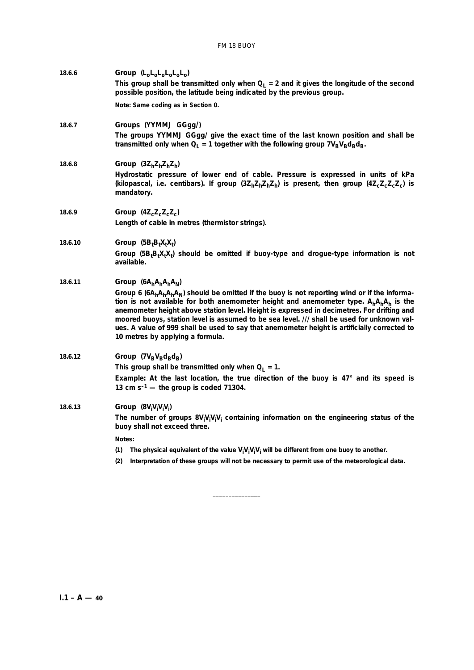| 18.6.6  | Group $(L_0L_0L_0L_0L_0L_0)$                                                                                                                                                                                                                                                                                                                                                                                                                                                                                                 |
|---------|------------------------------------------------------------------------------------------------------------------------------------------------------------------------------------------------------------------------------------------------------------------------------------------------------------------------------------------------------------------------------------------------------------------------------------------------------------------------------------------------------------------------------|
|         | This group shall be transmitted only when $Q_1 = 2$ and it gives the longitude of the second<br>possible position, the latitude being indicated by the previous group.                                                                                                                                                                                                                                                                                                                                                       |
|         | Note: Same coding as in Section 0.                                                                                                                                                                                                                                                                                                                                                                                                                                                                                           |
| 18.6.7  | Groups (YYMMJ GGgg/)<br>The groups YYMMJ GGgg/ give the exact time of the last known position and shall be                                                                                                                                                                                                                                                                                                                                                                                                                   |
|         | transmitted only when $Q_L = 1$ together with the following group $7V_BV_Bd_Bd_B$ .                                                                                                                                                                                                                                                                                                                                                                                                                                          |
| 18.6.8  | Group $(3Z_hZ_hZ_hZ_h)$                                                                                                                                                                                                                                                                                                                                                                                                                                                                                                      |
|         | Hydrostatic pressure of lower end of cable. Pressure is expressed in units of kPa<br>(kilopascal, i.e. centibars). If group $(3Z_hZ_hZ_hZ_h)$ is present, then group $(4Z_cZ_cZ_c)$ is<br>mandatory.                                                                                                                                                                                                                                                                                                                         |
| 18.6.9  | Group $(4Z_cZ_cZ_cZ_c)$                                                                                                                                                                                                                                                                                                                                                                                                                                                                                                      |
|         | Length of cable in metres (thermistor strings).                                                                                                                                                                                                                                                                                                                                                                                                                                                                              |
| 18.6.10 | Group $(5BtBtXtXt)$                                                                                                                                                                                                                                                                                                                                                                                                                                                                                                          |
|         | Group $(5BtBtXtXt)$ should be omitted if buoy-type and drogue-type information is not<br>available.                                                                                                                                                                                                                                                                                                                                                                                                                          |
| 18.6.11 | Group ( $6A_hA_hA_hA_N$ )                                                                                                                                                                                                                                                                                                                                                                                                                                                                                                    |
|         | Group 6 $(6A_hA_hA_hA_N)$ should be omitted if the buoy is not reporting wind or if the informa-<br>tion is not available for both anemometer height and anemometer type. $A_hA_hA_h$ is the<br>anemometer height above station level. Height is expressed in decimetres. For drifting and<br>moored buoys, station level is assumed to be sea level. /// shall be used for unknown val-<br>ues. A value of 999 shall be used to say that anemometer height is artificially corrected to<br>10 metres by applying a formula. |
| 18.6.12 | Group ( $7V_BV_Bd_Bd_B$ )                                                                                                                                                                                                                                                                                                                                                                                                                                                                                                    |
|         | This group shall be transmitted only when $Q_L = 1$ .                                                                                                                                                                                                                                                                                                                                                                                                                                                                        |
|         | Example: At the last location, the true direction of the buoy is 47° and its speed is<br>13 cm $s^{-1}$ — the group is coded 71304.                                                                                                                                                                                                                                                                                                                                                                                          |
| 18.6.13 | Group $(8V_iV_iV_iV_i)$                                                                                                                                                                                                                                                                                                                                                                                                                                                                                                      |
|         | The number of groups $8V_iV_iV_iV_i$ containing information on the engineering status of the<br>buoy shall not exceed three.                                                                                                                                                                                                                                                                                                                                                                                                 |
|         | Notes:                                                                                                                                                                                                                                                                                                                                                                                                                                                                                                                       |
|         | (1)<br>The physical equivalent of the value $V_iV_iV_iV_i$ will be different from one buoy to another.                                                                                                                                                                                                                                                                                                                                                                                                                       |
|         | (2)<br>Interpretation of these groups will not be necessary to permit use of the meteorological data.                                                                                                                                                                                                                                                                                                                                                                                                                        |

**\_\_\_\_\_\_\_\_\_\_\_\_\_\_\_**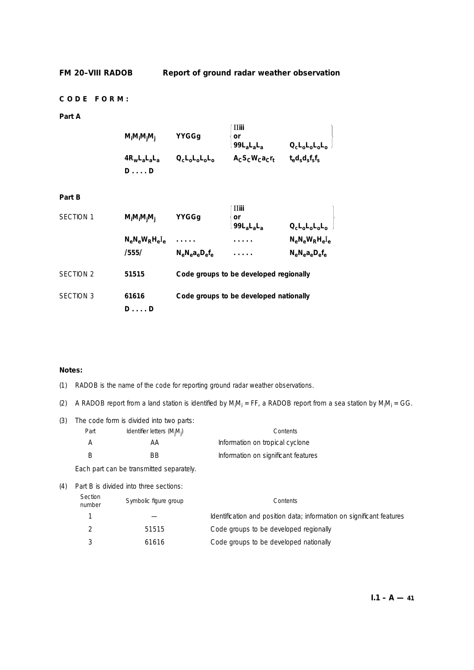# **CODE FORM:**

# **Part A**

| $M_iM_iM_jM_j$  | YYGGq                       | ' IIiii<br>' or<br>$\vert$ 99 $L_a$ $L_a$ | $Q_{c}L_{0}L_{0}L_{0}L_{0}$                     |
|-----------------|-----------------------------|-------------------------------------------|-------------------------------------------------|
| $4R_wL_aL_aL_a$ | $Q_{c}L_{o}L_{o}L_{o}L_{o}$ | $A_{C}S_{C}W_{C}a_{C}r_{t}$               | $t_{\rm e}d_{\rm s}d_{\rm s}f_{\rm s}f_{\rm s}$ |
| $D \ldots D$    |                             |                                           |                                                 |

## **Part B**

| <b>SECTION 1</b> | $M_iM_iM_iM_i$             | YYGGg                        | <b>II</b> iii<br>or<br>$99LaLaLa$      | $Q_{c}L_{o}L_{o}L_{o}L_{o}$            |
|------------------|----------------------------|------------------------------|----------------------------------------|----------------------------------------|
|                  | $N_eN_eW_RH_eI_e$<br>/555/ | 1.1.1.1<br>$N_eN_ea_eD_ef_e$ | .                                      | $N_eN_eW_RH_eI_e$<br>$N_eN_ea_eD_ef_e$ |
| SECTION 2        | 51515                      |                              | Code groups to be developed regionally |                                        |
| <b>SECTION 3</b> | 61616<br>DD                |                              | Code groups to be developed nationally |                                        |

# **Notes:**

- (1) RADOB is the name of the code for reporting ground radar weather observations.
- (2) A RADOB report from a land station is identified by  $M_iM_i$  = FF, a RADOB report from a sea station by  $M_iM_i$  = GG.
- (3) The code form is divided into two parts:

| Part | <i>Identifier letters</i> (M <sub>i</sub> M <sub>i</sub> ) | Contents                            |
|------|------------------------------------------------------------|-------------------------------------|
|      | AA.                                                        | Information on tropical cyclone     |
|      | RR                                                         | Information on significant features |

Each part can be transmitted separately.

| (4) |  |  | Part B is divided into three sections: |
|-----|--|--|----------------------------------------|

| Section<br>number | Symbolic figure group | Contents                                                              |
|-------------------|-----------------------|-----------------------------------------------------------------------|
|                   |                       | Identification and position data; information on significant features |
|                   | 51515                 | Code groups to be developed regionally                                |
|                   | 61616                 | Code groups to be developed nationally                                |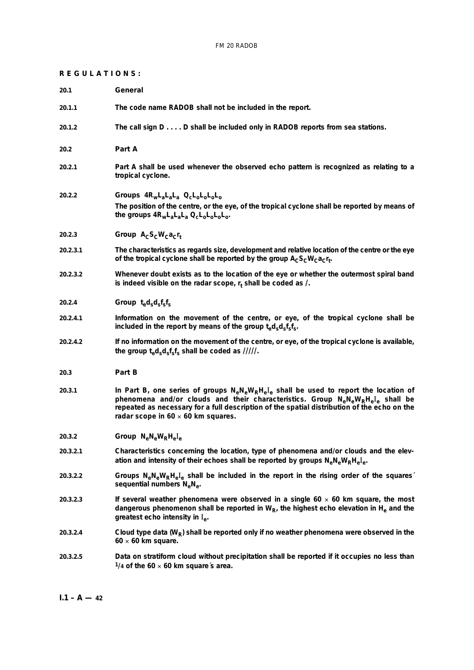# **REGULATIONS:**

| 20.1     | General                                                                                                                                                                                                                                                                                                                      |
|----------|------------------------------------------------------------------------------------------------------------------------------------------------------------------------------------------------------------------------------------------------------------------------------------------------------------------------------|
| 20.1.1   | The code name RADOB shall not be included in the report.                                                                                                                                                                                                                                                                     |
| 20.1.2   | The call sign D D shall be included only in RADOB reports from sea stations.                                                                                                                                                                                                                                                 |
| 20.2     | Part A                                                                                                                                                                                                                                                                                                                       |
| 20.2.1   | Part A shall be used whenever the observed echo pattern is recognized as relating to a<br>tropical cyclone.                                                                                                                                                                                                                  |
| 20.2.2   | Groups $4R_wL_aL_aL_a$ $Q_cL_0L_0L_0$<br>The position of the centre, or the eye, of the tropical cyclone shall be reported by means of<br>the groups $4R_wL_aL_aL_a Q_cL_0L_0L_0L_0$ .                                                                                                                                       |
| 20.2.3   | Group $A_C S_C W_C a_C r_t$                                                                                                                                                                                                                                                                                                  |
| 20.2.3.1 | The characteristics as regards size, development and relative location of the centre or the eye<br>of the tropical cyclone shall be reported by the group $A_C S_C W_C a_C r_t$ .                                                                                                                                            |
| 20.2.3.2 | Whenever doubt exists as to the location of the eye or whether the outermost spiral band<br>is indeed visible on the radar scope, $r_t$ shall be coded as $\ell$ .                                                                                                                                                           |
| 20.2.4   | Group $t_{\rm e}d_{\rm s}d_{\rm s}f_{\rm s}f_{\rm s}$                                                                                                                                                                                                                                                                        |
| 20.2.4.1 | Information on the movement of the centre, or eye, of the tropical cyclone shall be<br>included in the report by means of the group $t_{e}d_{s}d_{s}f_{s}f_{s}$ .                                                                                                                                                            |
| 20.2.4.2 | If no information on the movement of the centre, or eye, of the tropical cyclone is available,<br>the group $t_{e}d_{s}d_{s}f_{s}f_{s}$ shall be coded as /////.                                                                                                                                                             |
| 20.3     | Part B                                                                                                                                                                                                                                                                                                                       |
| 20.3.1   | In Part B, one series of groups $N_eN_eW_RH_eI_e$ shall be used to report the location of<br>phenomena and/or clouds and their characteristics. Group $N_eN_eW_RH_eI_e$ shall be<br>repeated as necessary for a full description of the spatial distribution of the echo on the<br>radar scope in $60 \times 60$ km squares. |
| 20.3.2   | $Group \; N_eN_eW_RH_eI_e$                                                                                                                                                                                                                                                                                                   |
| 20.3.2.1 | Characteristics concerning the location, type of phenomena and/or clouds and the elev-<br>ation and intensity of their echoes shall be reported by groups N <sub>e</sub> N <sub>e</sub> W <sub>R</sub> H <sub>e</sub> I <sub>e</sub> .                                                                                       |
| 20.3.2.2 | Groups $N_eN_eW_RH_eI_e$ shall be included in the report in the rising order of the squares<br>sequential numbers $N_eN_e$ .                                                                                                                                                                                                 |
| 20.3.2.3 | If several weather phenomena were observed in a single $60 \times 60$ km square, the most<br>dangerous phenomenon shall be reported in $W_{R}$ , the highest echo elevation in H <sub>e</sub> and the<br>greatest echo intensity in I <sub>e</sub> .                                                                         |
| 20.3.2.4 | Cloud type data ( $W_R$ ) shall be reported only if no weather phenomena were observed in the<br>$60 \times 60$ km square.                                                                                                                                                                                                   |
| 20.3.2.5 | Data on stratiform cloud without precipitation shall be reported if it occupies no less than<br>$\frac{1}{4}$ of the 60 x 60 km square's area.                                                                                                                                                                               |
|          |                                                                                                                                                                                                                                                                                                                              |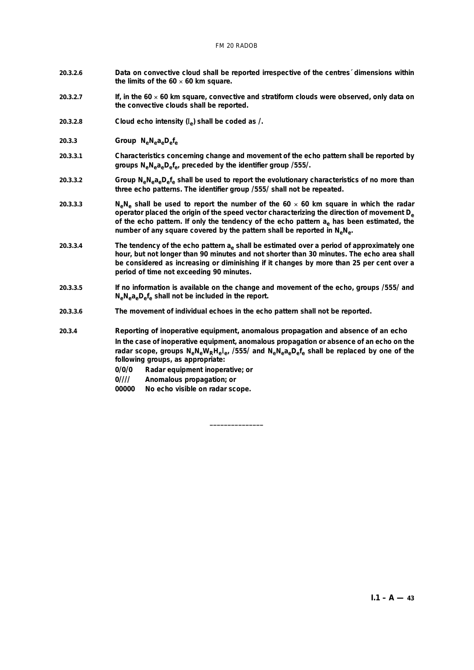#### FM 20 RADOB

- **20.3.2.6 Data on convective cloud shall be reported irrespective of the centres´ dimensions within the limits of the 60** × **60 km square.**
- **20.3.2.7 If, in the 60** × **60 km square, convective and stratiform clouds were observed, only data on the convective clouds shall be reported.**
- **20.3.2.8 Cloud echo intensity (**I**e) shall be coded as /.**
- 20.3.3 *Group*  $N_eN_ea_eD_ef_e$
- **20.3.3.1 Characteristics concerning change and movement of the echo pattern shall be reported by groups NeNeaeDefe, preceded by the identifier group /555/.**
- **20.3.3.2 Group NeNeaeDefe shall be used to report the evolutionary characteristics of no more than three echo patterns. The identifier group /555/ shall not be repeated.**
- **20.3.3.3 N<sub>e</sub>** N<sub>e</sub> shall be used to report the number of the  $60 \times 60$  km square in which the radar **operator placed the origin of the speed vector characterizing the direction of movement De** of the echo pattern. If only the tendency of the echo pattern a<sub>e</sub> has been estimated, the **number of any square covered by the pattern shall be reported in NeNe.**
- **20.3.3.4 The tendency of the echo pattern ae shall be estimated over a period of approximately one hour, but not longer than 90 minutes and not shorter than 30 minutes. The echo area shall be considered as increasing or diminishing if it changes by more than 25 per cent over a period of time not exceeding 90 minutes.**
- **20.3.3.5 If no information is available on the change and movement of the echo, groups /555/ and NeNeaeDefe shall not be included in the report.**

**\_\_\_\_\_\_\_\_\_\_\_\_\_\_\_**

**20.3.3.6 The movement of individual echoes in the echo pattern shall not be reported.**

**20.3.4** *Reporting of inoperative equipment, anomalous propagation and absence of an echo* **In the case of inoperative equipment, anomalous propagation or absence of an echo on the radar scope, groups NeNeWRHe**I**e, /555/ and NeNeaeDefe shall be replaced by one of the following groups, as appropriate:**

- **0/0/0 Radar equipment inoperative; or**
- **0//// Anomalous propagation; or**
- **00000 No echo visible on radar scope.**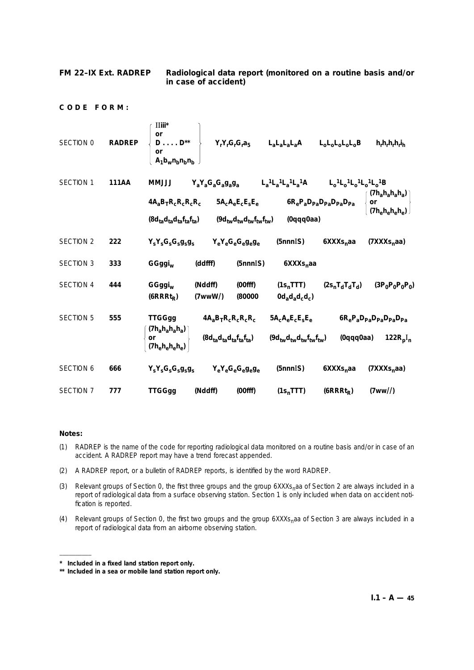## **FM 22–IX Ext. RADREP Radiological data report (monitored on a routine basis and/or in case of accident)**

**CODE FORM:**

| SECTION 0        | <b>RADREP</b> | $\overline{\text{II}}$ iii $^*$<br>or<br>$D \ldots D^{**}$<br>or<br>$A_1b_wn_bn_bn_b$ |                      | $Y_rY_rG_rG_ra_5$                   | $L_a L_a L_a L_a A$                     | $L_0L_0L_0L_0L_0B$                                            | $h_r h_r h_r h_r i_h$                        |
|------------------|---------------|---------------------------------------------------------------------------------------|----------------------|-------------------------------------|-----------------------------------------|---------------------------------------------------------------|----------------------------------------------|
| <b>SECTION 1</b> | 111AA         | <b>LLLMM</b>                                                                          | $Y_aY_aG_aG_ag_ag_a$ |                                     | $L_a{}^{1}L_a{}^{1}L_a{}^{1}L_a{}^{1}A$ | $L_0^{-1}L_0^{-1}L_0^{-1}L_0^{-1}B$                           |                                              |
|                  |               | $4A_3B_TR_CR_CR_C$                                                                    |                      | $5A_{c}A_{e}E_{c}E_{s}E_{e}$        |                                         | $6R_{\rm e}P_{\rm a}D_{\rm Pa}D_{\rm Pa}D_{\rm Pa}D_{\rm Pa}$ | $(7h_ah_ah_ah_a)$<br>or<br>$(7h_eh_eh_eh_e)$ |
|                  |               | $(8d_{ta}d_{ta}d_{ta}f_{ta}f_{ta})$                                                   |                      | $(9d_{tw}d_{tw}d_{tw}f_{tw}f_{tw})$ | (0qqq0aa)                               |                                                               |                                              |
| <b>SECTION 2</b> | 222           | $Y_S Y_S G_S G_S g_S g_S$                                                             |                      | $Y_eY_eG_eG_eg_eg_e$                | (5nnnIS)                                | 6XXXs <sub>n</sub> aa                                         | (7XXS <sub>n</sub> aa)                       |
| <b>SECTION 3</b> | 333           | GGggi <sub>w</sub>                                                                    | (ddfff)              | (5nnnIS)                            | 6XXXs <sub>n</sub> aa                   |                                                               |                                              |
| <b>SECTION 4</b> | 444           | GGggi <sub>w</sub><br>$(6RRRt_R)$                                                     | (Nddff)<br>(7wwW)    | (00ff)<br>(80000)                   | $(1s_n$ TTT)<br>$0d_a d_a d_c d_c$      | $(2s_nT_dT_dT_d)$                                             | $(3P_0P_0P_0P_0)$                            |
| <b>SECTION 5</b> | 555           | <b>TTGGgg</b>                                                                         |                      | $4A_0B_TR_cR_cR_cR_c$               | $5A_cA_eE_cE_sE_e$                      |                                                               | $6R_eP_aD_{Pa}D_{Pa}D_{Pa}D_{Pa}$            |
|                  |               | $(7h_a h_a h_a h_a)$<br>or<br>$(7h_eh_eh_eh_e)$                                       |                      | $(8d_{ta}d_{ta}d_{ta}f_{ta}f_{ta})$ | $(9d_{tw}d_{tw}d_{tw}f_{tw}f_{tw})$     | (0qqq0aa)                                                     | 122R <sub>p</sub> I <sub>n</sub>             |
| SECTION 6        | 666           | $Y_S Y_S G_S G_S g_S g_S$                                                             |                      | $Y_eY_eG_eG_eg_eg_e$                | (5nnnIS)                                | 6XXXs <sub>n</sub> aa                                         | (7XXXs <sub>n</sub> aa)                      |
| <b>SECTION 7</b> | 777           | <b>TTGGgg</b>                                                                         | (Nddff)              | (00ff)                              | $(1s_n$ TTT)                            | $(6RRRt_R)$                                                   | (7ww/l)                                      |

## **Notes:**

––––––––––

- (1) RADREP is the name of the code for reporting radiological data monitored on a routine basis and/or in case of an accident. A RADREP report may have a trend forecast appended.
- (2) A RADREP report, or a bulletin of RADREP reports, is identified by the word RADREP.
- (3) Relevant groups of Section 0, the first three groups and the group 6XXXs<sub>n</sub>aa of Section 2 are always included in a report of radiological data from a surface observing station. Section 1 is only included when data on accident notification is reported.
- (4) Relevant groups of Section 0, the first two groups and the group 6XXXs<sub>n</sub>aa of Section 3 are always included in a report of radiological data from an airborne observing station.

**<sup>\*</sup> Included in a fixed land station report only.**

**<sup>\*\*</sup> Included in a sea or mobile land station report only.**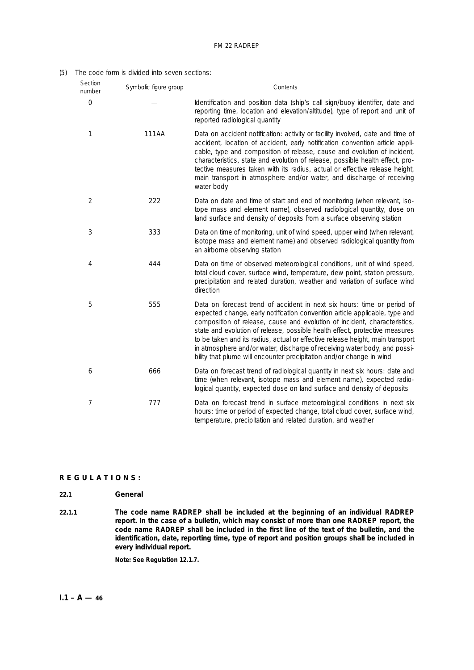## (5) The code form is divided into seven sections:

| Section<br>number | Symbolic figure group | Contents                                                                                                                                                                                                                                                                                                                                                                                                                                                                                                                                                  |
|-------------------|-----------------------|-----------------------------------------------------------------------------------------------------------------------------------------------------------------------------------------------------------------------------------------------------------------------------------------------------------------------------------------------------------------------------------------------------------------------------------------------------------------------------------------------------------------------------------------------------------|
| $\bigcirc$        |                       | Identification and position data (ship's call sign/buoy identifier, date and<br>reporting time, location and elevation/altitude), type of report and unit of<br>reported radiological quantity                                                                                                                                                                                                                                                                                                                                                            |
| 1                 | 111AA                 | Data on accident notification: activity or facility involved, date and time of<br>accident, location of accident, early notification convention article appli-<br>cable, type and composition of release, cause and evolution of incident,<br>characteristics, state and evolution of release, possible health effect, pro-<br>tective measures taken with its radius, actual or effective release height,<br>main transport in atmosphere and/or water, and discharge of receiving<br>water body                                                         |
| $\overline{2}$    | 222                   | Data on date and time of start and end of monitoring (when relevant, iso-<br>tope mass and element name), observed radiological quantity, dose on<br>land surface and density of deposits from a surface observing station                                                                                                                                                                                                                                                                                                                                |
| 3                 | 333                   | Data on time of monitoring, unit of wind speed, upper wind (when relevant,<br>isotope mass and element name) and observed radiological quantity from<br>an airborne observing station                                                                                                                                                                                                                                                                                                                                                                     |
| 4                 | 444                   | Data on time of observed meteorological conditions, unit of wind speed,<br>total cloud cover, surface wind, temperature, dew point, station pressure,<br>precipitation and related duration, weather and variation of surface wind<br>direction                                                                                                                                                                                                                                                                                                           |
| 5                 | 555                   | Data on forecast trend of accident in next six hours: time or period of<br>expected change, early notification convention article applicable, type and<br>composition of release, cause and evolution of incident, characteristics,<br>state and evolution of release, possible health effect, protective measures<br>to be taken and its radius, actual or effective release height, main transport<br>in atmosphere and/or water, discharge of receiving water body, and possi-<br>bility that plume will encounter precipitation and/or change in wind |
| 6                 | 666                   | Data on forecast trend of radiological quantity in next six hours: date and<br>time (when relevant, isotope mass and element name), expected radio-<br>logical quantity, expected dose on land surface and density of deposits                                                                                                                                                                                                                                                                                                                            |
| 7                 | 777                   | Data on forecast trend in surface meteorological conditions in next six<br>hours: time or period of expected change, total cloud cover, surface wind,<br>temperature, precipitation and related duration, and weather                                                                                                                                                                                                                                                                                                                                     |

# **REGULATIONS:**

# **22.1 General**

**22.1.1 The code name RADREP shall be included at the beginning of an individual RADREP report. In the case of a bulletin, which may consist of more than one RADREP report, the code name RADREP shall be included in the first line of the text of the bulletin, and the identification, date, reporting time, type of report and position groups shall be included in every individual report.**

**Note: See Regulation 12.1.7.**

 $I.1 - A - 46$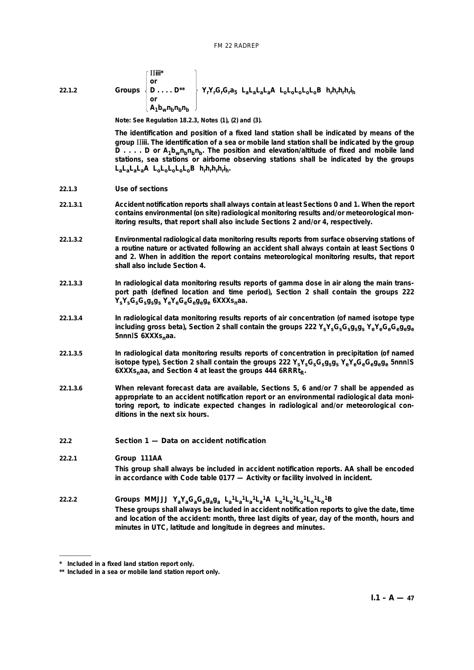| 22.1.2 |  | $\overline{\text{II}}$ iii $^*$<br>or<br>Groups $\{D \ldots D^{**}\}$<br>$\lambda_1$ ե <sub>w</sub> n <sub>b</sub> n <sub>b</sub> n |  |  | <sup>1</sup> Y <sub>r</sub> Y <sub>r</sub> G <sub>r</sub> G <sub>r</sub> a <sub>5</sub> L <sub>a</sub> L <sub>a</sub> L <sub>a</sub> L <sub>a</sub> A L <sub>o</sub> L <sub>o</sub> L <sub>o</sub> L <sub>o</sub> L <sub>o</sub> B h <sub>r</sub> h <sub>r</sub> h <sub>r</sub> h <sub>r</sub> i <sub>h</sub> |  |
|--------|--|-------------------------------------------------------------------------------------------------------------------------------------|--|--|---------------------------------------------------------------------------------------------------------------------------------------------------------------------------------------------------------------------------------------------------------------------------------------------------------------|--|
|--------|--|-------------------------------------------------------------------------------------------------------------------------------------|--|--|---------------------------------------------------------------------------------------------------------------------------------------------------------------------------------------------------------------------------------------------------------------------------------------------------------------|--|

**Note: See Regulation 18.2.3, Notes (1), (2) and (3).**

**The identification and position of a fixed land station shall be indicated by means of the group** II**iii. The identification of a sea or mobile land station shall be indicated by the group D** . . . . D or  $A_1b_wn_bn_b$ . The position and elevation/altitude of fixed and mobile land **stations, sea stations or airborne observing stations shall be indicated by the groups LaLaLaLaA LoLoLoLoLoB hrhrhrhri h.**

- **22.1.3** *Use of sections*
- **22.1.3.1 Accident notification reports shall always contain at least Sections 0 and 1. When the report contains environmental (on site) radiological monitoring results and/or meteorological monitoring results, that report shall also include Sections 2 and/or 4, respectively.**
- **22.1.3.2 Environmental radiological data monitoring results reports from surface observing stations of a routine nature or activated following an accident shall always contain at least Sections 0 and 2. When in addition the report contains meteorological monitoring results, that report shall also include Section 4.**
- **22.1.3.3 In radiological data monitoring results reports of gamma dose in air along the main transport path (defined location and time period), Section 2 shall contain the groups 222 YsYsGsGsgsgs YeYeGeGegege 6XXXsnaa.**
- **22.1.3.4 In radiological data monitoring results reports of air concentration (of named isotope type including gross beta), Section 2 shall contain the groups 222 YsYsGsGsgsgs YeYeGeGegege 5nnnIS 6XXXs<sub>n</sub>aa.**
- **22.1.3.5 In radiological data monitoring results reports of concentration in precipitation (of named isotope type), Section 2 shall contain the groups 222 YsYsGsGsgsgs YeYeGeGegege 5nnn**I**S** 6XXXs<sub>n</sub>aa, and Section 4 at least the groups 444 6RRRt<sub>p</sub>.
- **22.1.3.6 When relevant forecast data are available, Sections 5, 6 and/or 7 shall be appended as appropriate to an accident notification report or an environmental radiological data monitoring report, to indicate expected changes in radiological and/or meteorological conditions in the next six hours.**
- **22.2 Section 1 Data on accident notification**

## **22.2.1** *Group* **111AA**

––––––––––

**This group shall always be included in accident notification reports. AA shall be encoded in accordance with Code table 0177 — Activity or facility involved in incident.**

**22.2.2** *Groups* **MMJJJ YaYaGaGagaga La 1La 1La 1La 1A Lo 1Lo 1Lo 1Lo 1Lo 1B These groups shall always be included in accident notification reports to give the date, time and location of the accident: month, three last digits of year, day of the month, hours and minutes in UTC, latitude and longitude in degrees and minutes.**

**<sup>\*</sup> Included in a fixed land station report only.**

**<sup>\*\*</sup> Included in a sea or mobile land station report only.**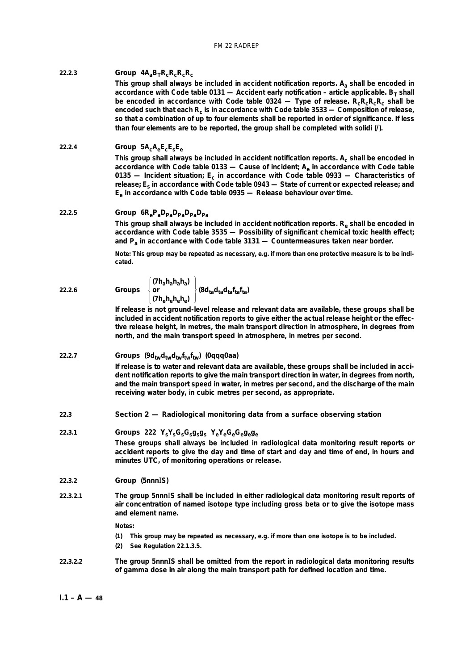## 22.2.3 *Group*  $4A_aB_TR_cR_cR_cR_c$

**This group shall always be included in accident notification reports. Aa shall be encoded in** accordance with Code table 0131 — Accident early notification – article applicable.  $B_T$  shall be encoded in accordance with Code table 0324 — Type of release. R<sub>c</sub>R<sub>c</sub>R<sub>c</sub>R<sub>c</sub> shall be **encoded such that each Rc is in accordance with Code table 3533 — Composition of release, so that a combination of up to four elements shall be reported in order of significance. If less than four elements are to be reported, the group shall be completed with solidi (/).**

# **22.2.4** *Group* **5AcAeEcEsEe**

This group shall always be included in accident notification reports. A<sub>c</sub> shall be encoded in **accordance with Code table 0133 — Cause of incident; Ae in accordance with Code table** 0135 — Incident situation; E<sub>c</sub> in accordance with Code table 0933 — Characteristics of **release; Es in accordance with Code table 0943 — State of current or expected release; and Ee in accordance with Code table 0935 — Release behaviour over time.**

## 22.2.5 *Group*  $6R_eP_aD_{Pa}D_{Pa}D_{Pa}D_{Pa}$

This group shall always be included in accident notification reports. R<sub>e</sub> shall be encoded in **accordance with Code table 3535 — Possibility of significant chemical toxic health effect; and Pa in accordance with Code table 3131 — Countermeasures taken near border.**

**Note: This group may be repeated as necessary, e.g. if more than one protective measure is to be indicated.**

**22.2.6** *Groups* **or (8dtadtadtaftafta)**

$$
\begin{bmatrix} (7h_ah_ah_ah_3) \\ or \\ (7h_eh_eh_eh_0) \end{bmatrix} (8d_{ta}d_{ta}d_{ta}f_{ta}f_{ta})
$$

**If release is not ground-level release and relevant data are available, these groups shall be included in accident notification reports to give either the actual release height or the effective release height, in metres, the main transport direction in atmosphere, in degrees from north, and the main transport speed in atmosphere, in metres per second.**

# 22.2.7 *Groups*  $(9d_{tw}d_{tw}f_{tw}f_{tw})$  (0qqq0aa)

**If release is to water and relevant data are available, these groups shall be included in accident notification reports to give the main transport direction in water, in degrees from north, and the main transport speed in water, in metres per second, and the discharge of the main receiving water body, in cubic metres per second, as appropriate.**

## **22.3 Section 2 — Radiological monitoring data from a surface observing station**

**22.3.1** *Groups* **222 YsYsGsGsgsgs YeYeGeGegege These groups shall always be included in radiological data monitoring result reports or accident reports to give the day and time of start and day and time of end, in hours and minutes UTC, of monitoring operations or release.**

## **22.3.2** *Group* **(5nnn**I**S)**

**22.3.2.1 The group 5nnn**I**S shall be included in either radiological data monitoring result reports of air concentration of named isotope type including gross beta or to give the isotope mass and element name.**

**Notes:**

- **(1) This group may be repeated as necessary, e.g. if more than one isotope is to be included.**
- **(2) See Regulation 22.1.3.5.**
- **22.3.2.2 The group 5nnn**I**S shall be omitted from the report in radiological data monitoring results of gamma dose in air along the main transport path for defined location and time.**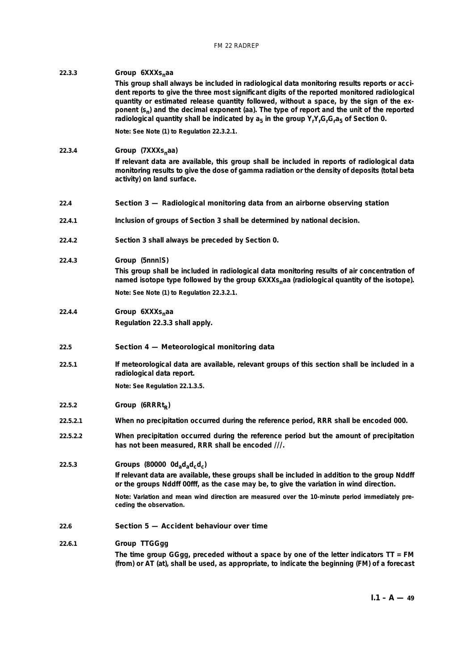#### **22.3.3** *Group* **6XXXs**<sub>n</sub>aa

**This group shall always be included in radiological data monitoring results reports or accident reports to give the three most significant digits of the reported monitored radiological quantity or estimated release quantity followed, without a space, by the sign of the exponent (sn) and the decimal exponent (aa). The type of report and the unit of the reported** radiological quantity shall be indicated by  $a_5$  in the group  $Y_rY_rG_rG_r a_5$  of Section 0.

**Note: See Note (1) to Regulation 22.3.2.1.**

#### **22.3.4** *Group* (7XXXS<sub>n</sub>aa)

**If relevant data are available, this group shall be included in reports of radiological data monitoring results to give the dose of gamma radiation or the density of deposits (total beta activity) on land surface.**

#### **22.4 Section 3 — Radiological monitoring data from an airborne observing station**

- **22.4.1 Inclusion of groups of Section 3 shall be determined by national decision.**
- **22.4.2 Section 3 shall always be preceded by Section 0.**

## **22.4.3** *Group* **(5nnn**I**S)**

**This group shall be included in radiological data monitoring results of air concentration of** named isotope type followed by the group 6XXXs<sub>n</sub>aa (radiological quantity of the isotope). **Note: See Note (1) to Regulation 22.3.2.1.**

## **22.4.4** *Group* **6XXXs**<sub>n</sub>aa **Regulation 22.3.3 shall apply.**

## **22.5 Section 4 — Meteorological monitoring data**

**22.5.1 If meteorological data are available, relevant groups of this section shall be included in a radiological data report.**

**Note: See Regulation 22.1.3.5.**

- **22.5.2** *Group* (6RRRt<sub>R</sub>)
- **22.5.2.1 When no precipitation occurred during the reference period, RRR shall be encoded 000.**
- **22.5.2.2 When precipitation occurred during the reference period but the amount of precipitation has not been measured, RRR shall be encoded ///.**

# 22.5.3 *Groups* (80000 0d<sub>a</sub>d<sub>a</sub>d<sub>c</sub>d<sub>c</sub>) **If relevant data are available, these groups shall be included in addition to the group Nddff or the groups Nddff 00fff, as the case may be, to give the variation in wind direction.**

**Note: Variation and mean wind direction are measured over the 10-minute period immediately preceding the observation.**

# **22.6 Section 5 — Accident behaviour over time**

#### **22.6.1** *Group* **TTGGgg**

**The time group GGgg, preceded without a space by one of the letter indicators TT = FM (from) or AT (at), shall be used, as appropriate, to indicate the beginning (FM) of a forecast**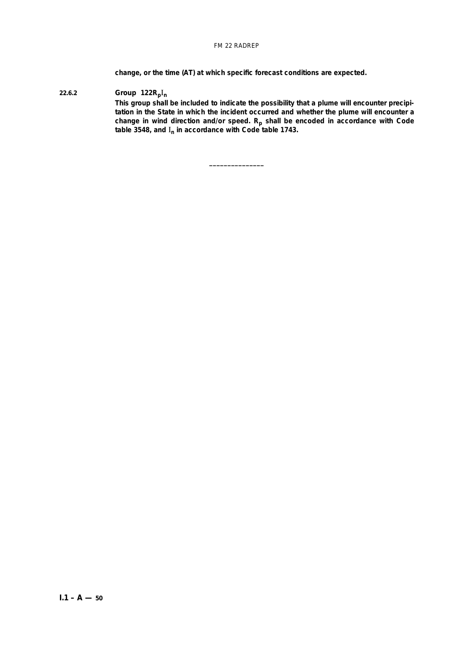**change, or the time (AT) at which specific forecast conditions are expected.**

**\_\_\_\_\_\_\_\_\_\_\_\_\_\_\_**

# **22.6.2** *Group* **122Rp**I**<sup>n</sup>**

**This group shall be included to indicate the possibility that a plume will encounter precipitation in the State in which the incident occurred and whether the plume will encounter a change in wind direction and/or speed. Rp shall be encoded in accordance with Code table 3548, and** I**<sup>n</sup> in accordance with Code table 1743.**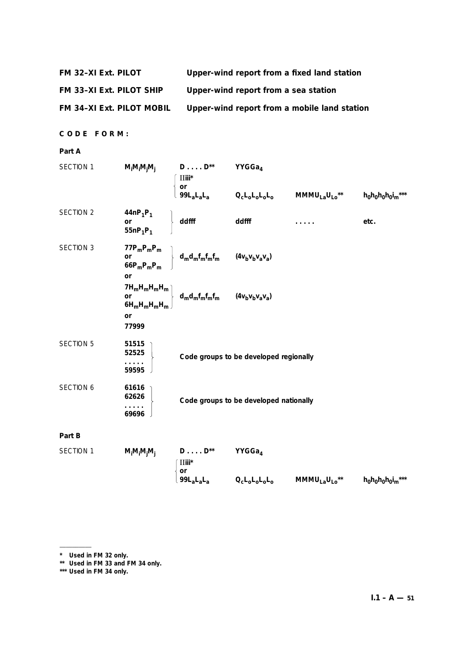| FM 32-XI Ext. PILOT | Upper-wind report from a fixed land station |
|---------------------|---------------------------------------------|
|---------------------|---------------------------------------------|

**FM 33–XI Ext. PILOT SHIP Upper-wind report from a sea station**

**FM 34–XI Ext. PILOT MOBIL Upper-wind report from a mobile land station**

**CODE FORM:**

# **Part A**

| SECTION 1        | $M_iM_iM_jM_j$ $D \ldots D^{**}$                                           |                                                                                                                                                                                                                                                                                                                                                                                                                                                                                                                               | YYGGa4                                 |      |
|------------------|----------------------------------------------------------------------------|-------------------------------------------------------------------------------------------------------------------------------------------------------------------------------------------------------------------------------------------------------------------------------------------------------------------------------------------------------------------------------------------------------------------------------------------------------------------------------------------------------------------------------|----------------------------------------|------|
|                  |                                                                            |                                                                                                                                                                                                                                                                                                                                                                                                                                                                                                                               |                                        |      |
| SECTION 2        | 44nP <sub>1</sub> P <sub>1</sub><br>or<br>55nP <sub>1</sub> P <sub>1</sub> | ddfff                                                                                                                                                                                                                                                                                                                                                                                                                                                                                                                         | ddfff                                  | etc. |
| SECTION 3        | or                                                                         | $\left.\begin{array}{lcl}77P_mP_mP_m\\ \text{or} \\ 66P_mP_mP_m \end{array}\right\}\  \  d_md_mf_mf_mf_m \qquad (4v_bv_bv_av_a)$                                                                                                                                                                                                                                                                                                                                                                                              |                                        |      |
|                  | or<br>77999                                                                | $\begin{array}{cc} 7H_mH_mH_mH_m\\ \text{or} & d_m d_mf_mf_mf_m & (4v_bv_bv_a v_a)\\ 6H_mH_mH_mH_m & \end{array}$                                                                                                                                                                                                                                                                                                                                                                                                             |                                        |      |
| <b>SECTION 5</b> | 51515<br>52525<br>59595                                                    |                                                                                                                                                                                                                                                                                                                                                                                                                                                                                                                               | Code groups to be developed regionally |      |
| <b>SECTION 6</b> | 61616<br>62626<br>$\ldots$<br>69696                                        |                                                                                                                                                                                                                                                                                                                                                                                                                                                                                                                               | Code groups to be developed nationally |      |
| Part B           |                                                                            |                                                                                                                                                                                                                                                                                                                                                                                                                                                                                                                               |                                        |      |
| SECTION 1        | $M_iM_iM_jM_j$                                                             | $D \ldots D^{**}$ YYGGa <sub>4</sub><br>$\overline{\phantom{a}}$ $\overline{\phantom{a}}$ $\overline{\phantom{a}}$ $\overline{\phantom{a}}$ $\overline{\phantom{a}}$ $\overline{\phantom{a}}$ $\overline{\phantom{a}}$ $\overline{\phantom{a}}$ $\overline{\phantom{a}}$ $\overline{\phantom{a}}$ $\overline{\phantom{a}}$ $\overline{\phantom{a}}$ $\overline{\phantom{a}}$ $\overline{\phantom{a}}$ $\overline{\phantom{a}}$ $\overline{\phantom{a}}$ $\overline{\phantom{a}}$ $\overline{\phantom{a}}$ $\overline{\$<br>or |                                        |      |

**99LaLaLa QcLoLoLoLo MMMULaULo\*\* h0h0h0h0i m\*\*\***

––––––––––

**<sup>\*</sup> Used in FM 32 only.**

**<sup>\*\*</sup> Used in FM 33 and FM 34 only.**

**<sup>\*\*\*</sup> Used in FM 34 only.**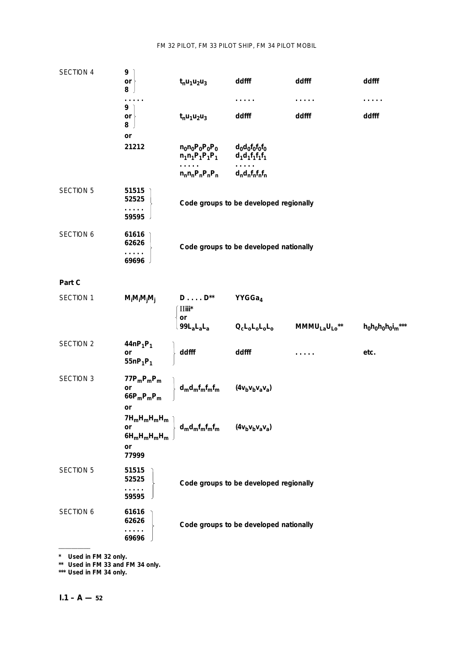# FM 32 PILOT, FM 33 PILOT SHIP, FM 34 PILOT MOBIL

| SECTION 4        | 9<br>or<br>8<br>. .                                     | $t_n u_1 u_2 u_3$                               | ddfff                                  | ddfff<br>.                            | ddfff               |
|------------------|---------------------------------------------------------|-------------------------------------------------|----------------------------------------|---------------------------------------|---------------------|
|                  | 9<br>or<br>8<br>or                                      | $t_n u_1 u_2 u_3$                               | ddfff                                  | ddfff                                 | ddfff               |
|                  | 21212                                                   | $n_0n_0P_0P_0P_0$<br>$n_1n_1P_1P_1P_1$          | $d_0d_0f_0f_0f_0$<br>$d_1d_1f_1f_1f_1$ |                                       |                     |
|                  |                                                         | .<br>$n_n n_n P_n P_n P_n$                      | $d_n d_n f_n f_n f_n$                  |                                       |                     |
| <b>SECTION 5</b> | 51515<br>52525<br>.<br>59595                            |                                                 | Code groups to be developed regionally |                                       |                     |
| SECTION 6        | 61616<br>62626<br>والمتماد<br>69696                     |                                                 | Code groups to be developed nationally |                                       |                     |
| Part C           |                                                         |                                                 |                                        |                                       |                     |
| SECTION 1        | $M_iM_iM_jM_j$                                          | $D \ldots D^{**}$<br>$\text{II}$ iii $^*$<br>or | YYGGa <sub>4</sub>                     |                                       |                     |
|                  |                                                         | $99L_aL_aL_a$                                   | $Q_{c}L_{0}L_{0}L_{0}L_{0}$            | MMMU <sub>La</sub> U <sub>Lo</sub> ** | $h_0h_0h_0h_0i_m$ * |
| SECTION 2        | $44nP_1P_1$<br>or<br>55n $P_1P_1$                       | ddfff                                           | ddfff                                  |                                       | etc.                |
| SECTION 3        | $77P_mP_mP_m$<br>or<br>$66P_mP_mP_m$<br>or              | $d_m d_m f_m f_m f_m$                           | $(4v_bv_bv_a v_a)$                     |                                       |                     |
|                  | $7H_mH_mH_mH_m$<br>or<br>$6H_mH_mH_mH_m$<br>or<br>77999 | $d_{m}d_{m}f_{m}f_{m}f_{m}$                     | $(4v_bv_bv_av_a)$                      |                                       |                     |
| <b>SECTION 5</b> | 51515<br>52525<br>.<br>59595                            |                                                 | Code groups to be developed regionally |                                       |                     |
| SECTION 6        | 61616<br>62626<br>.<br>69696                            |                                                 | Code groups to be developed nationally |                                       |                     |
|                  |                                                         |                                                 |                                        |                                       |                     |

**\* Used in FM 32 only.**

**\*\* Used in FM 33 and FM 34 only.**

**\*\*\* Used in FM 34 only.**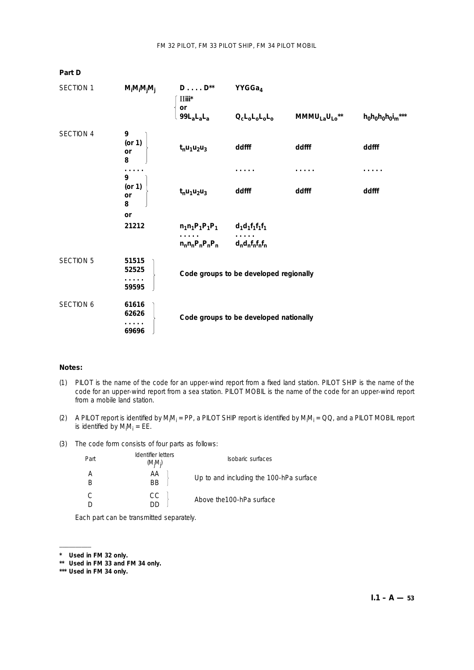| <b>SECTION 1</b><br>$M_iM_iM_jM_j$ |                              | $D \ldots D^{**}$<br>$\overline{\text{II}}$ iii $^*$ | YYGGa4                                                                     |                   |          |  |  |
|------------------------------------|------------------------------|------------------------------------------------------|----------------------------------------------------------------------------|-------------------|----------|--|--|
|                                    | or<br>$99L_aL_aL_a$          | $Q_{c}L_{0}L_{0}L_{0}L_{0}$                          | $MMMU_{La}U_{Lo}^{\star\star}$                                             | $h_0h_0h_0h_0l_m$ |          |  |  |
| <b>SECTION 4</b>                   | 9<br>$($ or 1 $)$<br>or<br>8 | $t_n u_1 u_2 u_3$                                    | ddfff                                                                      | ddfff             | ddfff    |  |  |
|                                    |                              |                                                      |                                                                            |                   | $\cdots$ |  |  |
|                                    | 9<br>$($ or 1 $)$<br>or<br>8 | $t_n u_1 u_2 u_3$                                    | ddfff                                                                      | ddfff             | ddfff    |  |  |
|                                    | or                           |                                                      |                                                                            |                   |          |  |  |
|                                    | 21212                        | $n_1n_1P_1P_1P_1$                                    | $d_1d_1f_1f_1f_1$                                                          |                   |          |  |  |
|                                    |                              | $n_n n_n P_n P_n P_n$                                | d <sub>n</sub> d <sub>n</sub> f <sub>n</sub> f <sub>n</sub> f <sub>n</sub> |                   |          |  |  |
| <b>SECTION 5</b>                   | 51515<br>52525               |                                                      | Code groups to be developed regionally                                     |                   |          |  |  |
|                                    | 59595                        |                                                      |                                                                            |                   |          |  |  |
| SECTION 6                          | 61616<br>62626<br>69696      |                                                      | Code groups to be developed nationally                                     |                   |          |  |  |

#### **Notes:**

**Part D**

- (1) PILOT is the name of the code for an upper-wind report from a fixed land station. PILOT SHIP is the name of the code for an upper-wind report from a sea station. PILOT MOBIL is the name of the code for an upper-wind report from a mobile land station.
- (2) A PILOT report is identified by M<sub>i</sub>M<sub>i</sub> = PP, a PILOT SHIP report is identified by M<sub>i</sub>M<sub>i</sub> = QQ, and a PILOT MOBIL report is identified by  $M_iM_i = E E$ .
- (3) The code form consists of four parts as follows:

| Part | Identifier letters<br>$(M_iM_i)$ | Isobaric surfaces                       |
|------|----------------------------------|-----------------------------------------|
|      | AА<br><b>BB</b>                  | Up to and including the 100-hPa surface |
|      | CC                               | Above the 100-hPa surface               |

Each part can be transmitted separately.

––––––––––

**<sup>\*</sup> Used in FM 32 only.**

**<sup>\*\*</sup> Used in FM 33 and FM 34 only.**

**<sup>\*\*\*</sup> Used in FM 34 only.**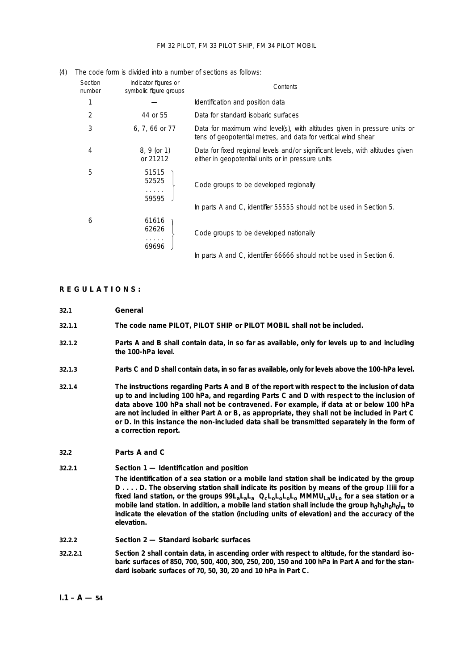#### FM 32 PILOT, FM 33 PILOT SHIP, FM 34 PILOT MOBIL

|                   | THE COUP TONN TO UNNUCUTING UTTIMITIOUT OF JOURNAL US TOILORS. |                                                                                                                                            |
|-------------------|----------------------------------------------------------------|--------------------------------------------------------------------------------------------------------------------------------------------|
| Section<br>number | Indicator figures or<br>symbolic figure groups                 | Contents                                                                                                                                   |
|                   |                                                                | Identification and position data                                                                                                           |
| 2                 | 44 or 55                                                       | Data for standard isobaric surfaces                                                                                                        |
| 3                 | 6, 7, 66 or 77                                                 | Data for maximum wind level(s), with altitudes given in pressure units or<br>tens of geopotential metres, and data for vertical wind shear |
| 4                 | 8, 9 (or 1)<br>or 21212                                        | Data for fixed regional levels and/or significant levels, with altitudes given<br>either in geopotential units or in pressure units        |
| 5                 | 51515<br>52525<br>.<br>59595                                   | Code groups to be developed regionally                                                                                                     |
|                   |                                                                | In parts A and C, identifier 55555 should not be used in Section 5.                                                                        |
| 6                 | 61616<br>62626<br>a construction                               | Code groups to be developed nationally                                                                                                     |
|                   | 69696                                                          | In parts A and C, identifier 66666 should not be used in Section 6.                                                                        |

#### (4) The code form is divided into a number of sections as follows:

## **REGULATIONS:**

- **32.1 General**
- **32.1.1 The code name PILOT, PILOT SHIP or PILOT MOBIL shall not be included.**
- **32.1.2 Parts A and B shall contain data, in so far as available,** *only* **for levels up to and including the 100-hPa level.**
- **32.1.3 Parts C and D shall contain data, in so far as available,** *only* **for levels above the 100-hPa level.**
- **32.1.4 The instructions regarding Parts A and B of the report with respect to the inclusion of data up to and including 100 hPa, and regarding Parts C and D with respect to the inclusion of data above 100 hPa shall** *not* **be contravened. For example, if data at or below 100 hPa are not included in either Part A or B, as appropriate, they shall** *not* **be included in Part C or D. In this instance the non-included data shall be transmitted separately in the form of a correction report.**

#### **32.2 Parts A and C**

#### **32.2.1** *Section 1 — Identification and position*

**The identification of a sea station or a mobile land station shall be indicated by the group D . . . . D. The observing station shall indicate its position by means of the group** II**iii for a fixed land station, or the groups 99LaLaLa QcLoLoLoLo MMMULaULo for a sea station or a** mobile land station. In addition, a mobile land station shall include the group h<sub>0</sub>h<sub>0</sub>h<sub>0</sub>h<sub>0</sub>i<sub>m</sub> to **indicate the elevation of the station (including units of elevation) and the accuracy of the elevation.**

#### **32.2.2** *Section 2 — Standard isobaric surfaces*

**32.2.2.1 Section 2 shall contain data, in ascending order with respect to altitude, for the standard isobaric surfaces of 850, 700, 500, 400, 300, 250, 200, 150 and 100 hPa in Part A and for the standard isobaric surfaces of 70, 50, 30, 20 and 10 hPa in Part C.**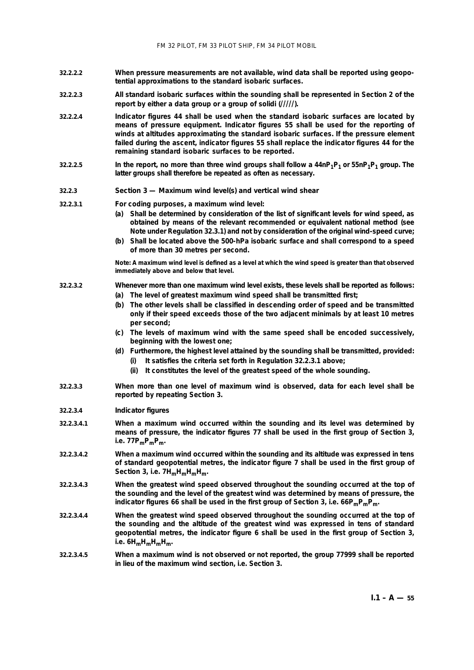- **32.2.2.2 When pressure measurements are not available, wind data shall be reported using geopotential approximations to the standard isobaric surfaces.**
- **32.2.2.3 All standard isobaric surfaces within the sounding shall be represented in Section 2 of the report by either a data group or a group of solidi (/////).**
- **32.2.2.4 Indicator figures 44 shall be used when the standard isobaric surfaces are located by means of pressure equipment. Indicator figures 55 shall be used for the reporting of winds at altitudes approximating the standard isobaric surfaces. If the pressure element failed during the ascent, indicator figures 55 shall replace the indicator figures 44 for the remaining standard isobaric surfaces to be reported.**
- **32.2.2.5 In the report, no more than three wind groups shall follow a 44nP1P1 or 55nP1P1 group. The latter groups shall therefore be repeated as often as necessary.**

## **32.2.3** *Section 3 — Maximum wind level(s) and vertical wind shear*

**32.2.3.1 For coding purposes, a maximum wind level:**

- **(***a***) Shall be determined by consideration of the list of significant levels for wind speed, as obtained by means of the relevant recommended or equivalent national method (see Note under Regulation 32.3.1) and** *not* **by consideration of the original wind-speed curve;**
- **(***b***) Shall be located above the 500-hPa isobaric surface and shall correspond to a speed of more than 30 metres per second.**

**Note: A maximum wind level is defined as a level at which the wind speed is greater than that observed immediately above and below that level.**

#### **32.2.3.2 Whenever more than one maximum wind level exists, these levels shall be reported as follows:**

- **(***a***) The level of greatest maximum wind speed shall be transmitted first;**
- **(***b***) The other levels shall be classified in descending order of speed and be transmitted only if their speed exceeds those of the two adjacent minimals by at least 10 metres per second;**
- **(***c***) The levels of maximum wind with the same speed shall be encoded successively, beginning with the lowest one;**
- **(***d***) Furthermore, the highest level attained by the sounding shall be transmitted, provided: (i) It satisfies the criteria set forth in Regulation 32.2.3.1 above;**
	- **(ii) It constitutes the level of the greatest speed of the whole sounding.**
- **32.2.3.3 When more than one level of maximum wind is observed, data for each level shall be reported by repeating Section 3.**
- **32.2.3.4** *Indicator figures*
- **32.2.3.4.1 When a maximum wind occurred within the sounding and its level was determined by means of pressure, the indicator figures 77 shall be used in the first group of Section 3,**  $i.e. 77P_mP_mP_m$ .
- **32.2.3.4.2 When a maximum wind occurred within the sounding and its altitude was expressed in tens of standard geopotential metres, the indicator figure 7 shall be used in the first group of** Section 3, i.e. 7H<sub>m</sub>H<sub>m</sub>H<sub>m</sub>H<sub>m</sub>.
- **32.2.3.4.3 When the greatest wind speed observed throughout the sounding occurred at the top of the sounding and the level of the greatest wind was determined by means of pressure, the indicator figures 66 shall be used in the first group of Section 3, i.e. 66P<sub>m</sub>P<sub>m</sub>P<sub>m</sub>.**
- **32.2.3.4.4 When the greatest wind speed observed throughout the sounding occurred at the top of the sounding and the altitude of the greatest wind was expressed in tens of standard geopotential metres, the indicator figure 6 shall be used in the first group of Section 3, i.e. 6HmHmHmHm.**
- **32.2.3.4.5 When a maximum wind is not observed or not reported, the group 77999 shall be reported in lieu of the maximum wind section, i.e. Section 3.**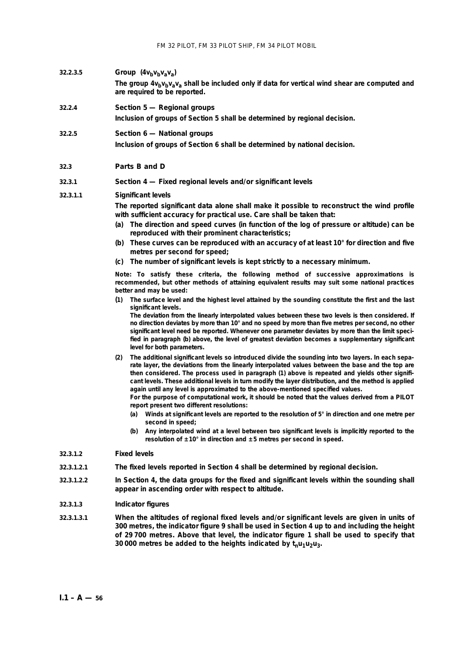- **32.2.3.5** *Group*  $(4v_bv_bv_av_a)$ 
	- The group  $4v_bv_bv_av_a$  shall be included only if data for vertical wind shear are computed and **are required to be reported.**

## **32.2.4** *Section 5 — Regional groups*

**Inclusion of groups of Section 5 shall be determined by regional decision.**

## **32.2.5** *Section 6 — National groups*

**Inclusion of groups of Section 6 shall be determined by national decision.**

#### **32.3 Parts B and D**

## **32.3.1** *Section 4 — Fixed regional levels and/or significant levels*

## **32.3.1.1** *Significant levels*

**The reported significant data** *alone* **shall make it possible to reconstruct the wind profile with sufficient accuracy for practical use. Care shall be taken that:**

- **(***a***) The direction and speed curves (in function of the log of pressure or altitude) can be reproduced with their prominent characteristics;**
- **(***b***) These curves can be reproduced with an accuracy of at least 10° for direction and five metres per second for speed;**
- **(***c***) The number of significant levels is kept strictly to a necessary minimum.**

**Note: To satisfy these criteria, the following method of successive approximations is recommended, but other methods of attaining equivalent results may suit some national practices better and may be used:**

**(1) The surface level and the highest level attained by the sounding constitute the first and the last significant levels.**

**The deviation from the linearly interpolated values between these two levels is then considered. If no direction deviates by more than 10° and no speed by more than five metres per second, no other significant level need be reported. Whenever one parameter deviates by more than the limit specified in paragraph (***b***) above, the level of greatest deviation becomes a supplementary significant level for** *both* **parameters.**

- **(2) The additional significant levels so introduced divide the sounding into two layers. In each separate layer, the deviations from the linearly interpolated values between the base and the top are then considered. The process used in paragraph (1) above is repeated and yields other significant levels. These additional levels in turn modify the layer distribution, and the method is applied again until any level is approximated to the above-mentioned specified values. For the purpose of computational work, it should be noted that the values derived from a PILOT**
	- **report present two different resolutions:**
	- **(***a***) Winds at significant levels are reported to the resolution of 5° in direction and one metre per second in speed;**
	- **(***b***) Any interpolated wind at a level between two significant levels is** *implicitly* **reported to the resolution of ± 10° in direction and ± 5 metres per second in speed.**

#### **32.3.1.2** *Fixed levels*

- **32.3.1.2.1 The fixed levels reported in Section 4 shall be determined by regional decision.**
- **32.3.1.2.2 In Section 4, the data groups for the fixed and significant levels within the sounding shall appear in ascending order with respect to altitude.**

#### **32.3.1.3** *Indicator figures*

**32.3.1.3.1 When the altitudes of regional fixed levels and/or significant levels are given in units of 300 metres, the indicator figure 9 shall be used in Section 4 up to and including the height of 29 700 metres. Above that level, the indicator figure 1 shall be used to specify that** 30 000 metres be added to the heights indicated by  $t<sub>n</sub>u<sub>1</sub>u<sub>2</sub>u<sub>3</sub>$ .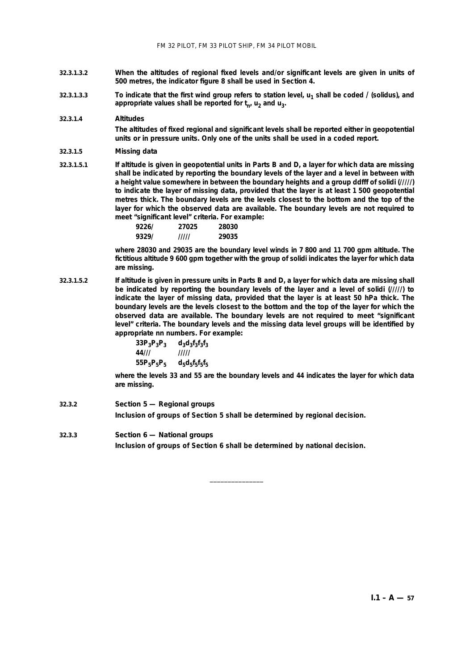- **32.3.1.3.2 When the altitudes of regional fixed levels and/or significant levels are given in units of 500 metres, the indicator figure 8 shall be used in Section 4.**
- **32.3.1.3.3 To indicate that the first wind group refers to station level,**  $u_1$  **shall be coded / (solidus), and** appropriate values shall be reported for  $t_n$ ,  $u_2$  and  $u_3$ .

## **32.3.1.4** *Altitudes*

**The altitudes of fixed regional and significant levels shall be reported** *either* **in geopotential units** *or* **in pressure units. Only one of the units shall be used in a coded report.**

#### **32.3.1.5** *Missing data*

**32.3.1.5.1 If altitude is given in geopotential units in Parts B and D, a layer for which data are missing shall be indicated by reporting the boundary levels of the layer and a level in between with a height value somewhere in between the boundary heights and a group ddfff of solidi (/////) to indicate the layer of missing data, provided that the layer is at least 1 500 geopotential metres thick. The boundary levels are the levels closest to the bottom and the top of the layer for which the observed data are available. The boundary levels are not required to meet "significant level" criteria. For example:**

| 92261 | 27025 | 28030 |
|-------|-------|-------|
| 9329/ | ///// | 29035 |

**where 28030 and 29035 are the boundary level winds in 7 800 and 11 700 gpm altitude. The fictitious altitude 9 600 gpm together with the group of solidi indicates the layer for which data are missing.**

**32.3.1.5.2 If altitude is given in pressure units in Parts B and D, a layer for which data are missing shall be indicated by reporting the boundary levels of the layer and a level of solidi (/////) to indicate the layer of missing data, provided that the layer is at least 50 hPa thick. The boundary levels are the levels closest to the bottom and the top of the layer for which the observed data are available. The boundary levels are not required to meet "significant level" criteria. The boundary levels and the missing data level groups will be identified by appropriate nn numbers. For example:**

> $33P_3P_3P_3$   $d_3d_3f_3f_3f_3$ <br>44/// ///// **44/// ///// 55P5P5P5 d5d5f5f5f5**

**where the levels 33 and 55 are the boundary levels and 44 indicates the layer for which data are missing.**

- **32.3.2** *Section 5 Regional groups* **Inclusion of groups of Section 5 shall be determined by regional decision.**
- **32.3.3** *Section 6 National groups* **Inclusion of groups of Section 6 shall be determined by national decision.**

\_\_\_\_\_\_\_\_\_\_\_\_\_\_\_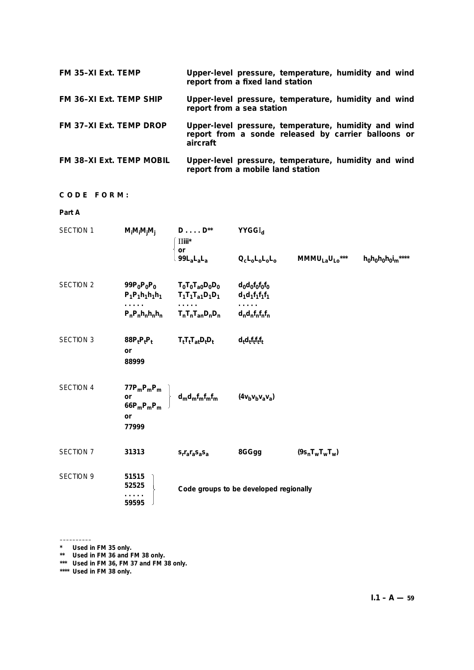| FM 35-XI Ext. TEMP              | Upper-level pressure, temperature, humidity and wind<br>report from a fixed land station                                |
|---------------------------------|-------------------------------------------------------------------------------------------------------------------------|
| <b>FM 36-XI Ext. TEMP SHIP</b>  | Upper-level pressure, temperature, humidity and wind<br>report from a sea station                                       |
| <b>FM 37-XI Ext. TEMP DROP</b>  | Upper-level pressure, temperature, humidity and wind<br>report from a sonde released by carrier balloons or<br>aircraft |
| <b>FM 38-XI Ext. TEMP MOBIL</b> | Upper-level pressure, temperature, humidity and wind<br>report from a mobile land station                               |

**CODE FORM:**

**Part A**

| SECTION 1        | $M_iM_iM_iM_i$                                      | $D \ldots D^{**}$<br>$\text{I\!I\!I\!I\!I\!I}^{\star}$<br>or<br>$99L_aL_aL_a$ | <b>YYGGI</b> <sub>d</sub><br>$Q_{c}L_{0}L_{0}L_{0}L_{0}$ | MMMU <sub>La</sub> U <sub>Lo</sub> *** | $h_0h_0h_0h_0i_m***$ |
|------------------|-----------------------------------------------------|-------------------------------------------------------------------------------|----------------------------------------------------------|----------------------------------------|----------------------|
|                  |                                                     |                                                                               |                                                          |                                        |                      |
| <b>SECTION 2</b> | 99 $P_0P_0P_0$                                      | $T_0T_0T_{a0}D_0D_0$<br>$P_1P_1h_1h_1h_1$ $T_1T_1T_{a1}D_1D_1$                | $d_0d_0f_0f_0f_0$<br>$d_1d_1f_1f_1f_1$                   |                                        |                      |
|                  | $P_nP_nh_nh_nh_n$                                   | $T_nT_nT_{an}D_nD_n$                                                          | $d_n d_n f_n f_n f_n$                                    |                                        |                      |
| <b>SECTION 3</b> | $88PtPtPt$<br><b>or</b><br>88999                    | $T_tT_tT_{at}D_tD_t$                                                          | $d_t d_t f_t f_t f_t$                                    |                                        |                      |
| SECTION 4        | $77P_mP_mP_m$<br>or<br>$66P_mP_mP_m$<br>or<br>77999 | $d_m d_m f_m f_m f_m$                                                         | $(4v_bv_bv_av_a)$                                        |                                        |                      |
| SECTION 7        | 31313                                               | $S_r r_a r_a S_a S_a$                                                         | 8GGgg                                                    | $(9s_nT_wT_wT_w)$                      |                      |
| <b>SECTION 9</b> | 51515<br>52525<br>59595                             |                                                                               | Code groups to be developed regionally                   |                                        |                      |

<sup>––––––––––</sup> **\* Used in FM 35 only.**

**<sup>\*\*</sup> Used in FM 36 and FM 38 only.**

**<sup>\*\*\*</sup> Used in FM 36, FM 37 and FM 38 only.**

**<sup>\*\*\*\*</sup> Used in FM 38 only.**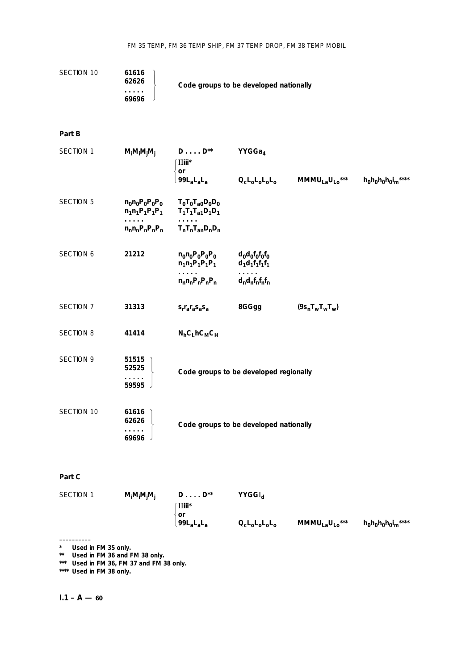| SECTION 10       | 61616<br>62626<br>.<br>69696               | Code groups to be developed nationally                                                            |                                                                                                                       |                                                                                                                                            |                   |
|------------------|--------------------------------------------|---------------------------------------------------------------------------------------------------|-----------------------------------------------------------------------------------------------------------------------|--------------------------------------------------------------------------------------------------------------------------------------------|-------------------|
| Part B           |                                            |                                                                                                   |                                                                                                                       |                                                                                                                                            |                   |
| SECTION 1        | $M_iM_iM_jM_j$                             | $D \ldots D^{**}$<br>$\text{I}$ Iiii $^*$<br>or<br>99L <sub>a</sub> L <sub>a</sub> L <sub>a</sub> | YYGGa <sub>4</sub><br>$Q_{c}L_{0}L_{0}L_{0}L_{0}$                                                                     | $MMMU_{La}U_{Lo}***$                                                                                                                       | $h_0h_0h_0h_0l_m$ |
| SECTION 5        | $n_0 n_0 P_0 P_0 P_0$<br>$n_1n_1P_1P_1P_1$ | $T_0T_0T_{a0}D_0D_0$<br>$T_1T_1T_{a1}D_1D_1$                                                      |                                                                                                                       |                                                                                                                                            |                   |
|                  | $n_n n_n P_n P_n P_n$                      | $T_nT_nT_{an}D_nD_n$                                                                              |                                                                                                                       |                                                                                                                                            |                   |
| <b>SECTION 6</b> | 21212                                      | $n_0 n_0 P_0 P_0 P_0$<br>$n_1n_1P_1P_1P_1$                                                        | $d_0d_0f_0f_0f_0$<br>$d_1d_1f_1f_1f_1$                                                                                |                                                                                                                                            |                   |
|                  |                                            | .<br>$n_n n_n P_n P_n P_n$                                                                        | $d_n d_n f_n f_n f_n$                                                                                                 |                                                                                                                                            |                   |
| SECTION 7        | 31313                                      | $s_r r_a r_a s_a s_a$                                                                             | 8GGgg                                                                                                                 | $(9s_nT_wT_wT_w)$                                                                                                                          |                   |
| <b>SECTION 8</b> | 41414                                      | $N_hC_L$ h $C_MC_H$                                                                               |                                                                                                                       |                                                                                                                                            |                   |
| SECTION 9        | 51515<br>52525<br>59595                    |                                                                                                   | Code groups to be developed regionally                                                                                |                                                                                                                                            |                   |
| SECTION 10       | 61616<br>62626<br>69696                    |                                                                                                   | Code groups to be developed nationally                                                                                |                                                                                                                                            |                   |
| Part C           |                                            |                                                                                                   |                                                                                                                       |                                                                                                                                            |                   |
| SECTION 1        | $M_iM_iM_jM_j$                             | $D\ldots$ . $D^{\star\star}$<br>∫∐iii*<br>$\mathop{\sf or}\nolimits$                              | $YYGGI_d$                                                                                                             |                                                                                                                                            |                   |
|                  |                                            | .99L <sub>a</sub> L <sub>a</sub> L <sub>a</sub>                                                   | $\mathsf{Q}_{\mathsf{c}}\mathsf{L}_{\mathsf{o}}\mathsf{L}_{\mathsf{o}}\mathsf{L}_{\mathsf{o}}\mathsf{L}_{\mathsf{o}}$ | $\text{MMMU}_{\text{La}}{\text{U}_{\text{Lo}}}^{\ast\ast\ast} \qquad \text{h}_0\text{h}_0\text{h}_0\text{i}_{\text{m}}^{\ast\ast\ast\ast}$ |                   |
|                  |                                            |                                                                                                   |                                                                                                                       |                                                                                                                                            |                   |

**\* Used in FM 35 only.**

**\*\* Used in FM 36 and FM 38 only.**

**\*\*\* Used in FM 36, FM 37 and FM 38 only.**

**\*\*\*\* Used in FM 38 only.**

# $I.1 - A - 60$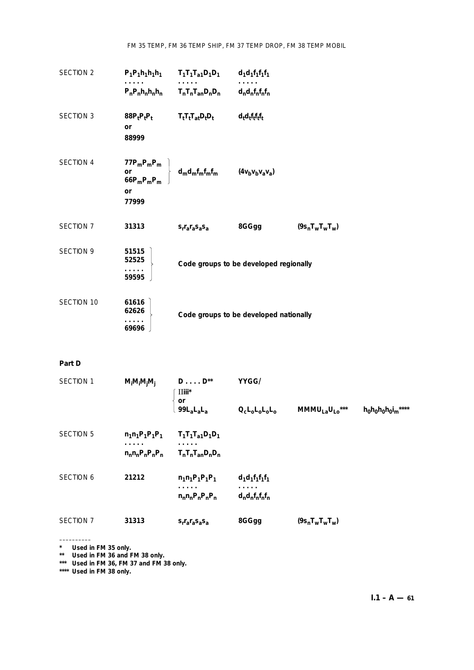FM 35 TEMP, FM 36 TEMP SHIP, FM 37 TEMP DROP, FM 38 TEMP MOBIL

| SECTION 2        |                                                           | $P_1P_1h_1h_1h_1$ $T_1T_1T_{a1}D_1D_1$ | $d_1d_1f_1f_1f_1$                      |                   |
|------------------|-----------------------------------------------------------|----------------------------------------|----------------------------------------|-------------------|
|                  |                                                           | $P_nP_nh_nh_n$ $T_nT_nT_{an}D_nD_n$    | $d_n d_n f_n f_n f_n$                  |                   |
| <b>SECTION 3</b> | $88P_tP_tP_t$<br>or<br>88999                              | $T_tT_tT_{at}D_tD_t$                   | $d_t d_t f_t f_t f_t$                  |                   |
| <b>SECTION 4</b> | 77 $P_m P_m P_m$<br>or<br>66 $P_m P_m P_m$<br>or<br>77999 | $d_{m}d_{m}f_{m}f_{m}f_{m}$            | $(4v_bv_bv_a v_a)$                     |                   |
| SECTION 7        | 31313                                                     | $S_r r_a r_a S_a S_a$                  | 8GGgg                                  | $(9s_nT_wT_wT_w)$ |
| <b>SECTION 9</b> | 51515<br>52525<br>59595                                   |                                        | Code groups to be developed regionally |                   |
| SECTION 10       | 61616<br>62626<br>69696                                   |                                        | Code groups to be developed nationally |                   |

## **Part D**

| <b>SECTION 1</b> | $M_iM_iM_jM_j$         | $D \ldots D^{**}$<br>$\overline{\text{II}}$ iii*<br>or | YYGG/                                           |                      |                      |
|------------------|------------------------|--------------------------------------------------------|-------------------------------------------------|----------------------|----------------------|
|                  |                        | $99L_4L_4L_4$                                          | $Q_{c}L_{0}L_{0}L_{0}L_{0}$                     | $MMMU_{La}U_{Lo}***$ | $h_0h_0h_0h_0i_m***$ |
| <b>SECTION 5</b> | $n_1n_1P_1P_1P_1$<br>. | $T_1T_1T_{a1}D_1D_1$<br>.                              |                                                 |                      |                      |
|                  | $n_n n_n P_n P_n P_n$  | $T_nT_nT_{an}D_nD_n$                                   |                                                 |                      |                      |
| <b>SECTION 6</b> | 21212                  | $n_1n_1P_1P_1P_1$<br>.<br>$n_n n_n P_n P_n P_n$        | $d_1d_1f_1f_1f_1$<br>.<br>$d_n d_n f_n f_n f_n$ |                      |                      |
| SECTION 7        | 31313                  | $S_f r_a r_a S_a S_a$                                  | 8GGgg                                           | $(9s_nT_wT_wT_w)$    |                      |

–––––––––– **\* Used in FM 35 only.**

**\*\* Used in FM 36 and FM 38 only.**

**\*\*\* Used in FM 36, FM 37 and FM 38 only.**

**\*\*\*\* Used in FM 38 only.**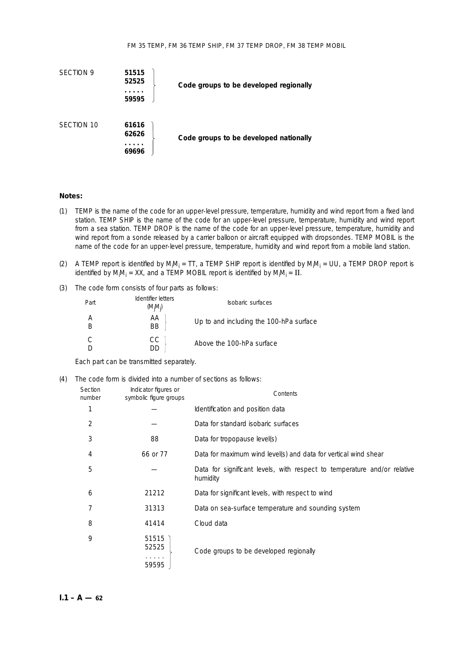

#### **Notes:**

- (1) TEMP is the name of the code for an upper-level pressure, temperature, humidity and wind report from a fixed land station. TEMP SHIP is the name of the code for an upper-level pressure, temperature, humidity and wind report from a sea station. TEMP DROP is the name of the code for an upper-level pressure, temperature, humidity and wind report from a sonde released by a carrier balloon or aircraft equipped with dropsondes. TEMP MOBIL is the name of the code for an upper-level pressure, temperature, humidity and wind report from a mobile land station.
- (2) A TEMP report is identified by M<sub>i</sub>M<sub>i</sub> = TT, a TEMP SHIP report is identified by M<sub>i</sub>M<sub>i</sub> = UU, a TEMP DROP report is identified by M<sub>i</sub>M<sub>i</sub> = XX, and a TEMP MOBIL report is identified by M<sub>i</sub>M<sub>i</sub> =  ${\bf II}.$
- (3) The code form consists of four parts as follows:

| Part | Identifier letters<br>$(M_iM_i)$ | Isobaric surfaces                       |
|------|----------------------------------|-----------------------------------------|
|      | АA<br><b>BB</b>                  | Up to and including the 100-hPa surface |
|      | CC.                              | Above the 100-hPa surface               |

Each part can be transmitted separately.

(4) The code form is divided into a number of sections as follows:

| Section<br>number | Indicator figures or<br>symbolic figure groups | Contents                                                                             |  |  |  |
|-------------------|------------------------------------------------|--------------------------------------------------------------------------------------|--|--|--|
| 1                 |                                                | Identification and position data                                                     |  |  |  |
| 2                 |                                                | Data for standard isobaric surfaces                                                  |  |  |  |
| 3                 | 88                                             | Data for tropopause level(s)                                                         |  |  |  |
| 4                 | 66 or 77                                       | Data for maximum wind level(s) and data for vertical wind shear                      |  |  |  |
| 5                 |                                                | Data for significant levels, with respect to temperature and/or relative<br>humidity |  |  |  |
| 6                 | 21212                                          | Data for significant levels, with respect to wind                                    |  |  |  |
| 7                 | 31313                                          | Data on sea-surface temperature and sounding system                                  |  |  |  |
| 8                 | 41414                                          | Cloud data                                                                           |  |  |  |
| 9                 | 51515<br>52525                                 | Code groups to be developed regionally                                               |  |  |  |
|                   | 59595                                          |                                                                                      |  |  |  |

 $I.1 - A - 62$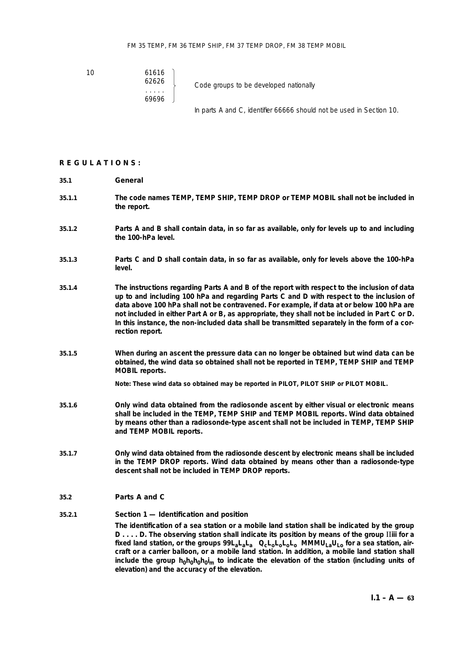10 61616

69696

 $\begin{array}{c} 62626 \\ \begin{array}{c} \end{array} \end{array}$  Code groups to be developed nationally

In parts A and C, identifier 66666 should not be used in Section 10.

#### **REGULATIONS:**

- **35.1 General**
- **35.1.1 The code names TEMP, TEMP SHIP, TEMP DROP or TEMP MOBIL shall not be included in the report.**
- **35.1.2 Parts A and B shall contain data, in so far as available,** *only* **for levels up to and including the 100-hPa level.**
- **35.1.3 Parts C and D shall contain data, in so far as available,** *only* **for levels above the 100-hPa level.**
- **35.1.4 The instructions regarding Parts A and B of the report with respect to the inclusion of data up to and including 100 hPa and regarding Parts C and D with respect to the inclusion of data above 100 hPa shall** *not* **be contravened. For example, if data at or below 100 hPa are not included in either Part A or B, as appropriate, they shall** *not* **be included in Part C or D. In this instance, the non-included data shall be transmitted separately in the form of a correction report.**
- **35.1.5 When during an ascent the pressure data can no longer be obtained but wind data can be obtained, the wind data so obtained shall** *not* **be reported in TEMP, TEMP SHIP and TEMP MOBIL reports.**

**Note: These wind data so obtained may be reported in PILOT, PILOT SHIP or PILOT MOBIL.**

- **35.1.6 Only wind data obtained from the radiosonde ascent by either visual or electronic means shall be included in the TEMP, TEMP SHIP and TEMP MOBIL reports. Wind data obtained by means other than a radiosonde-type ascent shall not be included in TEMP, TEMP SHIP and TEMP MOBIL reports.**
- **35.1.7 Only wind data obtained from the radiosonde descent by electronic means shall be included in the TEMP DROP reports. Wind data obtained by means other than a radiosonde-type descent shall not be included in TEMP DROP reports.**

### **35.2 Parts A and C**

#### **35.2.1** *Section 1 — Identification and position*

**The identification of a sea station or a mobile land station shall be indicated by the group D . . . . D. The observing station shall indicate its position by means of the group** II**iii for a** fixed land station, or the groups  $99L_2L_2L_3$  Q<sub>c</sub>L<sub>o</sub>L<sub>o</sub>L<sub>o</sub>L<sub>o</sub>L<sub>o</sub> MMMU<sub>La</sub>U<sub>Lo</sub> for a sea station, air**craft or a carrier balloon, or a mobile land station. In addition, a mobile land station shall** include the group h<sub>0</sub>h<sub>0</sub>h<sub>0</sub>h<sub>0</sub>i<sub>m</sub> to indicate the elevation of the station (including units of **elevation) and the accuracy of the elevation.**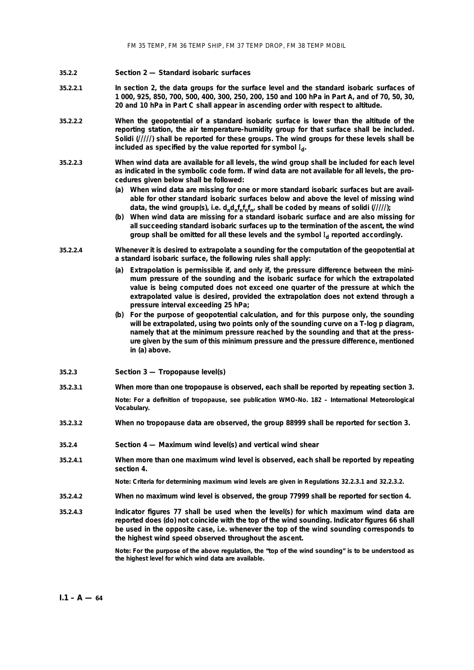#### **35.2.2** *Section 2 — Standard isobaric surfaces*

- **35.2.2.1 In section 2, the data groups for the surface level and the standard isobaric surfaces of 1 000, 925, 850, 700, 500, 400, 300, 250, 200, 150 and 100 hPa in Part A, and of 70, 50, 30, 20 and 10 hPa in Part C shall appear in ascending order with respect to altitude.**
- **35.2.2.2 When the geopotential of a standard isobaric surface is lower than the altitude of the reporting station, the air temperature-humidity group for that surface shall be included. Solidi (/////) shall be reported for these groups. The wind groups for these levels shall be** included as specified by the value reported for symbol  $I_d$ .
- **35.2.2.3 When wind data are available for all levels, the wind group shall be included for each level as indicated in the symbolic code form. If wind data are not available for all levels, the procedures given below shall be followed:**
	- **(***a***) When wind data are missing for one or more standard isobaric surfaces but are available for other standard isobaric surfaces below and above the level of missing wind** data, the wind group(s), i.e.  $d_n d_n f_n f_n f_n$ , shall be coded by means of solidi  $(1/11)$ ;
	- **(***b***) When wind data are missing for a standard isobaric surface and are also missing for all succeeding standard isobaric surfaces up to the termination of the ascent, the wind** group shall be omitted for all these levels and the symbol I<sub>d</sub> reported accordingly.
- **35.2.2.4 Whenever it is desired to extrapolate a sounding for the computation of the geopotential at a standard isobaric surface, the following rules shall apply:**
	- **(***a***) Extrapolation is permissible if, and only if, the pressure difference between the minimum pressure of the sounding and the isobaric surface for which the extrapolated value is being computed does not exceed one quarter of the pressure at which the extrapolated value is desired, provided the extrapolation does not extend through a pressure interval exceeding 25 hPa;**
	- **(***b***) For the purpose of geopotential calculation, and for this purpose only, the sounding will be extrapolated, using two points only of the sounding curve on a T-log p diagram, namely that at the minimum pressure reached by the sounding and that at the pressure given by the sum of this minimum pressure and the pressure difference, mentioned in (***a***) above.**
- **35.2.3** *Section 3 Tropopause level(s)*
- **35.2.3.1 When more than one tropopause is observed, each shall be reported by repeating section 3.**

**Note: For a definition of tropopause, see publication WMO-No. 182 –** *International Meteorological Vocabulary***.**

**35.2.3.2 When no tropopause data are observed, the group 88999 shall be reported for section 3.**

**35.2.4** *Section 4 — Maximum wind level(s) and vertical wind shear*

**35.2.4.1 When more than one maximum wind level is observed, each shall be reported by repeating section 4.**

**Note: Criteria for determining maximum wind levels are given in Regulations 32.2.3.1 and 32.2.3.2.**

- **35.2.4.2 When no maximum wind level is observed, the group 77999 shall be reported for section 4.**
- **35.2.4.3 Indicator figures 77 shall be used when the level(s) for which maximum wind data are reported does (do) not coincide with the top of the wind sounding. Indicator figures 66 shall be used in the opposite case, i.e. whenever the top of the wind sounding corresponds to the highest wind speed observed throughout the ascent.**

**Note: For the purpose of the above regulation, the "top of the wind sounding" is to be understood as the highest level for which wind data are available.**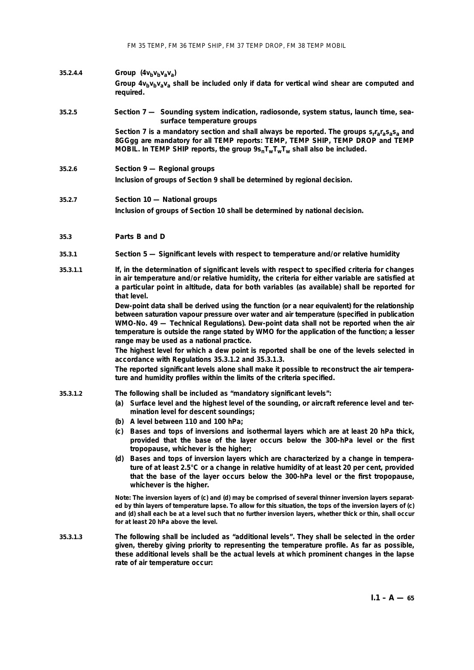FM 35 TEMP, FM 36 TEMP SHIP, FM 37 TEMP DROP, FM 38 TEMP MOBIL

## **35.2.4.4** *Group*  $(4v_bv_bv_av_a)$ Group  $4v_bv_bv_a$ <sub>a</sub> shall be included only if data for vertical wind shear are computed and **required.**

## **35.2.5** *Section 7 — Sounding system indication, radiosonde, system status, launch time, seasurface temperature groups*

**Section 7 is a mandatory section and shall always be reported. The groups srrarasasa and 8GGgg are mandatory for all TEMP reports: TEMP, TEMP SHIP, TEMP DROP and TEMP** MOBIL. In TEMP SHIP reports, the group  $9s_nT_wT_wT_w$  shall also be included.

**35.2.6** *Section 9 — Regional groups*

**Inclusion of groups of Section 9 shall be determined by regional decision.**

#### **35.2.7** *Section 10 — National groups*

**Inclusion of groups of Section 10 shall be determined by national decision.**

## **35.3 Parts B and D**

#### **35.3.1** *Section 5 — Significant levels with respect to temperature and/or relative humidity*

**35.3.1.1 If, in the determination of significant levels with respect to specified criteria for changes in air temperature and/or relative humidity, the criteria for either variable are satisfied at a particular point in altitude, data for both variables (as available) shall be reported for that level.**

> **Dew-point data shall be derived using the function (or a near equivalent) for the relationship between saturation vapour pressure over water and air temperature (specified in publication WMO-No. 49 —** *Technical Regulations***). Dew-point data shall not be reported when the air temperature is outside the range stated by WMO for the application of the function; a lesser range may be used as a national practice.**

> **The highest level for which a dew point is reported shall be one of the levels selected in accordance with Regulations 35.3.1.2 and 35.3.1.3.**

> **The reported significant levels** *alone* **shall make it possible to reconstruct the air temperature and humidity profiles within the limits of the criteria specified.**

#### **35.3.1.2 The following shall be included as "mandatory significant levels":**

- **(***a***) Surface level and the highest level of the sounding, or aircraft reference level and termination level for descent soundings;**
- **(***b***) A level between 110 and 100 hPa;**
- **(***c***) Bases and tops of inversions and isothermal layers which are at least 20 hPa thick, provided that the base of the layer occurs below the 300-hPa level or the first tropopause, whichever is the higher;**
- **(***d***) Bases and tops of inversion layers which are characterized by a change in temperature of at least 2.5°C or a change in relative humidity of at least 20 per cent, provided that the base of the layer occurs below the 300-hPa level or the first tropopause, whichever is the higher.**

**Note: The inversion layers of (***c***) and (***d***) may be comprised of several thinner inversion layers separated by thin layers of temperature lapse. To allow for this situation, the tops of the inversion layers of (***c***) and (***d***) shall each be at a level such that no further inversion layers, whether thick or thin, shall occur for at least 20 hPa above the level.**

**35.3.1.3 The following shall be included as "additional levels". They shall be selected in the order given, thereby giving priority to representing the temperature profile. As far as possible, these additional levels shall be the actual levels at which prominent changes in the lapse rate of air temperature occur:**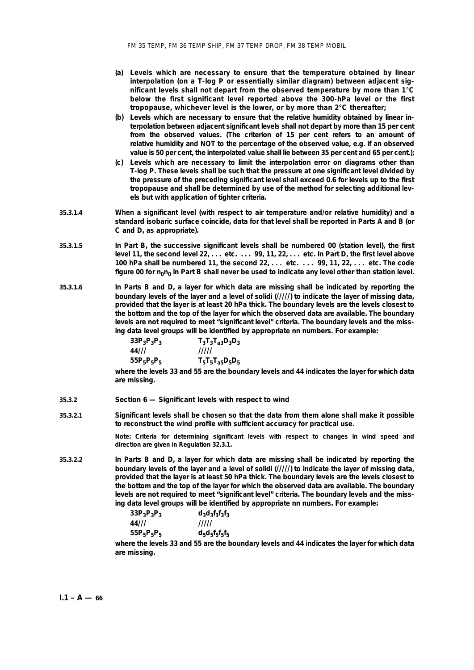- **(***a***) Levels which are necessary to ensure that the temperature obtained by linear interpolation (on a T-log P or essentially similar diagram) between adjacent significant levels shall not depart from the observed temperature by more than 1°C below the first significant level reported above the 300-hPa level or the first tropopause, whichever level is the lower, or by more than 2°C thereafter;**
- **(***b***) Levels which are necessary to ensure that the relative humidity obtained by linear interpolation between adjacent significant levels shall not depart by more than 15 per cent from the observed values. (The criterion of 15 per cent refers to an amount of relative humidity and NOT to the percentage of the observed value, e.g. if an observed value is 50 per cent, the interpolated value shall lie between 35 per cent and 65 per cent.);**
- **(***c***) Levels which are necessary to limit the interpolation error on diagrams other than T-log P. These levels shall be such that the pressure at one significant level divided by the pressure of the preceding significant level shall exceed 0.6 for levels up to the first tropopause and shall be determined by use of the method for selecting additional levels but with application of tighter criteria.**
- **35.3.1.4 When a significant level (with respect to air temperature and/or relative humidity) and a standard isobaric surface coincide, data for that level shall be reported in Parts A and B (or C and D, as appropriate).**
- **35.3.1.5 In Part B, the successive significant levels shall be numbered 00 (station level), the first level 11, the second level 22, . . . etc. . . . 99, 11, 22, . . . etc. In Part D, the first level above 100 hPa shall be numbered 11, the second 22, . . . etc. . . . 99, 11, 22, . . . etc. The code** figure 00 for n<sub>o</sub>n<sub>0</sub> in Part B shall never be used to indicate any level other than station level.
- **35.3.1.6 In Parts B and D, a layer for which data are missing shall be indicated by reporting the boundary levels of the layer and a level of solidi (/////) to indicate the layer of missing data, provided that the layer is at least 20 hPa thick. The boundary levels are the levels closest to the bottom and the top of the layer for which the observed data are available. The boundary levels are not required to meet "significant level" criteria. The boundary levels and the missing data level groups will be identified by appropriate nn numbers. For example:**

| $33P_3P_3P_3$ | $T_3T_3T_{a3}D_3D_3$ |
|---------------|----------------------|
| 44///         | 11111                |
| $55P_5P_5P_5$ | $T_5T_5T_{a5}D_5D_5$ |

**where the levels 33 and 55 are the boundary levels and 44 indicates the layer for which data are missing.**

#### **35.3.2** *Section 6 — Significant levels with respect to wind*

**35.3.2.1 Significant levels shall be chosen so that the data from them** *alone* **shall make it possible to reconstruct the wind profile with sufficient accuracy for practical use.**

> **Note: Criteria for determining significant levels with respect to changes in wind speed and direction are given in Regulation 32.3.1.**

**35.3.2.2 In Parts B and D, a layer for which data are missing shall be indicated by reporting the boundary levels of the layer and a level of solidi (/////) to indicate the layer of missing data, provided that the layer is at least 50 hPa thick. The boundary levels are the levels closest to the bottom and the top of the layer for which the observed data are available. The boundary levels are not required to meet "significant level" criteria. The boundary levels and the missing data level groups will be identified by appropriate nn numbers. For example:**

**33P3P3P3 d3d3f3f3f3 44/// ///// 55P5P5P5 d5d5f5f5f5**

**where the levels 33 and 55 are the boundary levels and 44 indicates the layer for which data are missing.**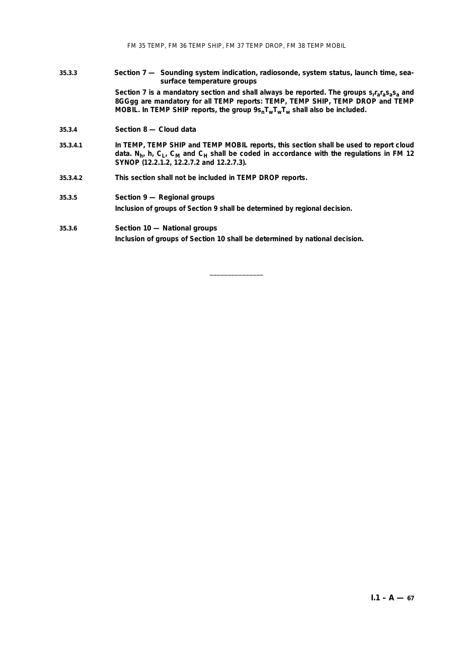#### **35.3.3** *Section 7 — Sounding system indication, radiosonde, system status, launch time, seasurface temperature groups*

Section 7 is a mandatory section and shall always be reported. The groups s<sub>r</sub>r<sub>a</sub>r<sub>a</sub>s<sub>a</sub>s<sub>a</sub> and **8GGgg are mandatory for all TEMP reports: TEMP, TEMP SHIP, TEMP DROP and TEMP** MOBIL. In TEMP SHIP reports, the group  $9s_nT_wT_wT_w$  shall also be included.

#### **35.3.4** *Section 8 — Cloud data*

- **35.3.4.1 In TEMP, TEMP SHIP and TEMP MOBIL reports, this section shall be used to report cloud** data. N<sub>h</sub>, h, C<sub>L</sub>, C<sub>M</sub> and C<sub>H</sub> shall be coded in accordance with the regulations in FM 12 **SYNOP (12.2.1.2, 12.2.7.2 and 12.2.7.3).**
- **35.3.4.2 This section shall not be included in TEMP DROP reports.**

# **35.3.5** *Section 9 — Regional groups*

**Inclusion of groups of Section 9 shall be determined by regional decision.**

#### **35.3.6** *Section 10 — National groups*

**Inclusion of groups of Section 10 shall be determined by national decision.**

\_\_\_\_\_\_\_\_\_\_\_\_\_\_\_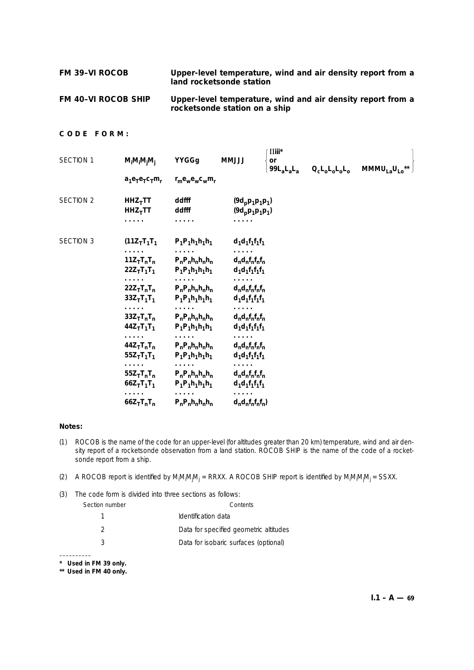| <b>FM 39-VI ROCOB</b> | Upper-level temperature, wind and air density report from a<br>land rocketsonde station |
|-----------------------|-----------------------------------------------------------------------------------------|
|                       |                                                                                         |

**FM 40–VI ROCOB SHIP Upper-level temperature, wind and air density report from a rocketsonde station on a ship**

# **CODE FORM:**

| SECTION 1        | $M_iM_iM_jM_i$                                                 | YYGGg                                                          | <b>ULLMM</b>                                    | $\text{II}$ iii $^*$<br>or<br>$99L_aL_aL_a$ | $Q_{c}L_{0}L_{0}L_{0}L_{0}$ | MMMULaULo <sup>*</sup> |
|------------------|----------------------------------------------------------------|----------------------------------------------------------------|-------------------------------------------------|---------------------------------------------|-----------------------------|------------------------|
|                  | $a_1e_7e_7c_7m_r$                                              | $r_m e_w e_w c_w m_r$                                          |                                                 |                                             |                             |                        |
| <b>SECTION 2</b> | $HHZ$ <sub>T</sub> TT<br>$HHZ_TTT$<br>.                        | ddfff<br>ddfff<br>.                                            | $(9d_p p_1 p_1 p_1)$<br>$(9d_p p_1 p_1 p_1)$    |                                             |                             |                        |
| <b>SECTION 3</b> | $(11Z_TT_1T_1$                                                 | $P_1P_1h_1h_1h_1$                                              | $d_1d_1f_1f_1f_1$                               |                                             |                             |                        |
|                  | .<br>$11Z_{\text{T}}T_{\text{n}}T_{\text{n}}$<br>$22Z_TT_1T_1$ | $P_nP_nh_nh_nh_n$<br>$P_1P_1h_1h_1h_1$                         | .<br>$d_n d_n f_n f_n f_n$<br>$d_1d_1f_1f_1f_1$ |                                             |                             |                        |
|                  | .<br>$22Z_TT_nT_n$<br>$33Z_{T}T_{1}T_{1}$                      | $\cdots\cdots\cdots$<br>$P_nP_nh_nh_nh_n$<br>$P_1P_1h_1h_1h_1$ | $d_n d_n f_n f_n f_n$<br>$d_1d_1f_1f_1f_1$      |                                             |                             |                        |
|                  | $33Z_TT_nT_n$<br>$44Z_TT_1T_1$                                 | $P_nP_nh_nh_nh_n$<br>$P_1P_1h_1h_1h_1$                         | $d_n d_n f_n f_n f_n$<br>$d_1d_1f_1f_1f_1$      |                                             |                             |                        |
|                  | .<br>$44Z_TT_nT_n$<br>$55Z_TT_1T_1$                            | $P_nP_nh_nh_nh_n$<br>$P_1P_1h_1h_1h_1$                         | $d_n d_n f_n f_n f_n$<br>$d_1d_1f_1f_1f_1$      |                                             |                             |                        |
|                  | .<br>$55Z_TT_nT_n$<br>$66Z_TT_1T_1$                            | $P_nP_nh_nh_nh_n$<br>$P_1P_1h_1h_1h_1$                         | $d_n d_n f_n f_n f_n$<br>$d_1d_1f_1f_1f_1$      |                                             |                             |                        |
|                  | .<br>$66Z_TT_nT_n$                                             | $P_nP_nh_nh_nh_n$                                              | $d_n d_n f_n f_n f_n$                           |                                             |                             |                        |

#### **Notes:**

(1) ROCOB is the name of the code for an upper-level (for altitudes greater than 20 km) temperature, wind and air density report of a rocketsonde observation from a land station. ROCOB SHIP is the name of the code of a rocketsonde report from a ship.

(2) A ROCOB report is identified by M<sub>i</sub>M<sub>i</sub>M<sub>j</sub>u = RRXX. A ROCOB SHIP report is identified by M<sub>i</sub>M<sub>i</sub>M<sub>j</sub>u = SSXX.

(3) The code form is divided into three sections as follows: *Section number Contents* 1 **Identification data** 2 Data for specified geometric altitudes 3 Data for isobaric surfaces (optional)

–––––––––– **\* Used in FM 39 only.**

**\*\* Used in FM 40 only.**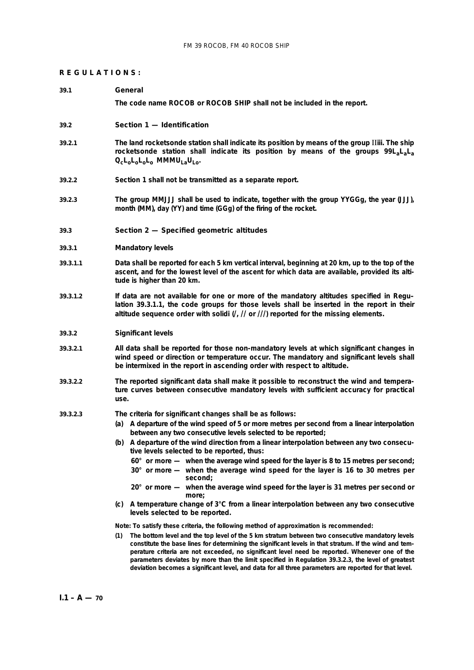#### **REGULATIONS:**

#### **39.1 General**

**The code name ROCOB or ROCOB SHIP shall not be included in the report.**

#### **39.2 Section 1 — Identification**

- **39.2.1 The land rocketsonde station shall indicate its position by means of the group** II**iii. The ship rocketsonde station shall indicate its position by means of the groups 99LaLaLa QcLoLoLoLo MMMULaULo.**
- **39.2.2 Section 1 shall not be transmitted as a separate report.**
- **39.2.3 The group MMJJJ shall be used to indicate, together with the group YYGGg, the year (JJJ), month (MM), day (YY) and time (GGg) of the firing of the rocket.**

#### **39.3 Section 2 — Specified geometric altitudes**

#### **39.3.1** *Mandatory levels*

- **39.3.1.1 Data shall be reported for each 5 km vertical interval, beginning at 20 km, up to the top of the ascent, and for the lowest level of the ascent for which data are available, provided its altitude is higher than 20 km.**
- **39.3.1.2 If data are not available for one or more of the mandatory altitudes specified in Regu– lation 39.3.1.1, the code groups for those levels shall be inserted in the report in their altitude sequence order with solidi (/, // or ///) reported for the missing elements.**

#### **39.3.2** *Significant levels*

- **39.3.2.1 All data shall be reported for those non-mandatory levels at which significant changes in wind speed or direction or temperature occur. The mandatory and significant levels shall be intermixed in the report in ascending order with respect to altitude.**
- **39.3.2.2 The reported significant data shall make it possible to reconstruct the wind and temperature curves between consecutive mandatory levels with sufficient accuracy for practical use.**
- **39.3.2.3 The criteria for significant changes shall be as follows:**
	- **(***a***) A departure of the wind speed of 5 or more metres per second from a linear interpolation between any two consecutive levels selected to be reported;**
	- **(***b***) A departure of the wind direction from a linear interpolation between any two consecutive levels selected to be reported, thus:**
		- **60° or more — when the average wind speed for the layer is 8 to 15 metres per second;**
		- **30° or more — when the average wind speed for the layer is 16 to 30 metres per second;**
		- **20° or more when the average wind speed for the layer is 31 metres per second or more;**
	- **(***c***) A temperature change of 3°C from a linear interpolation between any two consecutive levels selected to be reported.**

**Note: To satisfy these criteria, the following method of approximation is recommended:**

**(1) The bottom level and the top level of the 5 km stratum between two consecutive mandatory levels constitute the base lines for determining the significant levels in that stratum. If the wind and temperature criteria are not exceeded, no significant level need be reported. Whenever one of the parameters deviates by more than the limit specified in Regulation 39.3.2.3, the level of greatest deviation becomes a significant level, and data for all three parameters are reported for that level.**